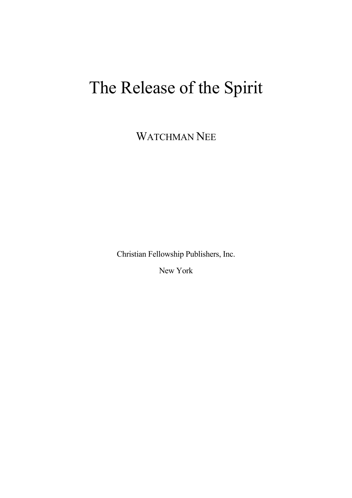# The Release of the Spirit

WATCHMAN NEE

Christian Fellowship Publishers, Inc.

New York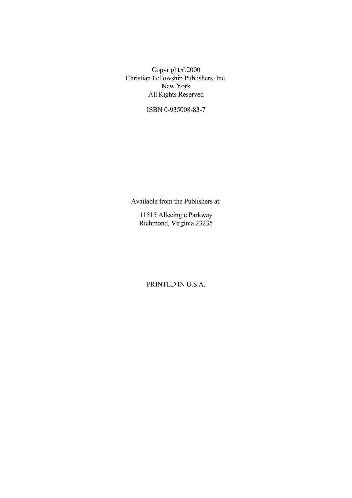Copyright ©2000 Christian Fellowship Publishers, Inc. New York All Rights Reserved

ISBN 0-935008-83-7

Available from the Publishers at:

11515 Allecingie Parkway Richmond, Virginia 23235

PRINTED IN U.S.A.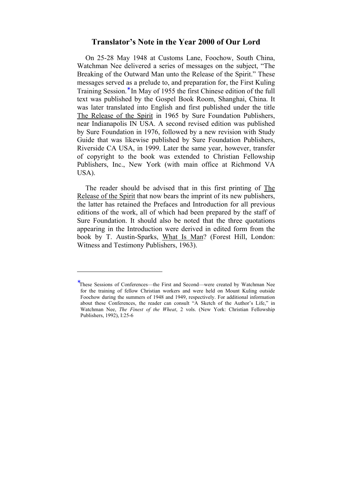# **Translator's Note in the Year 2000 of Our Lord**

On 25-28 May 1948 at Customs Lane, Foochow, South China, Watchman Nee delivered a series of messages on the subject, "The Breaking of the Outward Man unto the Release of the Spirit." These messages served as a prelude to, and preparation for, the First Kuling Training Session.<sup>∗</sup> In May of 1955 the first Chinese edition of the full text was published by the Gospel Book Room, Shanghai, China. It was later translated into English and first published under the title The Release of the Spirit in 1965 by Sure Foundation Publishers, near Indianapolis IN USA. A second revised edition was published by Sure Foundation in 1976, followed by a new revision with Study Guide that was likewise published by Sure Foundation Publishers, Riverside CA USA, in 1999. Later the same year, however, transfer of copyright to the book was extended to Christian Fellowship Publishers, Inc., New York (with main office at Richmond VA USA).

The reader should be advised that in this first printing of The Release of the Spirit that now bears the imprint of its new publishers, the latter has retained the Prefaces and Introduction for all previous editions of the work, all of which had been prepared by the staff of Sure Foundation. It should also be noted that the three quotations appearing in the Introduction were derived in edited form from the book by T. Austin-Sparks, What Is Man? (Forest Hill, London: Witness and Testimony Publishers, 1963).

 $\overline{a}$ 

<sup>∗</sup> These Sessions of Conferences—the First and Second—were created by Watchman Nee for the training of fellow Christian workers and were held on Mount Kuling outside Foochow during the summers of 1948 and 1949, respectively. For additional information about these Conferences, the reader can consult "A Sketch of the Author's Life," in Watchman Nee, *The Finest of the Wheat*, 2 vols. (New York: Christian Fellowship Publishers, 1992), I:25-6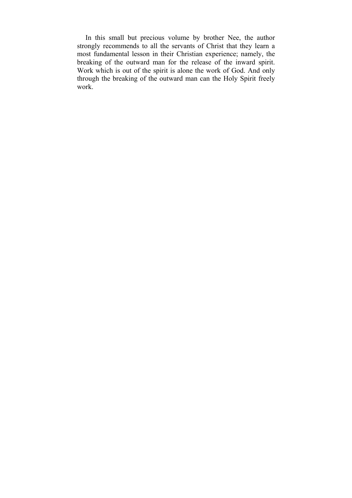In this small but precious volume by brother Nee, the author strongly recommends to all the servants of Christ that they learn a most fundamental lesson in their Christian experience; namely, the breaking of the outward man for the release of the inward spirit. Work which is out of the spirit is alone the work of God. And only through the breaking of the outward man can the Holy Spirit freely work.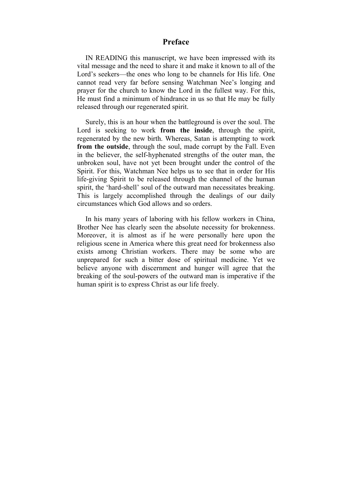# **Preface**

IN READING this manuscript, we have been impressed with its vital message and the need to share it and make it known to all of the Lord's seekers—the ones who long to be channels for His life. One cannot read very far before sensing Watchman Nee's longing and prayer for the church to know the Lord in the fullest way. For this, He must find a minimum of hindrance in us so that He may be fully released through our regenerated spirit.

Surely, this is an hour when the battleground is over the soul. The Lord is seeking to work **from the inside**, through the spirit, regenerated by the new birth. Whereas, Satan is attempting to work **from the outside**, through the soul, made corrupt by the Fall. Even in the believer, the self-hyphenated strengths of the outer man, the unbroken soul, have not yet been brought under the control of the Spirit. For this, Watchman Nee helps us to see that in order for His life-giving Spirit to be released through the channel of the human spirit, the 'hard-shell' soul of the outward man necessitates breaking. This is largely accomplished through the dealings of our daily circumstances which God allows and so orders.

In his many years of laboring with his fellow workers in China, Brother Nee has clearly seen the absolute necessity for brokenness. Moreover, it is almost as if he were personally here upon the religious scene in America where this great need for brokenness also exists among Christian workers. There may be some who are unprepared for such a bitter dose of spiritual medicine. Yet we believe anyone with discernment and hunger will agree that the breaking of the soul-powers of the outward man is imperative if the human spirit is to express Christ as our life freely.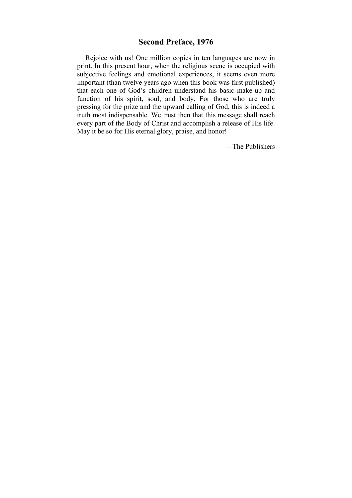# **Second Preface, 1976**

Rejoice with us! One million copies in ten languages are now in print. In this present hour, when the religious scene is occupied with subjective feelings and emotional experiences, it seems even more important (than twelve years ago when this book was first published) that each one of God's children understand his basic make-up and function of his spirit, soul, and body. For those who are truly pressing for the prize and the upward calling of God, this is indeed a truth most indispensable. We trust then that this message shall reach every part of the Body of Christ and accomplish a release of His life. May it be so for His eternal glory, praise, and honor!

—The Publishers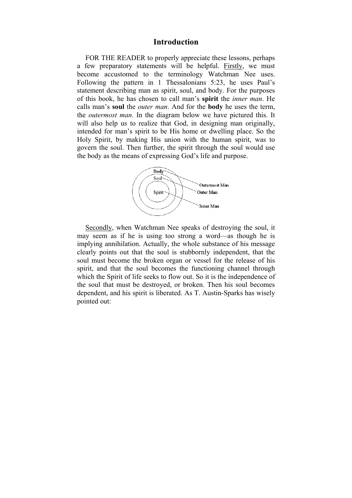# **Introduction**

FOR THE READER to properly appreciate these lessons, perhaps a few preparatory statements will be helpful. Firstly, we must become accustomed to the terminology Watchman Nee uses. Following the pattern in 1 Thessalonians 5:23, he uses Paul's statement describing man as spirit, soul, and body. For the purposes of this book, he has chosen to call man's **spirit** the *inner man*. He calls man's **soul** the *outer man*. And for the **body** he uses the term, the *outermost man*. In the diagram below we have pictured this. It will also help us to realize that God, in designing man originally, intended for man's spirit to be His home or dwelling place. So the Holy Spirit, by making His union with the human spirit, was to govern the soul. Then further, the spirit through the soul would use the body as the means of expressing God's life and purpose.



Secondly, when Watchman Nee speaks of destroying the soul, it may seem as if he is using too strong a word—as though he is implying annihilation. Actually, the whole substance of his message clearly points out that the soul is stubbornly independent, that the soul must become the broken organ or vessel for the release of his spirit, and that the soul becomes the functioning channel through which the Spirit of life seeks to flow out. So it is the independence of the soul that must be destroyed, or broken. Then his soul becomes dependent, and his spirit is liberated. As T. Austin-Sparks has wisely pointed out: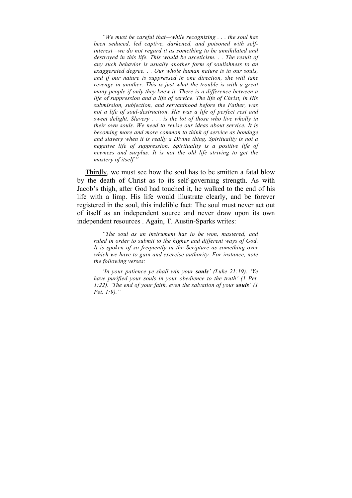*"We must be careful that—while recognizing . . . the soul has been seduced, led captive, darkened, and poisoned with selfinterest—we do not regard it as something to be annihilated and destroyed in this life. This would be asceticism. . . The result of any such behavior is usually another form of soulishness to an exaggerated degree. . . Our whole human nature is in our souls, and if our nature is suppressed in one direction, she will take revenge in another. This is just what the trouble is with a great many people if only they knew it. There is a difference between a life of suppression and a life of service. The life of Christ, in His submission, subjection, and servanthood before the Father, was not a life of soul-destruction. His was a life of perfect rest and sweet delight. Slavery . . . is the lot of those who live wholly in their own souls. We need to revise our ideas about service. It is becoming more and more common to think of service as bondage and slavery when it is really a Divine thing. Spirituality is not a negative life of suppression. Spirituality is a positive life of newness and surplus. It is not the old life striving to get the mastery of itself."* 

Thirdly, we must see how the soul has to be smitten a fatal blow by the death of Christ as to its self-governing strength. As with Jacob's thigh, after God had touched it, he walked to the end of his life with a limp. His life would illustrate clearly, and be forever registered in the soul, this indelible fact: The soul must never act out of itself as an independent source and never draw upon its own independent resources . Again, T. Austin-Sparks writes:

*"The soul as an instrument has to be won, mastered, and ruled in order to submit to the higher and different ways of God. It is spoken of so frequently in the Scripture as something over which we have to gain and exercise authority. For instance, note the following verses:* 

*'In your patience ye shall win your souls' (Luke 21:19). 'Ye have purified your souls in your obedience to the truth' (1 Pet. 1:22). 'The end of your faith, even the salvation of your souls' (1 Pet. 1:9)."*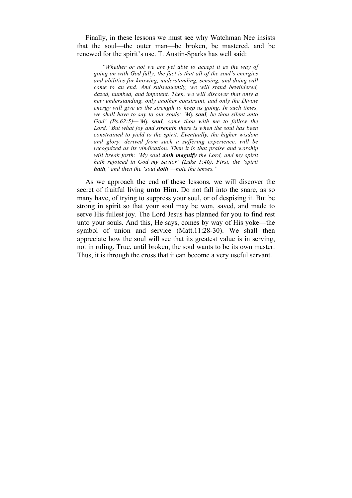Finally, in these lessons we must see why Watchman Nee insists that the soul—the outer man—be broken, be mastered, and be renewed for the spirit's use. T. Austin-Sparks has well said:

*"Whether or not we are yet able to accept it as the way of going on with God fully, the fact is that all of the soul's energies and abilities for knowing, understanding, sensing, and doing will come to an end. And subsequently, we will stand bewildered, dazed, numbed, and impotent. Then, we will discover that only a new understanding, only another constraint, and only the Divine energy will give us the strength to keep us going. In such times, we shall have to say to our souls: 'My soul, be thou silent unto God' (Ps.62:5)—'My soul, come thou with me to follow the Lord.' But what joy and strength there is when the soul has been constrained to yield to the spirit. Eventually, the higher wisdom and glory, derived from such a suffering experience, will be recognized as its vindication. Then it is that praise and worship will break forth: 'My soul doth magnify the Lord, and my spirit hath rejoiced in God my Savior' (Luke 1:46). First, the 'spirit hath,' and then the 'soul doth'—note the tenses."* 

As we approach the end of these lessons, we will discover the secret of fruitful living **unto Him**. Do not fall into the snare, as so many have, of trying to suppress your soul, or of despising it. But be strong in spirit so that your soul may be won, saved, and made to serve His fullest joy. The Lord Jesus has planned for you to find rest unto your souls. And this, He says, comes by way of His yoke—the symbol of union and service (Matt.11:28-30). We shall then appreciate how the soul will see that its greatest value is in serving, not in ruling. True, until broken, the soul wants to be its own master. Thus, it is through the cross that it can become a very useful servant.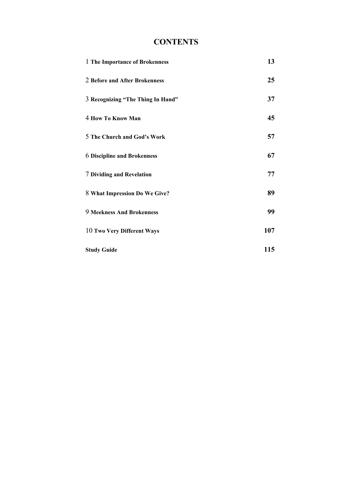# **CONTENTS**

| 1 The Importance of Brokenness     | 13  |
|------------------------------------|-----|
| 2 Before and After Brokenness      | 25  |
| 3 Recognizing "The Thing In Hand"  | 37  |
| 4 How To Know Man                  | 45  |
| 5 The Church and God's Work        | 57  |
| <b>6 Discipline and Brokenness</b> | 67  |
| <b>7 Dividing and Revelation</b>   | 77  |
| 8 What Impression Do We Give?      | 89  |
| 9 Meekness And Brokenness          | 99  |
| 10 Two Very Different Ways         | 107 |
| <b>Study Guide</b>                 | 115 |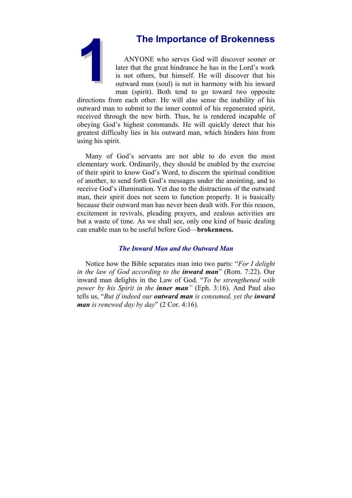<span id="page-12-0"></span>**1The Importance of Brokenness**<br>ANYONE who serves God will discover sooner or<br>later that the great hindrance he has in the Lord's work<br>is not others, but himself. He will discover that his<br>outward man (soul) is not in harm ANYONE who serves God will discover sooner or later that the great hindrance he has in the Lord's work is not others, but himself. He will discover that his outward man (soul) is not in harmony with his inward man (spirit). Both tend to go toward two opposite directions from each other. He will also sense the inability of his outward man to submit to the inner control of his regenerated spirit, received through the new birth. Thus, he is rendered incapable of obeying God's highest commands. He will quickly detect that his greatest difficulty lies in his outward man, which hinders him from using his spirit.

Many of God's servants are not able to do even the most elementary work. Ordinarily, they should be enabled by the exercise of their spirit to know God's Word, to discern the spiritual condition of another, to send forth God's messages under the anointing, and to receive God's illumination. Yet due to the distractions of the outward man, their spirit does not seem to function properly. It is basically because their outward man has never been dealt with. For this reason, excitement in revivals, pleading prayers, and zealous activities are but a waste of time. As we shall see, only one kind of basic dealing can enable man to be useful before God—**brokenness.**

### *The Inward Man and the Outward Man*

Notice how the Bible separates man into two parts: "*For I delight in the law of God according to the inward man*" (Rom. 7:22). Our inward man delights in the Law of God. "*To be strengthened with power by his Spirit in the inner man"* (Eph. 3:16). And Paul also tells us, "*But if indeed our outward man is consumed, yet the inward man is renewed day by day*" (2 Cor. 4:16).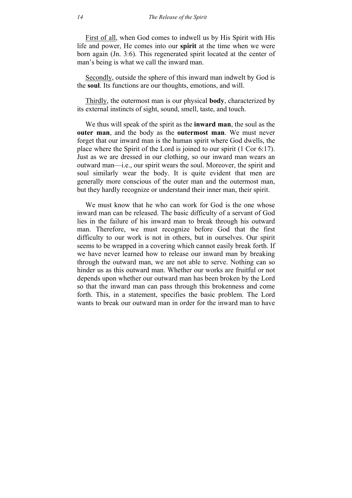First of all, when God comes to indwell us by His Spirit with His life and power, He comes into our **spirit** at the time when we were born again (Jn. 3:6). This regenerated spirit located at the center of man's being is what we call the inward man.

Secondly, outside the sphere of this inward man indwelt by God is the **soul**. Its functions are our thoughts, emotions, and will.

Thirdly, the outermost man is our physical **body**, characterized by its external instincts of sight, sound, smell, taste, and touch.

We thus will speak of the spirit as the **inward man**, the soul as the **outer man**, and the body as the **outermost man**. We must never forget that our inward man is the human spirit where God dwells, the place where the Spirit of the Lord is joined to our spirit (1 Cor 6:17). Just as we are dressed in our clothing, so our inward man wears an outward man—i.e., our spirit wears the soul. Moreover, the spirit and soul similarly wear the body. It is quite evident that men are generally more conscious of the outer man and the outermost man, but they hardly recognize or understand their inner man, their spirit.

We must know that he who can work for God is the one whose inward man can be released. The basic difficulty of a servant of God lies in the failure of his inward man to break through his outward man. Therefore, we must recognize before God that the first difficulty to our work is not in others, but in ourselves. Our spirit seems to be wrapped in a covering which cannot easily break forth. If we have never learned how to release our inward man by breaking through the outward man, we are not able to serve. Nothing can so hinder us as this outward man. Whether our works are fruitful or not depends upon whether our outward man has been broken by the Lord so that the inward man can pass through this brokenness and come forth. This, in a statement, specifies the basic problem. The Lord wants to break our outward man in order for the inward man to have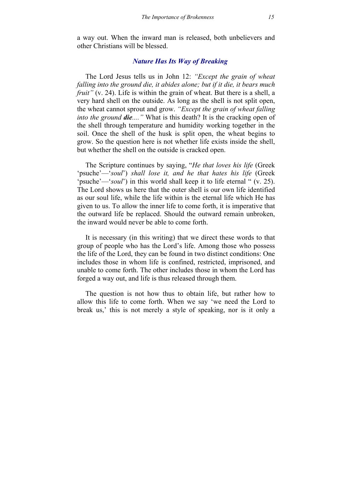a way out. When the inward man is released, both unbelievers and other Christians will be blessed.

#### *Nature Has Its Way of Breaking*

The Lord Jesus tells us in John 12: *"Except the grain of wheat falling into the ground die, it abides alone; but if it die, it bears much fruit"* (v. 24). Life is within the grain of wheat. But there is a shell, a very hard shell on the outside. As long as the shell is not split open, the wheat cannot sprout and grow. *"Except the grain of wheat falling into the ground die*...." What is this death? It is the cracking open of the shell through temperature and humidity working together in the soil. Once the shell of the husk is split open, the wheat begins to grow. So the question here is not whether life exists inside the shell, but whether the shell on the outside is cracked open.

The Scripture continues by saying, "*He that loves his life* (Greek 'psuche'—'*soul*') *shall lose it, and he that hates his life* (Greek 'psuche'—'*soul*') in this world shall keep it to life eternal " (v. 25). The Lord shows us here that the outer shell is our own life identified as our soul life, while the life within is the eternal life which He has given to us. To allow the inner life to come forth, it is imperative that the outward life be replaced. Should the outward remain unbroken, the inward would never be able to come forth.

It is necessary (in this writing) that we direct these words to that group of people who has the Lord's life. Among those who possess the life of the Lord, they can be found in two distinct conditions: One includes those in whom life is confined, restricted, imprisoned, and unable to come forth. The other includes those in whom the Lord has forged a way out, and life is thus released through them.

The question is not how thus to obtain life, but rather how to allow this life to come forth. When we say 'we need the Lord to break us,' this is not merely a style of speaking, nor is it only a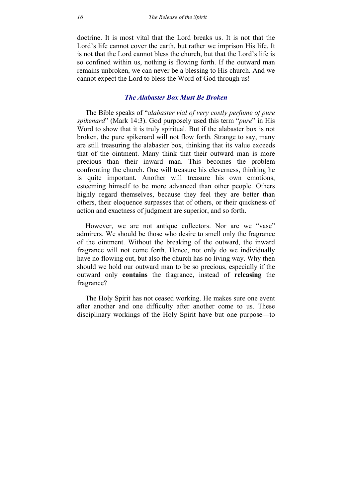doctrine. It is most vital that the Lord breaks us. It is not that the Lord's life cannot cover the earth, but rather we imprison His life. It is not that the Lord cannot bless the church, but that the Lord's life is so confined within us, nothing is flowing forth. If the outward man remains unbroken, we can never be a blessing to His church. And we cannot expect the Lord to bless the Word of God through us!

#### *The Alabaster Box Must Be Broken*

The Bible speaks of "*alabaster vial of very costly perfume of pure spikenard*" (Mark 14:3). God purposely used this term "*pure*" in His Word to show that it is truly spiritual. But if the alabaster box is not broken, the pure spikenard will not flow forth. Strange to say, many are still treasuring the alabaster box, thinking that its value exceeds that of the ointment. Many think that their outward man is more precious than their inward man. This becomes the problem confronting the church. One will treasure his cleverness, thinking he is quite important. Another will treasure his own emotions, esteeming himself to be more advanced than other people. Others highly regard themselves, because they feel they are better than others, their eloquence surpasses that of others, or their quickness of action and exactness of judgment are superior, and so forth.

However, we are not antique collectors. Nor are we "vase" admirers. We should be those who desire to smell only the fragrance of the ointment. Without the breaking of the outward, the inward fragrance will not come forth. Hence, not only do we individually have no flowing out, but also the church has no living way. Why then should we hold our outward man to be so precious, especially if the outward only **contains** the fragrance, instead of **releasing** the fragrance?

The Holy Spirit has not ceased working. He makes sure one event after another and one difficulty after another come to us. These disciplinary workings of the Holy Spirit have but one purpose—to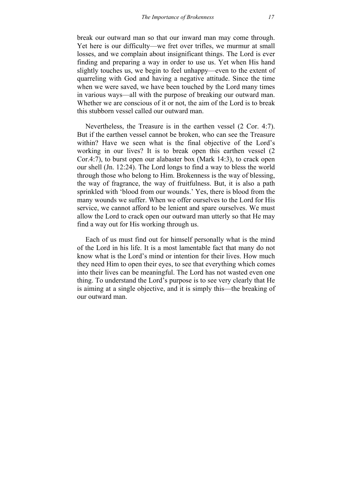break our outward man so that our inward man may come through. Yet here is our difficulty—we fret over trifles, we murmur at small losses, and we complain about insignificant things. The Lord is ever finding and preparing a way in order to use us. Yet when His hand slightly touches us, we begin to feel unhappy—even to the extent of quarreling with God and having a negative attitude. Since the time when we were saved, we have been touched by the Lord many times in various ways—all with the purpose of breaking our outward man. Whether we are conscious of it or not, the aim of the Lord is to break this stubborn vessel called our outward man.

Nevertheless, the Treasure is in the earthen vessel (2 Cor. 4:7). But if the earthen vessel cannot be broken, who can see the Treasure within? Have we seen what is the final objective of the Lord's working in our lives? It is to break open this earthen vessel (2 Cor.4:7), to burst open our alabaster box (Mark 14:3), to crack open our shell (Jn. 12:24). The Lord longs to find a way to bless the world through those who belong to Him. Brokenness is the way of blessing, the way of fragrance, the way of fruitfulness. But, it is also a path sprinkled with 'blood from our wounds.' Yes, there is blood from the many wounds we suffer. When we offer ourselves to the Lord for His service, we cannot afford to be lenient and spare ourselves. We must allow the Lord to crack open our outward man utterly so that He may find a way out for His working through us.

Each of us must find out for himself personally what is the mind of the Lord in his life. It is a most lamentable fact that many do not know what is the Lord's mind or intention for their lives. How much they need Him to open their eyes, to see that everything which comes into their lives can be meaningful. The Lord has not wasted even one thing. To understand the Lord's purpose is to see very clearly that He is aiming at a single objective, and it is simply this—the breaking of our outward man.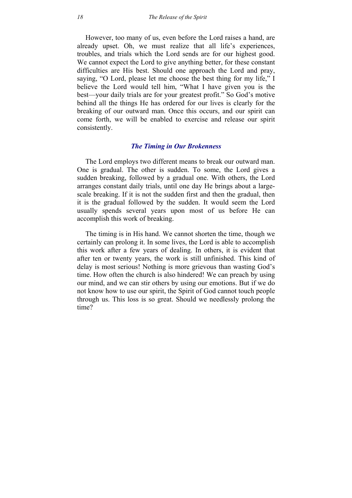However, too many of us, even before the Lord raises a hand, are already upset. Oh, we must realize that all life's experiences, troubles, and trials which the Lord sends are for our highest good. We cannot expect the Lord to give anything better, for these constant difficulties are His best. Should one approach the Lord and pray, saying, "O Lord, please let me choose the best thing for my life," I believe the Lord would tell him, "What I have given you is the best—your daily trials are for your greatest profit." So God's motive behind all the things He has ordered for our lives is clearly for the breaking of our outward man. Once this occurs, and our spirit can come forth, we will be enabled to exercise and release our spirit consistently.

#### *The Timing in Our Brokenness*

The Lord employs two different means to break our outward man. One is gradual. The other is sudden. To some, the Lord gives a sudden breaking, followed by a gradual one. With others, the Lord arranges constant daily trials, until one day He brings about a largescale breaking. If it is not the sudden first and then the gradual, then it is the gradual followed by the sudden. It would seem the Lord usually spends several years upon most of us before He can accomplish this work of breaking.

The timing is in His hand. We cannot shorten the time, though we certainly can prolong it. In some lives, the Lord is able to accomplish this work after a few years of dealing. In others, it is evident that after ten or twenty years, the work is still unfinished. This kind of delay is most serious! Nothing is more grievous than wasting God's time. How often the church is also hindered! We can preach by using our mind, and we can stir others by using our emotions. But if we do not know how to use our spirit, the Spirit of God cannot touch people through us. This loss is so great. Should we needlessly prolong the time?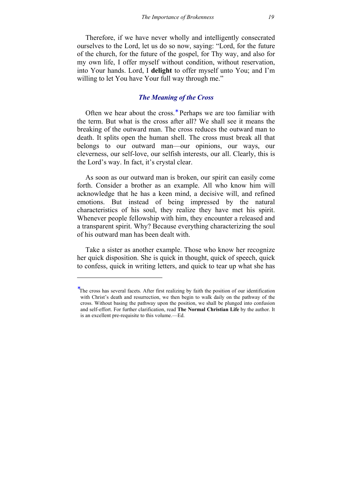Therefore, if we have never wholly and intelligently consecrated ourselves to the Lord, let us do so now, saying: "Lord, for the future of the church, for the future of the gospel, for Thy way, and also for my own life, I offer myself without condition, without reservation, into Your hands. Lord, I **delight** to offer myself unto You; and I'm willing to let You have Your full way through me."

### *The Meaning of the Cross*

Often we hear about the cross.<sup>\*</sup> Perhaps we are too familiar with the term. But what is the cross after all? We shall see it means the breaking of the outward man. The cross reduces the outward man to death. It splits open the human shell. The cross must break all that belongs to our outward man—our opinions, our ways, our cleverness, our self-love, our selfish interests, our all. Clearly, this is the Lord's way. In fact, it's crystal clear.

As soon as our outward man is broken, our spirit can easily come forth. Consider a brother as an example. All who know him will acknowledge that he has a keen mind, a decisive will, and refined emotions. But instead of being impressed by the natural characteristics of his soul, they realize they have met his spirit. Whenever people fellowship with him, they encounter a released and a transparent spirit. Why? Because everything characterizing the soul of his outward man has been dealt with.

Take a sister as another example. Those who know her recognize her quick disposition. She is quick in thought, quick of speech, quick to confess, quick in writing letters, and quick to tear up what she has

 $\overline{a}$ 

<sup>∗</sup> The cross has several facets. After first realizing by faith the position of our identification with Christ's death and resurrection, we then begin to walk daily on the pathway of the cross. Without basing the pathway upon the position, we shall be plunged into confusion and self-effort. For further clarification, read **The Normal Christian Life** by the author. It is an excellent pre-requisite to this volume.—Ed.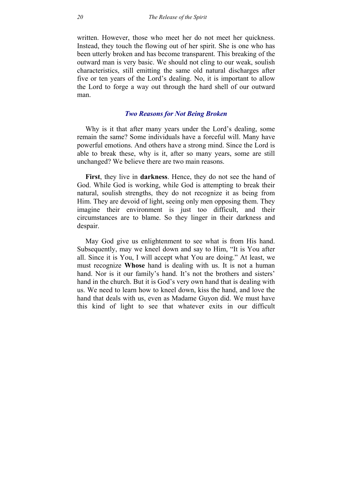written. However, those who meet her do not meet her quickness. Instead, they touch the flowing out of her spirit. She is one who has been utterly broken and has become transparent. This breaking of the outward man is very basic. We should not cling to our weak, soulish characteristics, still emitting the same old natural discharges after five or ten years of the Lord's dealing. No, it is important to allow the Lord to forge a way out through the hard shell of our outward man.

#### *Two Reasons for Not Being Broken*

Why is it that after many years under the Lord's dealing, some remain the same? Some individuals have a forceful will. Many have powerful emotions. And others have a strong mind. Since the Lord is able to break these, why is it, after so many years, some are still unchanged? We believe there are two main reasons.

**First**, they live in **darkness**. Hence, they do not see the hand of God. While God is working, while God is attempting to break their natural, soulish strengths, they do not recognize it as being from Him. They are devoid of light, seeing only men opposing them. They imagine their environment is just too difficult, and their circumstances are to blame. So they linger in their darkness and despair.

May God give us enlightenment to see what is from His hand. Subsequently, may we kneel down and say to Him, "It is You after all. Since it is You, I will accept what You are doing." At least, we must recognize **Whose** hand is dealing with us. It is not a human hand. Nor is it our family's hand. It's not the brothers and sisters' hand in the church. But it is God's very own hand that is dealing with us. We need to learn how to kneel down, kiss the hand, and love the hand that deals with us, even as Madame Guyon did. We must have this kind of light to see that whatever exits in our difficult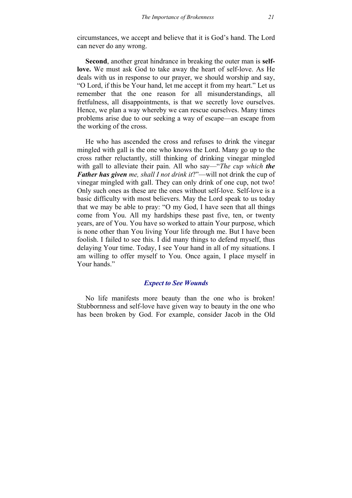circumstances, we accept and believe that it is God's hand. The Lord can never do any wrong.

**Second**, another great hindrance in breaking the outer man is **selflove.** We must ask God to take away the heart of self-love. As He deals with us in response to our prayer, we should worship and say, "O Lord, if this be Your hand, let me accept it from my heart." Let us remember that the one reason for all misunderstandings, all fretfulness, all disappointments, is that we secretly love ourselves. Hence, we plan a way whereby we can rescue ourselves. Many times problems arise due to our seeking a way of escape—an escape from the working of the cross.

He who has ascended the cross and refuses to drink the vinegar mingled with gall is the one who knows the Lord. Many go up to the cross rather reluctantly, still thinking of drinking vinegar mingled with gall to alleviate their pain. All who say—"*The cup which the Father has given me, shall I not drink it*?"—will not drink the cup of vinegar mingled with gall. They can only drink of one cup, not two! Only such ones as these are the ones without self-love. Self-love is a basic difficulty with most believers. May the Lord speak to us today that we may be able to pray: "O my God, I have seen that all things come from You. All my hardships these past five, ten, or twenty years, are of You. You have so worked to attain Your purpose, which is none other than You living Your life through me. But I have been foolish. I failed to see this. I did many things to defend myself, thus delaying Your time. Today, I see Your hand in all of my situations. I am willing to offer myself to You. Once again, I place myself in Your hands."

#### *Expect to See Wounds*

No life manifests more beauty than the one who is broken! Stubbornness and self-love have given way to beauty in the one who has been broken by God. For example, consider Jacob in the Old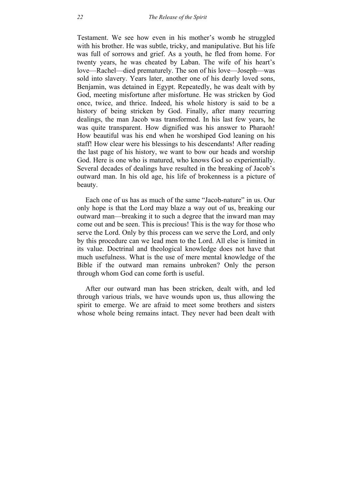Testament. We see how even in his mother's womb he struggled with his brother. He was subtle, tricky, and manipulative. But his life was full of sorrows and grief. As a youth, he fled from home. For twenty years, he was cheated by Laban. The wife of his heart's love—Rachel—died prematurely. The son of his love—Joseph—was sold into slavery. Years later, another one of his dearly loved sons, Benjamin, was detained in Egypt. Repeatedly, he was dealt with by God, meeting misfortune after misfortune. He was stricken by God once, twice, and thrice. Indeed, his whole history is said to be a history of being stricken by God. Finally, after many recurring dealings, the man Jacob was transformed. In his last few years, he was quite transparent. How dignified was his answer to Pharaoh! How beautiful was his end when he worshiped God leaning on his staff! How clear were his blessings to his descendants! After reading the last page of his history, we want to bow our heads and worship God. Here is one who is matured, who knows God so experientially. Several decades of dealings have resulted in the breaking of Jacob's outward man. In his old age, his life of brokenness is a picture of beauty.

Each one of us has as much of the same "Jacob-nature" in us. Our only hope is that the Lord may blaze a way out of us, breaking our outward man—breaking it to such a degree that the inward man may come out and be seen. This is precious! This is the way for those who serve the Lord. Only by this process can we serve the Lord, and only by this procedure can we lead men to the Lord. All else is limited in its value. Doctrinal and theological knowledge does not have that much usefulness. What is the use of mere mental knowledge of the Bible if the outward man remains unbroken? Only the person through whom God can come forth is useful.

After our outward man has been stricken, dealt with, and led through various trials, we have wounds upon us, thus allowing the spirit to emerge. We are afraid to meet some brothers and sisters whose whole being remains intact. They never had been dealt with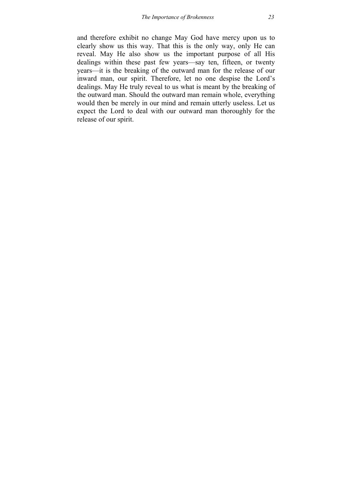and therefore exhibit no change May God have mercy upon us to clearly show us this way. That this is the only way, only He can reveal. May He also show us the important purpose of all His dealings within these past few years—say ten, fifteen, or twenty years—it is the breaking of the outward man for the release of our inward man, our spirit. Therefore, let no one despise the Lord's dealings. May He truly reveal to us what is meant by the breaking of the outward man. Should the outward man remain whole, everything would then be merely in our mind and remain utterly useless. Let us expect the Lord to deal with our outward man thoroughly for the release of our spirit.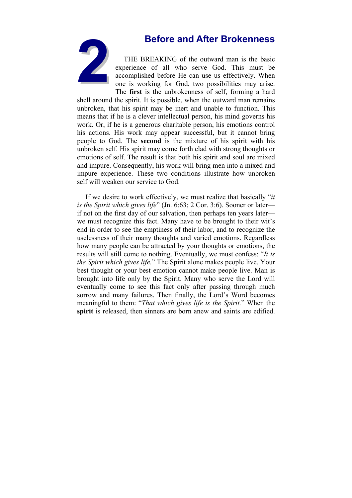<span id="page-24-0"></span>**2Before and After Brokenness**<br> **2Before and After Brokenness**<br> **2Before and After Brokenness**<br> **2Before the can use use of fectively.** When<br>
one is working for God, two possibilities may arise.<br>
The first is the unbrokenn THE BREAKING of the outward man is the basic experience of all who serve God. This must be accomplished before He can use us effectively. When one is working for God, two possibilities may arise. The **first** is the unbrokenness of self, forming a hard

shell around the spirit. It is possible, when the outward man remains unbroken, that his spirit may be inert and unable to function. This means that if he is a clever intellectual person, his mind governs his work. Or, if he is a generous charitable person, his emotions control his actions. His work may appear successful, but it cannot bring people to God. The **second** is the mixture of his spirit with his unbroken self. His spirit may come forth clad with strong thoughts or emotions of self. The result is that both his spirit and soul are mixed and impure. Consequently, his work will bring men into a mixed and impure experience. These two conditions illustrate how unbroken self will weaken our service to God.

If we desire to work effectively, we must realize that basically "*it is the Spirit which gives life*" (Jn. 6:63; 2 Cor. 3:6). Sooner or later if not on the first day of our salvation, then perhaps ten years later we must recognize this fact. Many have to be brought to their wit's end in order to see the emptiness of their labor, and to recognize the uselessness of their many thoughts and varied emotions. Regardless how many people can be attracted by your thoughts or emotions, the results will still come to nothing. Eventually, we must confess: "*It is the Spirit which gives life.*" The Spirit alone makes people live. Your best thought or your best emotion cannot make people live. Man is brought into life only by the Spirit. Many who serve the Lord will eventually come to see this fact only after passing through much sorrow and many failures. Then finally, the Lord's Word becomes meaningful to them: "*That which gives life is the Spirit.*" When the **spirit** is released, then sinners are born anew and saints are edified.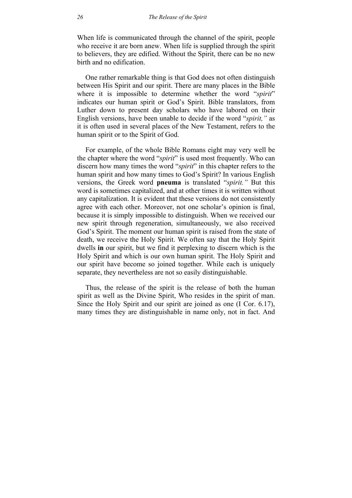When life is communicated through the channel of the spirit, people who receive it are born anew. When life is supplied through the spirit to believers, they are edified. Without the Spirit, there can be no new birth and no edification.

One rather remarkable thing is that God does not often distinguish between His Spirit and our spirit. There are many places in the Bible where it is impossible to determine whether the word "*spirit*" indicates our human spirit or God's Spirit. Bible translators, from Luther down to present day scholars who have labored on their English versions, have been unable to decide if the word "*spirit,"* as it is often used in several places of the New Testament, refers to the human spirit or to the Spirit of God.

For example, of the whole Bible Romans eight may very well be the chapter where the word "*spirit*" is used most frequently. Who can discern how many times the word "*spirit*" in this chapter refers to the human spirit and how many times to God's Spirit? In various English versions, the Greek word **pneuma** is translated "*spirit."* But this word is sometimes capitalized, and at other times it is written without any capitalization. It is evident that these versions do not consistently agree with each other. Moreover, not one scholar's opinion is final, because it is simply impossible to distinguish. When we received our new spirit through regeneration, simultaneously, we also received God's Spirit. The moment our human spirit is raised from the state of death, we receive the Holy Spirit. We often say that the Holy Spirit dwells **in** our spirit, but we find it perplexing to discern which is the Holy Spirit and which is our own human spirit. The Holy Spirit and our spirit have become so joined together. While each is uniquely separate, they nevertheless are not so easily distinguishable.

Thus, the release of the spirit is the release of both the human spirit as well as the Divine Spirit, Who resides in the spirit of man. Since the Holy Spirit and our spirit are joined as one (I Cor. 6.17), many times they are distinguishable in name only, not in fact. And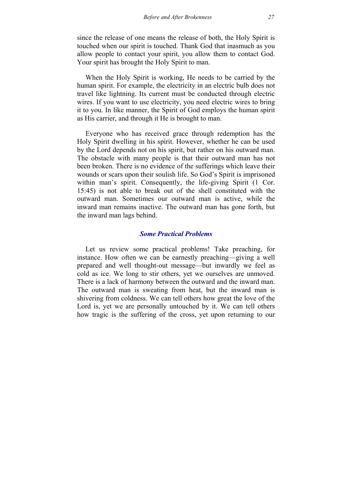since the release of one means the release of both, the Holy Spirit is touched when our spirit is touched. Thank God that inasmuch as you allow people to contact your spirit, you allow them to contact God. Your spirit has brought the Holy Spirit to man.

When the Holy Spirit is working, He needs to be carried by the human spirit. For example, the electricity in an electric bulb does not travel like lightning. Its current must be conducted through electric wires. If you want to use electricity, you need electric wires to bring it to you. In like manner, the Spirit of God employs the human spirit as His carrier, and through it He is brought to man.

Everyone who has received grace through redemption has the Holy Spirit dwelling in his spirit. However, whether he can be used by the Lord depends not on his spirit, but rather on his outward man. The obstacle with many people is that their outward man has not been broken. There is no evidence of the sufferings which leave their wounds or scars upon their soulish life. So God's Spirit is imprisoned within man's spirit. Consequently, the life-giving Spirit (1 Cor. 15:45) is not able to break out of the shell constituted with the outward man. Sometimes our outward man is active, while the inward man remains inactive. The outward man has gone forth, but the inward man lags behind.

#### *Some Practical Problems*

Let us review some practical problems! Take preaching, for instance. How often we can be earnestly preaching—giving a well prepared and well thought-out message—but inwardly we feel as cold as ice. We long to stir others, yet we ourselves are unmoved. There is a lack of harmony between the outward and the inward man. The outward man is sweating from heat, but the inward man is shivering from coldness. We can tell others how great the love of the Lord is, yet we are personally untouched by it. We can tell others how tragic is the suffering of the cross, yet upon returning to our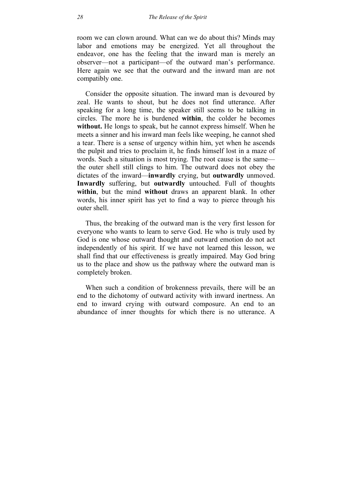room we can clown around. What can we do about this? Minds may labor and emotions may be energized. Yet all throughout the endeavor, one has the feeling that the inward man is merely an observer—not a participant—of the outward man's performance. Here again we see that the outward and the inward man are not compatibly one.

Consider the opposite situation. The inward man is devoured by zeal. He wants to shout, but he does not find utterance. After speaking for a long time, the speaker still seems to be talking in circles. The more he is burdened **within**, the colder he becomes **without.** He longs to speak, but he cannot express himself. When he meets a sinner and his inward man feels like weeping, he cannot shed a tear. There is a sense of urgency within him, yet when he ascends the pulpit and tries to proclaim it, he finds himself lost in a maze of words. Such a situation is most trying. The root cause is the same the outer shell still clings to him. The outward does not obey the dictates of the inward—**inwardly** crying, but **outwardly** unmoved. **Inwardly** suffering, but **outwardly** untouched. Full of thoughts **within**, but the mind **without** draws an apparent blank. In other words, his inner spirit has yet to find a way to pierce through his outer shell.

Thus, the breaking of the outward man is the very first lesson for everyone who wants to learn to serve God. He who is truly used by God is one whose outward thought and outward emotion do not act independently of his spirit. If we have not learned this lesson, we shall find that our effectiveness is greatly impaired. May God bring us to the place and show us the pathway where the outward man is completely broken.

When such a condition of brokenness prevails, there will be an end to the dichotomy of outward activity with inward inertness. An end to inward crying with outward composure. An end to an abundance of inner thoughts for which there is no utterance. A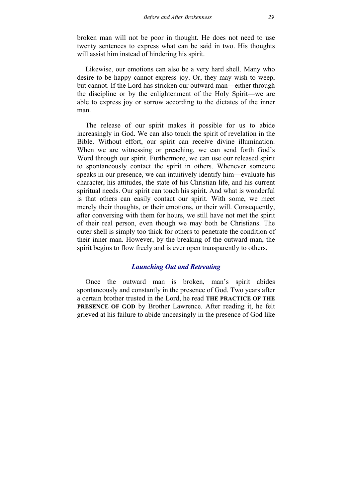broken man will not be poor in thought. He does not need to use twenty sentences to express what can be said in two. His thoughts will assist him instead of hindering his spirit.

Likewise, our emotions can also be a very hard shell. Many who desire to be happy cannot express joy. Or, they may wish to weep, but cannot. If the Lord has stricken our outward man—either through the discipline or by the enlightenment of the Holy Spirit—we are able to express joy or sorrow according to the dictates of the inner man.

The release of our spirit makes it possible for us to abide increasingly in God. We can also touch the spirit of revelation in the Bible. Without effort, our spirit can receive divine illumination. When we are witnessing or preaching, we can send forth God's Word through our spirit. Furthermore, we can use our released spirit to spontaneously contact the spirit in others. Whenever someone speaks in our presence, we can intuitively identify him—evaluate his character, his attitudes, the state of his Christian life, and his current spiritual needs. Our spirit can touch his spirit. And what is wonderful is that others can easily contact our spirit. With some, we meet merely their thoughts, or their emotions, or their will. Consequently, after conversing with them for hours, we still have not met the spirit of their real person, even though we may both be Christians. The outer shell is simply too thick for others to penetrate the condition of their inner man. However, by the breaking of the outward man, the spirit begins to flow freely and is ever open transparently to others.

### *Launching Out and Retreating*

Once the outward man is broken, man's spirit abides spontaneously and constantly in the presence of God. Two years after a certain brother trusted in the Lord, he read **THE PRACTICE OF THE PRESENCE OF GOD** by Brother Lawrence. After reading it, he felt grieved at his failure to abide unceasingly in the presence of God like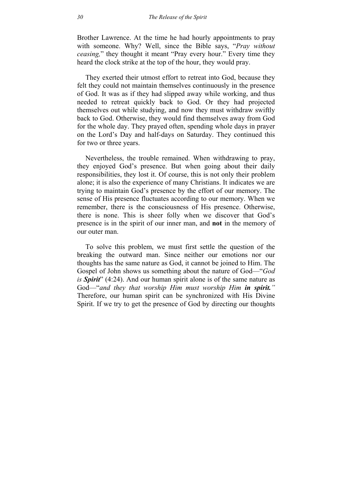Brother Lawrence. At the time he had hourly appointments to pray with someone. Why? Well, since the Bible says, "*Pray without ceasing,*" they thought it meant "Pray every hour." Every time they heard the clock strike at the top of the hour, they would pray.

They exerted their utmost effort to retreat into God, because they felt they could not maintain themselves continuously in the presence of God. It was as if they had slipped away while working, and thus needed to retreat quickly back to God. Or they had projected themselves out while studying, and now they must withdraw swiftly back to God. Otherwise, they would find themselves away from God for the whole day. They prayed often, spending whole days in prayer on the Lord's Day and half-days on Saturday. They continued this for two or three years.

Nevertheless, the trouble remained. When withdrawing to pray, they enjoyed God's presence. But when going about their daily responsibilities, they lost it. Of course, this is not only their problem alone; it is also the experience of many Christians. It indicates we are trying to maintain God's presence by the effort of our memory. The sense of His presence fluctuates according to our memory. When we remember, there is the consciousness of His presence. Otherwise, there is none. This is sheer folly when we discover that God's presence is in the spirit of our inner man, and **not** in the memory of our outer man.

To solve this problem, we must first settle the question of the breaking the outward man. Since neither our emotions nor our thoughts has the same nature as God, it cannot be joined to Him. The Gospel of John shows us something about the nature of God—"*God is Spirit*" (4:24). And our human spirit alone is of the same nature as God—"*and they that worship Him must worship Him in spirit."* Therefore, our human spirit can be synchronized with His Divine Spirit. If we try to get the presence of God by directing our thoughts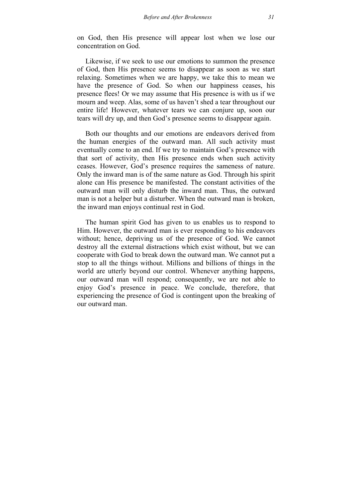on God, then His presence will appear lost when we lose our concentration on God.

Likewise, if we seek to use our emotions to summon the presence of God, then His presence seems to disappear as soon as we start relaxing. Sometimes when we are happy, we take this to mean we have the presence of God. So when our happiness ceases, his presence flees! Or we may assume that His presence is with us if we mourn and weep. Alas, some of us haven't shed a tear throughout our entire life! However, whatever tears we can conjure up, soon our tears will dry up, and then God's presence seems to disappear again.

Both our thoughts and our emotions are endeavors derived from the human energies of the outward man. All such activity must eventually come to an end. If we try to maintain God's presence with that sort of activity, then His presence ends when such activity ceases. However, God's presence requires the sameness of nature. Only the inward man is of the same nature as God. Through his spirit alone can His presence be manifested. The constant activities of the outward man will only disturb the inward man. Thus, the outward man is not a helper but a disturber. When the outward man is broken, the inward man enjoys continual rest in God.

The human spirit God has given to us enables us to respond to Him. However, the outward man is ever responding to his endeavors without; hence, depriving us of the presence of God. We cannot destroy all the external distractions which exist without, but we can cooperate with God to break down the outward man. We cannot put a stop to all the things without. Millions and billions of things in the world are utterly beyond our control. Whenever anything happens, our outward man will respond; consequently, we are not able to enjoy God's presence in peace. We conclude, therefore, that experiencing the presence of God is contingent upon the breaking of our outward man.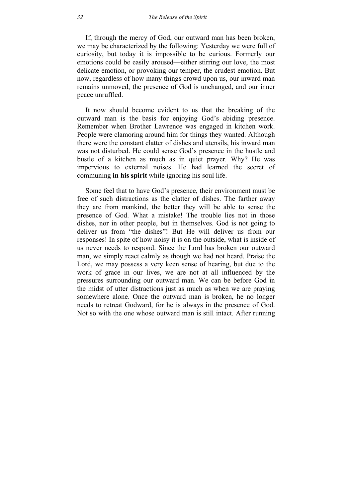If, through the mercy of God, our outward man has been broken, we may be characterized by the following: Yesterday we were full of curiosity, but today it is impossible to be curious. Formerly our emotions could be easily aroused—either stirring our love, the most delicate emotion, or provoking our temper, the crudest emotion. But now, regardless of how many things crowd upon us, our inward man remains unmoved, the presence of God is unchanged, and our inner peace unruffled.

It now should become evident to us that the breaking of the outward man is the basis for enjoying God's abiding presence. Remember when Brother Lawrence was engaged in kitchen work. People were clamoring around him for things they wanted. Although there were the constant clatter of dishes and utensils, his inward man was not disturbed. He could sense God's presence in the hustle and bustle of a kitchen as much as in quiet prayer. Why? He was impervious to external noises. He had learned the secret of communing **in his spirit** while ignoring his soul life.

Some feel that to have God's presence, their environment must be free of such distractions as the clatter of dishes. The farther away they are from mankind, the better they will be able to sense the presence of God. What a mistake! The trouble lies not in those dishes, nor in other people, but in themselves. God is not going to deliver us from "the dishes"! But He will deliver us from our responses! In spite of how noisy it is on the outside, what is inside of us never needs to respond. Since the Lord has broken our outward man, we simply react calmly as though we had not heard. Praise the Lord, we may possess a very keen sense of hearing, but due to the work of grace in our lives, we are not at all influenced by the pressures surrounding our outward man. We can be before God in the midst of utter distractions just as much as when we are praying somewhere alone. Once the outward man is broken, he no longer needs to retreat Godward, for he is always in the presence of God. Not so with the one whose outward man is still intact. After running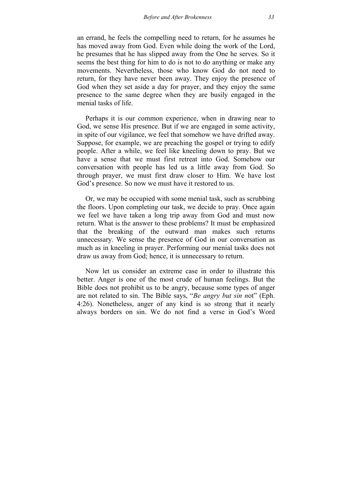an errand, he feels the compelling need to return, for he assumes he has moved away from God. Even while doing the work of the Lord, he presumes that he has slipped away from the One he serves. So it seems the best thing for him to do is not to do anything or make any movements. Nevertheless, those who know God do not need to return, for they have never been away. They enjoy the presence of God when they set aside a day for prayer, and they enjoy the same presence to the same degree when they are busily engaged in the menial tasks of life.

Perhaps it is our common experience, when in drawing near to God, we sense His presence. But if we are engaged in some activity, in spite of our vigilance, we feel that somehow we have drifted away. Suppose, for example, we are preaching the gospel or trying to edify people. After a while, we feel like kneeling down to pray. But we have a sense that we must first retreat into God. Somehow our conversation with people has led us a little away from God. So through prayer, we must first draw closer to Him. We have lost God's presence. So now we must have it restored to us.

Or, we may be occupied with some menial task, such as scrubbing the floors. Upon completing our task, we decide to pray. Once again we feel we have taken a long trip away from God and must now return. What is the answer to these problems? It must be emphasized that the breaking of the outward man makes such returns unnecessary. We sense the presence of God in our conversation as much as in kneeling in prayer. Performing our menial tasks does not draw us away from God; hence, it is unnecessary to return.

Now let us consider an extreme case in order to illustrate this better. Anger is one of the most crude of human feelings. But the Bible does not prohibit us to be angry, because some types of anger are not related to sin. The Bible says, "*Be angry but sin n*ot" (Eph. 4:26). Nonetheless, anger of any kind is so strong that it nearly always borders on sin. We do not find a verse in God's Word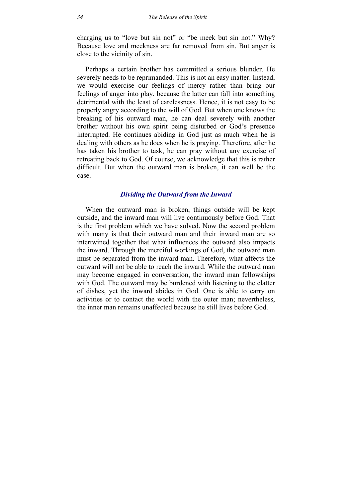charging us to "love but sin not" or "be meek but sin not." Why? Because love and meekness are far removed from sin. But anger is close to the vicinity of sin.

Perhaps a certain brother has committed a serious blunder. He severely needs to be reprimanded. This is not an easy matter. Instead, we would exercise our feelings of mercy rather than bring our feelings of anger into play, because the latter can fall into something detrimental with the least of carelessness. Hence, it is not easy to be properly angry according to the will of God. But when one knows the breaking of his outward man, he can deal severely with another brother without his own spirit being disturbed or God's presence interrupted. He continues abiding in God just as much when he is dealing with others as he does when he is praying. Therefore, after he has taken his brother to task, he can pray without any exercise of retreating back to God. Of course, we acknowledge that this is rather difficult. But when the outward man is broken, it can well be the case.

### *Dividing the Outward from the Inward*

When the outward man is broken, things outside will be kept outside, and the inward man will live continuously before God. That is the first problem which we have solved. Now the second problem with many is that their outward man and their inward man are so intertwined together that what influences the outward also impacts the inward. Through the merciful workings of God, the outward man must be separated from the inward man. Therefore, what affects the outward will not be able to reach the inward. While the outward man may become engaged in conversation, the inward man fellowships with God. The outward may be burdened with listening to the clatter of dishes, yet the inward abides in God. One is able to carry on activities or to contact the world with the outer man; nevertheless, the inner man remains unaffected because he still lives before God.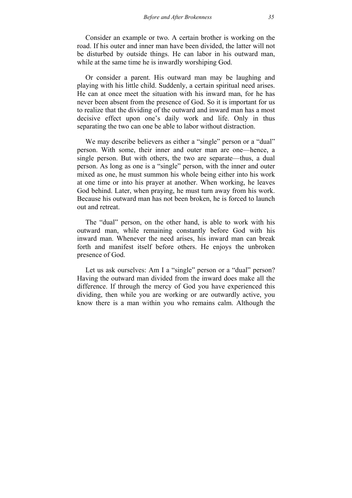Consider an example or two. A certain brother is working on the road. If his outer and inner man have been divided, the latter will not be disturbed by outside things. He can labor in his outward man, while at the same time he is inwardly worshiping God.

Or consider a parent. His outward man may be laughing and playing with his little child. Suddenly, a certain spiritual need arises. He can at once meet the situation with his inward man, for he has never been absent from the presence of God. So it is important for us to realize that the dividing of the outward and inward man has a most decisive effect upon one's daily work and life. Only in thus separating the two can one be able to labor without distraction.

We may describe believers as either a "single" person or a "dual" person. With some, their inner and outer man are one—hence, a single person. But with others, the two are separate—thus, a dual person. As long as one is a "single" person, with the inner and outer mixed as one, he must summon his whole being either into his work at one time or into his prayer at another. When working, he leaves God behind. Later, when praying, he must turn away from his work. Because his outward man has not been broken, he is forced to launch out and retreat.

The "dual" person, on the other hand, is able to work with his outward man, while remaining constantly before God with his inward man. Whenever the need arises, his inward man can break forth and manifest itself before others. He enjoys the unbroken presence of God.

Let us ask ourselves: Am I a "single" person or a "dual" person? Having the outward man divided from the inward does make all the difference. If through the mercy of God you have experienced this dividing, then while you are working or are outwardly active, you know there is a man within you who remains calm. Although the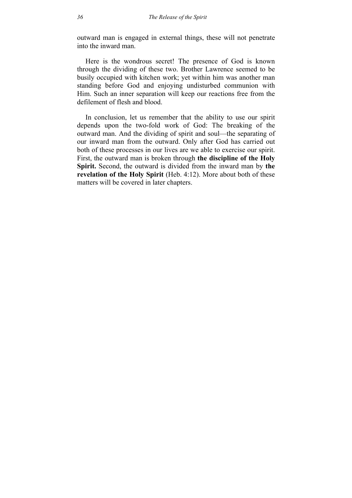outward man is engaged in external things, these will not penetrate into the inward man.

Here is the wondrous secret! The presence of God is known through the dividing of these two. Brother Lawrence seemed to be busily occupied with kitchen work; yet within him was another man standing before God and enjoying undisturbed communion with Him. Such an inner separation will keep our reactions free from the defilement of flesh and blood.

In conclusion, let us remember that the ability to use our spirit depends upon the two-fold work of God: The breaking of the outward man. And the dividing of spirit and soul—the separating of our inward man from the outward. Only after God has carried out both of these processes in our lives are we able to exercise our spirit. First, the outward man is broken through **the discipline of the Holy Spirit.** Second, the outward is divided from the inward man by **the revelation of the Holy Spirit** (Heb. 4:12). More about both of these matters will be covered in later chapters.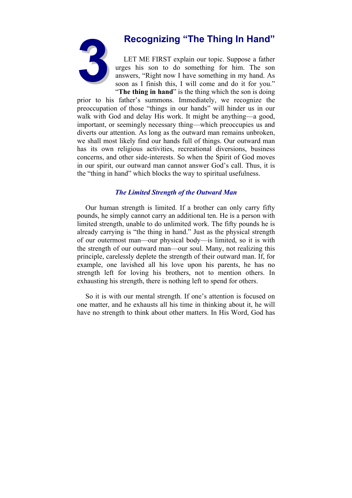# **3Recognizing "The Thing In Hand"**



LET ME FIRST explain our topic. Suppose a father urges his son to do something for him. The son answers, "Right now I have something in my hand. As soon as I finish this, I will come and do it for you." "**The thing in hand**" is the thing which the son is doing

prior to his father's summons. Immediately, we recognize the preoccupation of those "things in our hands" will hinder us in our walk with God and delay His work. It might be anything—a good, important, or seemingly necessary thing—which preoccupies us and diverts our attention. As long as the outward man remains unbroken, we shall most likely find our hands full of things. Our outward man has its own religious activities, recreational diversions, business concerns, and other side-interests. So when the Spirit of God moves in our spirit, our outward man cannot answer God's call. Thus, it is the "thing in hand" which blocks the way to spiritual usefulness.

# *The Limited Strength of the Outward Man*

Our human strength is limited. If a brother can only carry fifty pounds, he simply cannot carry an additional ten. He is a person with limited strength, unable to do unlimited work. The fifty pounds he is already carrying is "the thing in hand." Just as the physical strength of our outermost man—our physical body—is limited, so it is with the strength of our outward man—our soul. Many, not realizing this principle, carelessly deplete the strength of their outward man. If, for example, one lavished all his love upon his parents, he has no strength left for loving his brothers, not to mention others. In exhausting his strength, there is nothing left to spend for others.

So it is with our mental strength. If one's attention is focused on one matter, and he exhausts all his time in thinking about it, he will have no strength to think about other matters. In His Word, God has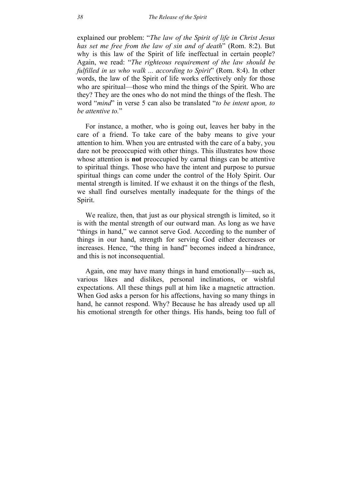explained our problem: "*The law of the Spirit of life in Christ Jesus has set me free from the law of sin and of death*" (Rom. 8:2). But why is this law of the Spirit of life ineffectual in certain people? Again, we read: "*The righteous requirement of the law should be fulfilled in us who walk ... according to Spirit*" (Rom. 8:4). In other words, the law of the Spirit of life works effectively only for those who are spiritual—those who mind the things of the Spirit. Who are they? They are the ones who do not mind the things of the flesh. The word "*mind*" in verse 5 can also be translated "*to be intent upon, to be attentive to.*"

For instance, a mother, who is going out, leaves her baby in the care of a friend. To take care of the baby means to give your attention to him. When you are entrusted with the care of a baby, you dare not be preoccupied with other things. This illustrates how those whose attention is **not** preoccupied by carnal things can be attentive to spiritual things. Those who have the intent and purpose to pursue spiritual things can come under the control of the Holy Spirit. Our mental strength is limited. If we exhaust it on the things of the flesh, we shall find ourselves mentally inadequate for the things of the Spirit.

We realize, then, that just as our physical strength is limited, so it is with the mental strength of our outward man. As long as we have "things in hand," we cannot serve God. According to the number of things in our hand, strength for serving God either decreases or increases. Hence, "the thing in hand" becomes indeed a hindrance, and this is not inconsequential.

Again, one may have many things in hand emotionally—such as, various likes and dislikes, personal inclinations, or wishful expectations. All these things pull at him like a magnetic attraction. When God asks a person for his affections, having so many things in hand, he cannot respond. Why? Because he has already used up all his emotional strength for other things. His hands, being too full of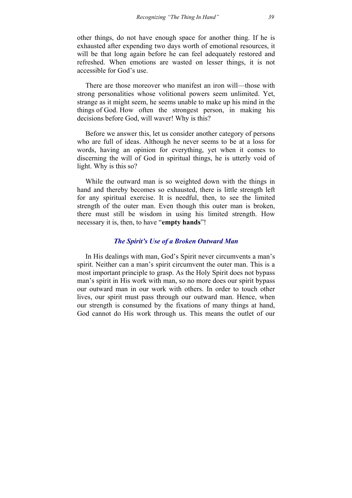other things, do not have enough space for another thing. If he is exhausted after expending two days worth of emotional resources, it will be that long again before he can feel adequately restored and refreshed. When emotions are wasted on lesser things, it is not accessible for God's use.

There are those moreover who manifest an iron will—those with strong personalities whose volitional powers seem unlimited. Yet, strange as it might seem, he seems unable to make up his mind in the things of God. How often the strongest person, in making his decisions before God, will waver! Why is this?

Before we answer this, let us consider another category of persons who are full of ideas. Although he never seems to be at a loss for words, having an opinion for everything, yet when it comes to discerning the will of God in spiritual things, he is utterly void of light. Why is this so?

While the outward man is so weighted down with the things in hand and thereby becomes so exhausted, there is little strength left for any spiritual exercise. It is needful, then, to see the limited strength of the outer man. Even though this outer man is broken, there must still be wisdom in using his limited strength. How necessary it is, then, to have "**empty hands**"!

# *The Spirit's Use of a Broken Outward Man*

In His dealings with man, God's Spirit never circumvents a man's spirit. Neither can a man's spirit circumvent the outer man. This is a most important principle to grasp. As the Holy Spirit does not bypass man's spirit in His work with man, so no more does our spirit bypass our outward man in our work with others. In order to touch other lives, our spirit must pass through our outward man. Hence, when our strength is consumed by the fixations of many things at hand, God cannot do His work through us. This means the outlet of our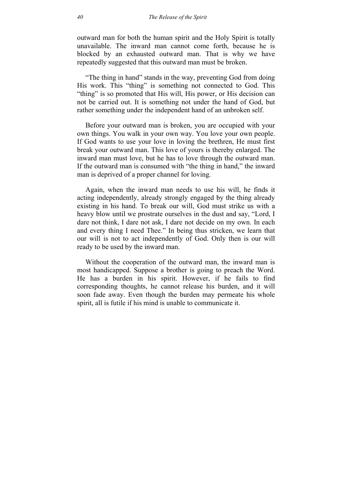outward man for both the human spirit and the Holy Spirit is totally unavailable. The inward man cannot come forth, because he is blocked by an exhausted outward man. That is why we have repeatedly suggested that this outward man must be broken.

"The thing in hand" stands in the way, preventing God from doing His work. This "thing" is something not connected to God. This "thing" is so promoted that His will, His power, or His decision can not be carried out. It is something not under the hand of God, but rather something under the independent hand of an unbroken self.

Before your outward man is broken, you are occupied with your own things. You walk in your own way. You love your own people. If God wants to use your love in loving the brethren, He must first break your outward man. This love of yours is thereby enlarged. The inward man must love, but he has to love through the outward man. If the outward man is consumed with "the thing in hand," the inward man is deprived of a proper channel for loving.

Again, when the inward man needs to use his will, he finds it acting independently, already strongly engaged by the thing already existing in his hand. To break our will, God must strike us with a heavy blow until we prostrate ourselves in the dust and say, "Lord, I dare not think, I dare not ask, I dare not decide on my own. In each and every thing I need Thee." In being thus stricken, we learn that our will is not to act independently of God. Only then is our will ready to be used by the inward man.

Without the cooperation of the outward man, the inward man is most handicapped. Suppose a brother is going to preach the Word. He has a burden in his spirit. However, if he fails to find corresponding thoughts, he cannot release his burden, and it will soon fade away. Even though the burden may permeate his whole spirit, all is futile if his mind is unable to communicate it.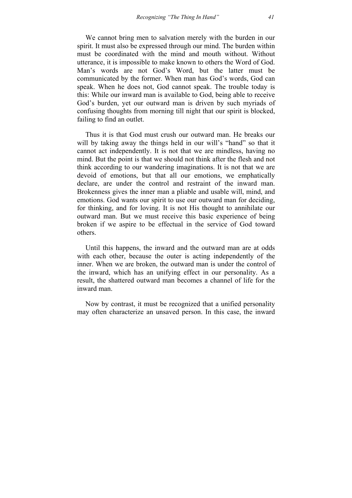We cannot bring men to salvation merely with the burden in our spirit. It must also be expressed through our mind. The burden within must be coordinated with the mind and mouth without. Without utterance, it is impossible to make known to others the Word of God. Man's words are not God's Word, but the latter must be communicated by the former. When man has God's words, God can speak. When he does not, God cannot speak. The trouble today is this: While our inward man is available to God, being able to receive God's burden, yet our outward man is driven by such myriads of confusing thoughts from morning till night that our spirit is blocked, failing to find an outlet.

Thus it is that God must crush our outward man. He breaks our will by taking away the things held in our will's "hand" so that it cannot act independently. It is not that we are mindless, having no mind. But the point is that we should not think after the flesh and not think according to our wandering imaginations. It is not that we are devoid of emotions, but that all our emotions, we emphatically declare, are under the control and restraint of the inward man. Brokenness gives the inner man a pliable and usable will, mind, and emotions. God wants our spirit to use our outward man for deciding, for thinking, and for loving. It is not His thought to annihilate our outward man. But we must receive this basic experience of being broken if we aspire to be effectual in the service of God toward others.

Until this happens, the inward and the outward man are at odds with each other, because the outer is acting independently of the inner. When we are broken, the outward man is under the control of the inward, which has an unifying effect in our personality. As a result, the shattered outward man becomes a channel of life for the inward man.

Now by contrast, it must be recognized that a unified personality may often characterize an unsaved person. In this case, the inward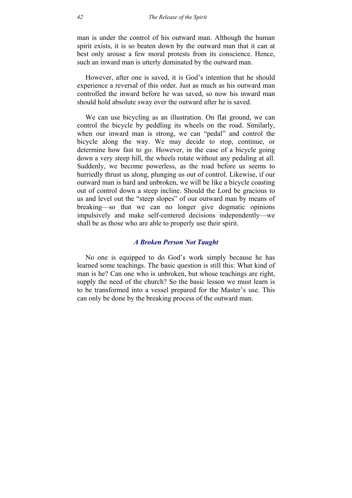man is under the control of his outward man. Although the human spirit exists, it is so beaten down by the outward man that it can at best only arouse a few moral protests from its conscience. Hence, such an inward man is utterly dominated by the outward man.

However, after one is saved, it is God's intention that he should experience a reversal of this order. Just as much as his outward man controlled the inward before he was saved, so now his inward man should hold absolute sway over the outward after he is saved.

We can use bicycling as an illustration. On flat ground, we can control the bicycle by peddling its wheels on the road. Similarly, when our inward man is strong, we can "pedal" and control the bicycle along the way. We may decide to stop, continue, or determine how fast to go. However, in the case of a bicycle going down a very steep hill, the wheels rotate without any pedaling at all. Suddenly, we become powerless, as the road before us seems to hurriedly thrust us along, plunging us out of control. Likewise, if our outward man is hard and unbroken, we will be like a bicycle coasting out of control down a steep incline. Should the Lord be gracious to us and level out the "steep slopes" of our outward man by means of breaking—so that we can no longer give dogmatic opinions impulsively and make self-centered decisions independently—we shall be as those who are able to properly use their spirit.

### *A Broken Person Not Taught*

No one is equipped to do God's work simply because he has learned some teachings. The basic question is still this: What kind of man is he? Can one who is unbroken, but whose teachings are right, supply the need of the church? So the basic lesson we must learn is to be transformed into a vessel prepared for the Master's use. This can only be done by the breaking process of the outward man.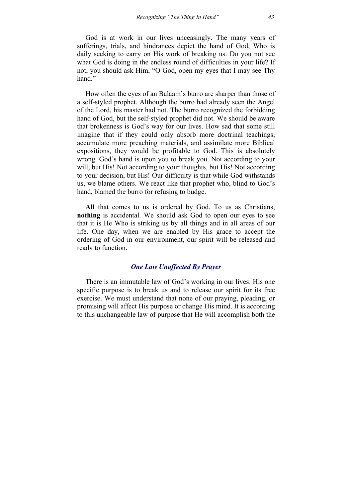God is at work in our lives unceasingly. The many years of sufferings, trials, and hindrances depict the hand of God, Who is daily seeking to carry on His work of breaking us. Do you not see what God is doing in the endless round of difficulties in your life? If not, you should ask Him, "O God, open my eyes that I may see Thy hand"

How often the eyes of an Balaam's burro are sharper than those of a self-styled prophet. Although the burro had already seen the Angel of the Lord, his master had not. The burro recognized the forbidding hand of God, but the self-styled prophet did not. We should be aware that brokenness is God's way for our lives. How sad that some still imagine that if they could only absorb more doctrinal teachings, accumulate more preaching materials, and assimilate more Biblical expositions, they would be profitable to God. This is absolutely wrong. God's hand is upon you to break you. Not according to your will, but His! Not according to your thoughts, but His! Not according to your decision, but His! Our difficulty is that while God withstands us, we blame others. We react like that prophet who, blind to God's hand, blamed the burro for refusing to budge.

**All** that comes to us is ordered by God. To us as Christians, **nothing** is accidental. We should ask God to open our eyes to see that it is He Who is striking us by all things and in all areas of our life. One day, when we are enabled by His grace to accept the ordering of God in our environment, our spirit will be released and ready to function.

# *One Law Unaffected By Prayer*

There is an immutable law of God's working in our lives: His one specific purpose is to break us and to release our spirit for its free exercise. We must understand that none of our praying, pleading, or promising will affect His purpose or change His mind. It is according to this unchangeable law of purpose that He will accomplish both the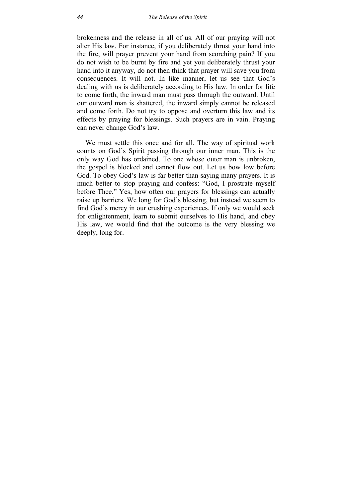brokenness and the release in all of us. All of our praying will not alter His law. For instance, if you deliberately thrust your hand into the fire, will prayer prevent your hand from scorching pain? If you do not wish to be burnt by fire and yet you deliberately thrust your hand into it anyway, do not then think that prayer will save you from consequences. It will not. In like manner, let us see that God's dealing with us is deliberately according to His law. In order for life to come forth, the inward man must pass through the outward. Until our outward man is shattered, the inward simply cannot be released and come forth. Do not try to oppose and overturn this law and its effects by praying for blessings. Such prayers are in vain. Praying can never change God's law.

We must settle this once and for all. The way of spiritual work counts on God's Spirit passing through our inner man. This is the only way God has ordained. To one whose outer man is unbroken, the gospel is blocked and cannot flow out. Let us bow low before God. To obey God's law is far better than saying many prayers. It is much better to stop praying and confess: "God, I prostrate myself before Thee." Yes, how often our prayers for blessings can actually raise up barriers. We long for God's blessing, but instead we seem to find God's mercy in our crushing experiences. If only we would seek for enlightenment, learn to submit ourselves to His hand, and obey His law, we would find that the outcome is the very blessing we deeply, long for.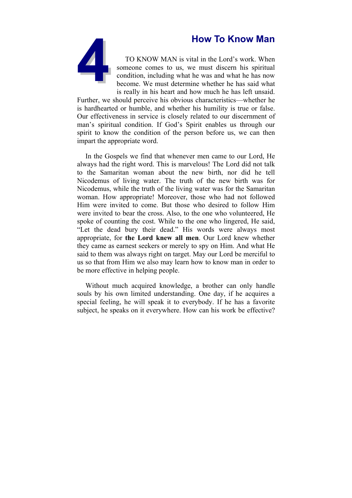**4How To Know Man**<br>TO KNOW MAN is vital in the Lord's work. When<br>someone comes to us, we must discern his spiritual<br>condition, including what he was and what he has now<br>become. We must determine whether he has said what<br>is TO KNOW MAN is vital in the Lord's work. When someone comes to us, we must discern his spiritual condition, including what he was and what he has now become. We must determine whether he has said what is really in his heart and how much he has left unsaid.

Further, we should perceive his obvious characteristics—whether he is hardhearted or humble, and whether his humility is true or false. Our effectiveness in service is closely related to our discernment of man's spiritual condition. If God's Spirit enables us through our spirit to know the condition of the person before us, we can then impart the appropriate word.

In the Gospels we find that whenever men came to our Lord, He always had the right word. This is marvelous! The Lord did not talk to the Samaritan woman about the new birth, nor did he tell Nicodemus of living water. The truth of the new birth was for Nicodemus, while the truth of the living water was for the Samaritan woman. How appropriate! Moreover, those who had not followed Him were invited to come. But those who desired to follow Him were invited to bear the cross. Also, to the one who volunteered, He spoke of counting the cost. While to the one who lingered, He said, "Let the dead bury their dead." His words were always most appropriate, for **the Lord knew all men**. Our Lord knew whether they came as earnest seekers or merely to spy on Him. And what He said to them was always right on target. May our Lord be merciful to us so that from Him we also may learn how to know man in order to be more effective in helping people.

Without much acquired knowledge, a brother can only handle souls by his own limited understanding. One day, if he acquires a special feeling, he will speak it to everybody. If he has a favorite subject, he speaks on it everywhere. How can his work be effective?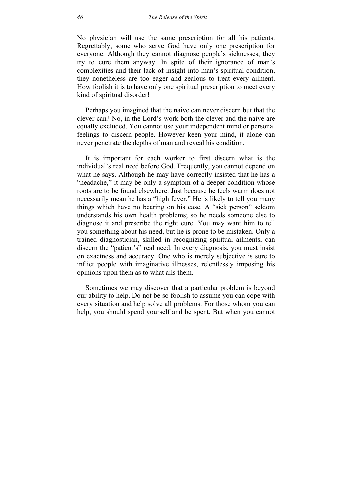No physician will use the same prescription for all his patients. Regrettably, some who serve God have only one prescription for everyone. Although they cannot diagnose people's sicknesses, they try to cure them anyway. In spite of their ignorance of man's complexities and their lack of insight into man's spiritual condition, they nonetheless are too eager and zealous to treat every ailment. How foolish it is to have only one spiritual prescription to meet every kind of spiritual disorder!

Perhaps you imagined that the naive can never discern but that the clever can? No, in the Lord's work both the clever and the naive are equally excluded. You cannot use your independent mind or personal feelings to discern people. However keen your mind, it alone can never penetrate the depths of man and reveal his condition.

It is important for each worker to first discern what is the individual's real need before God. Frequently, you cannot depend on what he says. Although he may have correctly insisted that he has a "headache," it may be only a symptom of a deeper condition whose roots are to be found elsewhere. Just because he feels warm does not necessarily mean he has a "high fever." He is likely to tell you many things which have no bearing on his case. A "sick person" seldom understands his own health problems; so he needs someone else to diagnose it and prescribe the right cure. You may want him to tell you something about his need, but he is prone to be mistaken. Only a trained diagnostician, skilled in recognizing spiritual ailments, can discern the "patient's" real need. In every diagnosis, you must insist on exactness and accuracy. One who is merely subjective is sure to inflict people with imaginative illnesses, relentlessly imposing his opinions upon them as to what ails them.

Sometimes we may discover that a particular problem is beyond our ability to help. Do not be so foolish to assume you can cope with every situation and help solve all problems. For those whom you can help, you should spend yourself and be spent. But when you cannot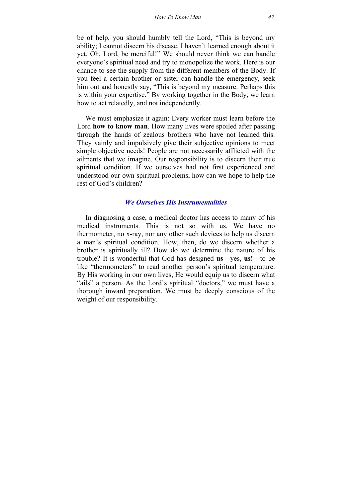be of help, you should humbly tell the Lord, "This is beyond my ability; I cannot discern his disease. I haven't learned enough about it yet. Oh, Lord, be merciful!" We should never think we can handle everyone's spiritual need and try to monopolize the work. Here is our chance to see the supply from the different members of the Body. If you feel a certain brother or sister can handle the emergency, seek him out and honestly say, "This is beyond my measure. Perhaps this is within your expertise." By working together in the Body, we learn how to act relatedly, and not independently.

We must emphasize it again: Every worker must learn before the Lord **how to know man**. How many lives were spoiled after passing through the hands of zealous brothers who have not learned this. They vainly and impulsively give their subjective opinions to meet simple objective needs! People are not necessarily afflicted with the ailments that we imagine. Our responsibility is to discern their true spiritual condition. If we ourselves had not first experienced and understood our own spiritual problems, how can we hope to help the rest of God's children?

### *We Ourselves His Instrumentalities*

In diagnosing a case, a medical doctor has access to many of his medical instruments. This is not so with us. We have no thermometer, no x-ray, nor any other such devices to help us discern a man's spiritual condition. How, then, do we discern whether a brother is spiritually ill? How do we determine the nature of his trouble? It is wonderful that God has designed **us**—yes, **us!**—to be like "thermometers" to read another person's spiritual temperature. By His working in our own lives, He would equip us to discern what "ails" a person. As the Lord's spiritual "doctors," we must have a thorough inward preparation. We must be deeply conscious of the weight of our responsibility.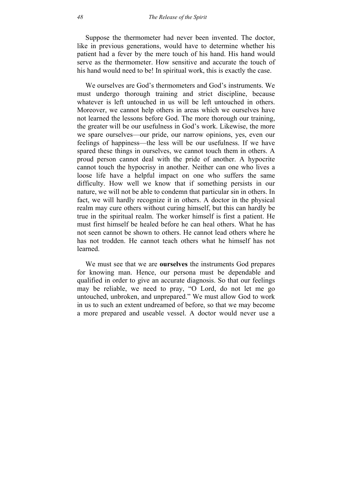Suppose the thermometer had never been invented. The doctor, like in previous generations, would have to determine whether his patient had a fever by the mere touch of his hand. His hand would serve as the thermometer. How sensitive and accurate the touch of his hand would need to be! In spiritual work, this is exactly the case.

We ourselves are God's thermometers and God's instruments. We must undergo thorough training and strict discipline, because whatever is left untouched in us will be left untouched in others. Moreover, we cannot help others in areas which we ourselves have not learned the lessons before God. The more thorough our training, the greater will be our usefulness in God's work. Likewise, the more we spare ourselves—our pride, our narrow opinions, yes, even our feelings of happiness—the less will be our usefulness. If we have spared these things in ourselves, we cannot touch them in others. A proud person cannot deal with the pride of another. A hypocrite cannot touch the hypocrisy in another. Neither can one who lives a loose life have a helpful impact on one who suffers the same difficulty. How well we know that if something persists in our nature, we will not be able to condemn that particular sin in others. In fact, we will hardly recognize it in others. A doctor in the physical realm may cure others without curing himself, but this can hardly be true in the spiritual realm. The worker himself is first a patient. He must first himself be healed before he can heal others. What he has not seen cannot be shown to others. He cannot lead others where he has not trodden. He cannot teach others what he himself has not learned.

We must see that we are **ourselves** the instruments God prepares for knowing man. Hence, our persona must be dependable and qualified in order to give an accurate diagnosis. So that our feelings may be reliable, we need to pray, "O Lord, do not let me go untouched, unbroken, and unprepared." We must allow God to work in us to such an extent undreamed of before, so that we may become a more prepared and useable vessel. A doctor would never use a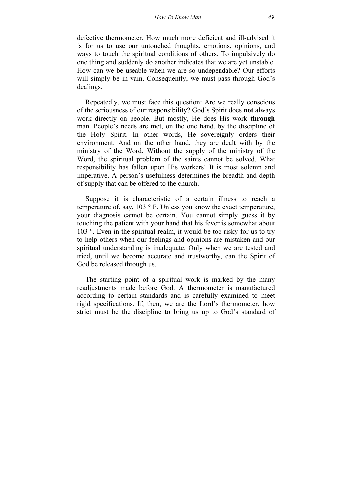defective thermometer. How much more deficient and ill-advised it is for us to use our untouched thoughts, emotions, opinions, and ways to touch the spiritual conditions of others. To impulsively do one thing and suddenly do another indicates that we are yet unstable. How can we be useable when we are so undependable? Our efforts will simply be in vain. Consequently, we must pass through God's dealings.

Repeatedly, we must face this question: Are we really conscious of the seriousness of our responsibility? God's Spirit does **not** always work directly on people. But mostly, He does His work **through** man. People's needs are met, on the one hand, by the discipline of the Holy Spirit. In other words, He sovereignly orders their environment. And on the other hand, they are dealt with by the ministry of the Word. Without the supply of the ministry of the Word, the spiritual problem of the saints cannot be solved. What responsibility has fallen upon His workers! It is most solemn and imperative. A person's usefulness determines the breadth and depth of supply that can be offered to the church.

Suppose it is characteristic of a certain illness to reach a temperature of, say, 103 ° F. Unless you know the exact temperature, your diagnosis cannot be certain. You cannot simply guess it by touching the patient with your hand that his fever is somewhat about 103 °. Even in the spiritual realm, it would be too risky for us to try to help others when our feelings and opinions are mistaken and our spiritual understanding is inadequate. Only when we are tested and tried, until we become accurate and trustworthy, can the Spirit of God be released through us.

The starting point of a spiritual work is marked by the many readjustments made before God. A thermometer is manufactured according to certain standards and is carefully examined to meet rigid specifications. If, then, we are the Lord's thermometer, how strict must be the discipline to bring us up to God's standard of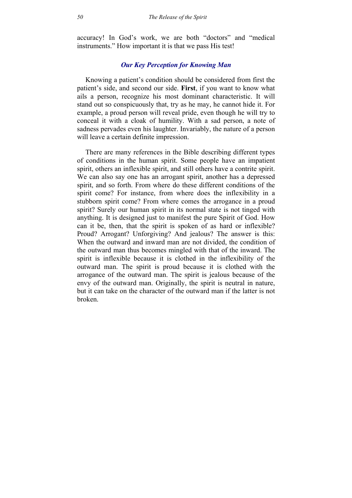accuracy! In God's work, we are both "doctors" and "medical instruments." How important it is that we pass His test!

#### *Our Key Perception for Knowing Man*

Knowing a patient's condition should be considered from first the patient's side, and second our side. **First**, if you want to know what ails a person, recognize his most dominant characteristic. It will stand out so conspicuously that, try as he may, he cannot hide it. For example, a proud person will reveal pride, even though he will try to conceal it with a cloak of humility. With a sad person, a note of sadness pervades even his laughter. Invariably, the nature of a person will leave a certain definite impression.

There are many references in the Bible describing different types of conditions in the human spirit. Some people have an impatient spirit, others an inflexible spirit, and still others have a contrite spirit. We can also say one has an arrogant spirit, another has a depressed spirit, and so forth. From where do these different conditions of the spirit come? For instance, from where does the inflexibility in a stubborn spirit come? From where comes the arrogance in a proud spirit? Surely our human spirit in its normal state is not tinged with anything. It is designed just to manifest the pure Spirit of God. How can it be, then, that the spirit is spoken of as hard or inflexible? Proud? Arrogant? Unforgiving? And jealous? The answer is this: When the outward and inward man are not divided, the condition of the outward man thus becomes mingled with that of the inward. The spirit is inflexible because it is clothed in the inflexibility of the outward man. The spirit is proud because it is clothed with the arrogance of the outward man. The spirit is jealous because of the envy of the outward man. Originally, the spirit is neutral in nature, but it can take on the character of the outward man if the latter is not broken.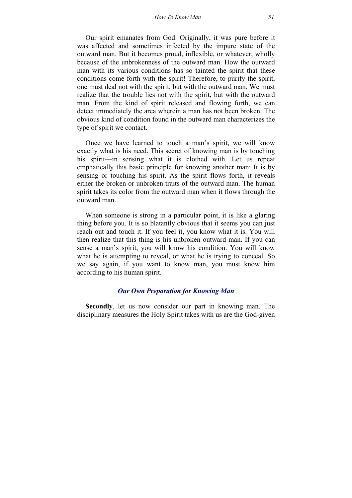Our spirit emanates from God. Originally, it was pure before it was affected and sometimes infected by the impure state of the outward man. But it becomes proud, inflexible, or whatever, wholly because of the unbrokenness of the outward man. How the outward man with its various conditions has so tainted the spirit that these conditions come forth with the spirit! Therefore, to purify the spirit, one must deal not with the spirit, but with the outward man. We must realize that the trouble lies not with the spirit, but with the outward man. From the kind of spirit released and flowing forth, we can detect immediately the area wherein a man has not been broken. The obvious kind of condition found in the outward man characterizes the type of spirit we contact.

Once we have learned to touch a man's spirit, we will know exactly what is his need. This secret of knowing man is by touching his spirit—in sensing what it is clothed with. Let us repeat emphatically this basic principle for knowing another man: It is by sensing or touching his spirit. As the spirit flows forth, it reveals either the broken or unbroken traits of the outward man. The human spirit takes its color from the outward man when it flows through the outward man.

When someone is strong in a particular point, it is like a glaring thing before you. It is so blatantly obvious that it seems you can just reach out and touch it. If you feel it, you know what it is. You will then realize that this thing is his unbroken outward man. If you can sense a man's spirit, you will know his condition. You will know what he is attempting to reveal, or what he is trying to conceal. So we say again, if you want to know man, you must know him according to his human spirit.

### *Our Own Preparation for Knowing Man*

**Secondly**, let us now consider our part in knowing man. The disciplinary measures the Holy Spirit takes with us are the God-given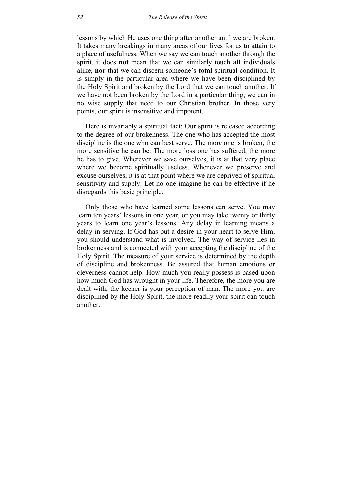lessons by which He uses one thing after another until we are broken. It takes many breakings in many areas of our lives for us to attain to a place of usefulness. When we say we can touch another through the spirit, it does **not** mean that we can similarly touch **all** individuals alike, **nor** that we can discern someone's **total** spiritual condition. It is simply in the particular area where we have been disciplined by the Holy Spirit and broken by the Lord that we can touch another. If we have not been broken by the Lord in a particular thing, we can in no wise supply that need to our Christian brother. In those very points, our spirit is insensitive and impotent.

Here is invariably a spiritual fact: Our spirit is released according to the degree of our brokenness. The one who has accepted the most discipline is the one who can best serve. The more one is broken, the more sensitive he can be. The more loss one has suffered, the more he has to give. Wherever we save ourselves, it is at that very place where we become spiritually useless. Whenever we preserve and excuse ourselves, it is at that point where we are deprived of spiritual sensitivity and supply. Let no one imagine he can be effective if he disregards this basic principle.

Only those who have learned some lessons can serve. You may learn ten years' lessons in one year, or you may take twenty or thirty years to learn one year's lessons. Any delay in learning means a delay in serving. If God has put a desire in your heart to serve Him, you should understand what is involved. The way of service lies in brokenness and is connected with your accepting the discipline of the Holy Spirit. The measure of your service is determined by the depth of discipline and brokenness. Be assured that human emotions or cleverness cannot help. How much you really possess is based upon how much God has wrought in your life. Therefore, the more you are dealt with, the keener is your perception of man. The more you are disciplined by the Holy Spirit, the more readily your spirit can touch another.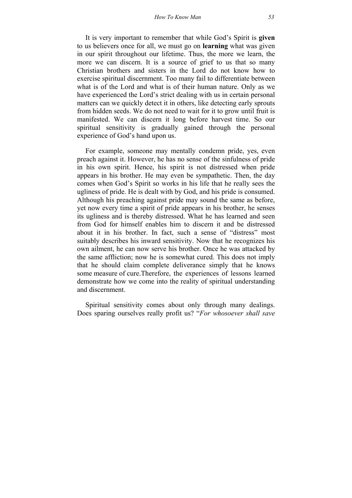It is very important to remember that while God's Spirit is **given** to us believers once for all, we must go on **learning** what was given in our spirit throughout our lifetime. Thus, the more we learn, the more we can discern. It is a source of grief to us that so many Christian brothers and sisters in the Lord do not know how to exercise spiritual discernment. Too many fail to differentiate between what is of the Lord and what is of their human nature. Only as we have experienced the Lord's strict dealing with us in certain personal matters can we quickly detect it in others, like detecting early sprouts from hidden seeds. We do not need to wait for it to grow until fruit is manifested. We can discern it long before harvest time. So our spiritual sensitivity is gradually gained through the personal experience of God's hand upon us.

For example, someone may mentally condemn pride, yes, even preach against it. However, he has no sense of the sinfulness of pride in his own spirit. Hence, his spirit is not distressed when pride appears in his brother. He may even be sympathetic. Then, the day comes when God's Spirit so works in his life that he really sees the ugliness of pride. He is dealt with by God, and his pride is consumed. Although his preaching against pride may sound the same as before, yet now every time a spirit of pride appears in his brother, he senses its ugliness and is thereby distressed. What he has learned and seen from God for himself enables him to discern it and be distressed about it in his brother. In fact, such a sense of "distress" most suitably describes his inward sensitivity. Now that he recognizes his own ailment, he can now serve his brother. Once he was attacked by the same affliction; now he is somewhat cured. This does not imply that he should claim complete deliverance simply that he knows some measure of cure. Therefore, the experiences of lessons learned demonstrate how we come into the reality of spiritual understanding and discernment.

Spiritual sensitivity comes about only through many dealings. Does sparing ourselves really profit us? "*For whosoever shall save*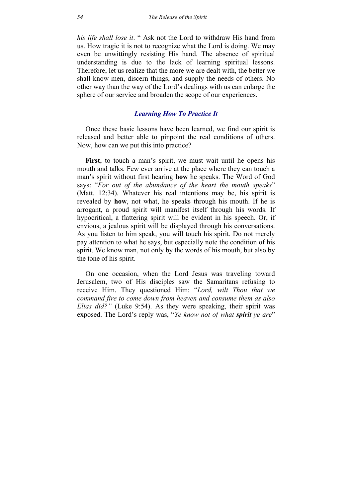*his life shall lose it*. " Ask not the Lord to withdraw His hand from us. How tragic it is not to recognize what the Lord is doing. We may even be unwittingly resisting His hand. The absence of spiritual understanding is due to the lack of learning spiritual lessons. Therefore, let us realize that the more we are dealt with, the better we shall know men, discern things, and supply the needs of others. No other way than the way of the Lord's dealings with us can enlarge the sphere of our service and broaden the scope of our experiences.

### *Learning How To Practice It*

Once these basic lessons have been learned, we find our spirit is released and better able to pinpoint the real conditions of others. Now, how can we put this into practice?

**First**, to touch a man's spirit, we must wait until he opens his mouth and talks. Few ever arrive at the place where they can touch a man's spirit without first hearing **how** he speaks. The Word of God says: "*For out of the abundance of the heart the mouth speaks*" (Matt. 12:34). Whatever his real intentions may be, his spirit is revealed by **how**, not what, he speaks through his mouth. If he is arrogant, a proud spirit will manifest itself through his words. If hypocritical, a flattering spirit will be evident in his speech. Or, if envious, a jealous spirit will be displayed through his conversations. As you listen to him speak, you will touch his spirit. Do not merely pay attention to what he says, but especially note the condition of his spirit. We know man, not only by the words of his mouth, but also by the tone of his spirit.

On one occasion, when the Lord Jesus was traveling toward Jerusalem, two of His disciples saw the Samaritans refusing to receive Him. They questioned Him: "*Lord, wilt Thou that we command fire to come down from heaven and consume them as also Elias did?"* (Luke 9:54). As they were speaking, their spirit was exposed. The Lord's reply was, "*Ye know not of what spirit ye are*"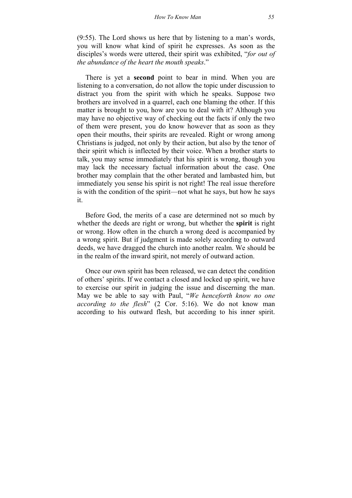(9:55). The Lord shows us here that by listening to a man's words, you will know what kind of spirit he expresses. As soon as the disciples's words were uttered, their spirit was exhibited, "*for out of the abundance of the heart the mouth speaks*."

There is yet a **second** point to bear in mind. When you are listening to a conversation, do not allow the topic under discussion to distract you from the spirit with which he speaks. Suppose two brothers are involved in a quarrel, each one blaming the other. If this matter is brought to you, how are you to deal with it? Although you may have no objective way of checking out the facts if only the two of them were present, you do know however that as soon as they open their mouths, their spirits are revealed. Right or wrong among Christians is judged, not only by their action, but also by the tenor of their spirit which is inflected by their voice. When a brother starts to talk, you may sense immediately that his spirit is wrong, though you may lack the necessary factual information about the case. One brother may complain that the other berated and lambasted him, but immediately you sense his spirit is not right! The real issue therefore is with the condition of the spirit—not what he says, but how he says it.

Before God, the merits of a case are determined not so much by whether the deeds are right or wrong, but whether the **spirit** is right or wrong. How often in the church a wrong deed is accompanied by a wrong spirit. But if judgment is made solely according to outward deeds, we have dragged the church into another realm. We should be in the realm of the inward spirit, not merely of outward action.

Once our own spirit has been released, we can detect the condition of others' spirits. If we contact a closed and locked up spirit, we have to exercise our spirit in judging the issue and discerning the man. May we be able to say with Paul, "*We henceforth know no one according to the flesh*" (2 Cor. 5:16). We do not know man according to his outward flesh, but according to his inner spirit.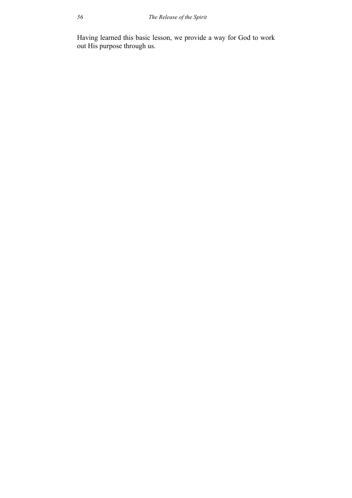Having learned this basic lesson, we provide a way for God to work out His purpose through us.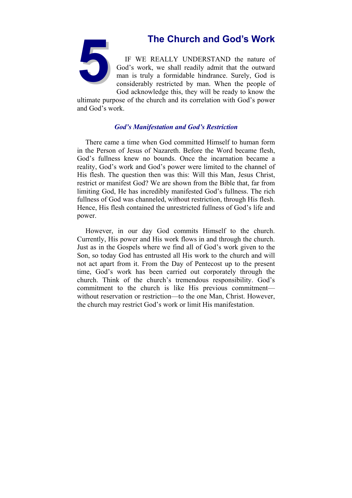

**5The Church and God's Work IF WE REALLY UNDERSTAND the nature of God's work, we shall readily admit that the outward man is truly a formidable hindrance. Surely, God is considerably restricted by man. When the people of G** IF WE REALLY UNDERSTAND the nature of God's work, we shall readily admit that the outward man is truly a formidable hindrance. Surely, God is considerably restricted by man. When the people of God acknowledge this, they will be ready to know the

ultimate purpose of the church and its correlation with God's power and God's work.

## *God's Manifestation and God's Restriction*

There came a time when God committed Himself to human form in the Person of Jesus of Nazareth. Before the Word became flesh, God's fullness knew no bounds. Once the incarnation became a reality, God's work and God's power were limited to the channel of His flesh. The question then was this: Will this Man, Jesus Christ, restrict or manifest God? We are shown from the Bible that, far from limiting God, He has incredibly manifested God's fullness. The rich fullness of God was channeled, without restriction, through His flesh. Hence, His flesh contained the unrestricted fullness of God's life and power.

However, in our day God commits Himself to the church. Currently, His power and His work flows in and through the church. Just as in the Gospels where we find all of God's work given to the Son, so today God has entrusted all His work to the church and will not act apart from it. From the Day of Pentecost up to the present time, God's work has been carried out corporately through the church. Think of the church's tremendous responsibility. God's commitment to the church is like His previous commitment without reservation or restriction—to the one Man, Christ. However, the church may restrict God's work or limit His manifestation.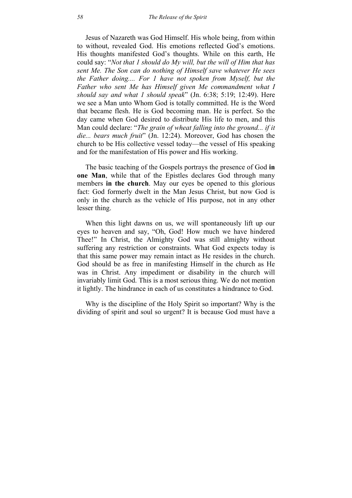Jesus of Nazareth was God Himself. His whole being, from within to without, revealed God. His emotions reflected God's emotions. His thoughts manifested God's thoughts. While on this earth, He could say: "*Not that 1 should do My will, but the will of Him that has sent Me. The Son can do nothing of Himself save whatever He sees the Father doing.... For 1 have not spoken from Myself, but the Father who sent Me has Himself given Me commandment what I should say and what 1 should speak*" (Jn. 6:38; 5:19; 12:49). Here we see a Man unto Whom God is totally committed. He is the Word that became flesh. He is God becoming man. He is perfect. So the day came when God desired to distribute His life to men, and this Man could declare: "*The grain of wheat falling into the ground... if it die... bears much fruit*" (Jn. 12:24). Moreover, God has chosen the church to be His collective vessel today—the vessel of His speaking and for the manifestation of His power and His working.

The basic teaching of the Gospels portrays the presence of God **in one Man**, while that of the Epistles declares God through many members **in the church**. May our eyes be opened to this glorious fact: God formerly dwelt in the Man Jesus Christ, but now God is only in the church as the vehicle of His purpose, not in any other lesser thing.

When this light dawns on us, we will spontaneously lift up our eyes to heaven and say, "Oh, God! How much we have hindered Thee!" In Christ, the Almighty God was still almighty without suffering any restriction or constraints. What God expects today is that this same power may remain intact as He resides in the church. God should be as free in manifesting Himself in the church as He was in Christ. Any impediment or disability in the church will invariably limit God. This is a most serious thing. We do not mention it lightly. The hindrance in each of us constitutes a hindrance to God.

Why is the discipline of the Holy Spirit so important? Why is the dividing of spirit and soul so urgent? It is because God must have a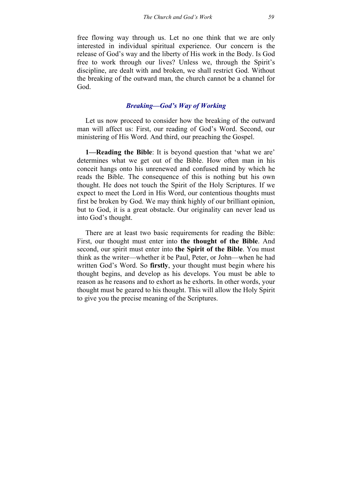free flowing way through us. Let no one think that we are only interested in individual spiritual experience. Our concern is the release of God's way and the liberty of His work in the Body. Is God free to work through our lives? Unless we, through the Spirit's discipline, are dealt with and broken, we shall restrict God. Without the breaking of the outward man, the church cannot be a channel for God.

# *Breaking—God's Way of Working*

Let us now proceed to consider how the breaking of the outward man will affect us: First, our reading of God's Word. Second, our ministering of His Word. And third, our preaching the Gospel.

**1—Reading the Bible**: It is beyond question that 'what we are' determines what we get out of the Bible. How often man in his conceit hangs onto his unrenewed and confused mind by which he reads the Bible. The consequence of this is nothing but his own thought. He does not touch the Spirit of the Holy Scriptures. If we expect to meet the Lord in His Word, our contentious thoughts must first be broken by God. We may think highly of our brilliant opinion, but to God, it is a great obstacle. Our originality can never lead us into God's thought.

There are at least two basic requirements for reading the Bible: First, our thought must enter into **the thought of the Bible**. And second, our spirit must enter into **the Spirit of the Bible**. You must think as the writer—whether it be Paul, Peter, or John—when he had written God's Word. So **firstly**, your thought must begin where his thought begins, and develop as his develops. You must be able to reason as he reasons and to exhort as he exhorts. In other words, your thought must be geared to his thought. This will allow the Holy Spirit to give you the precise meaning of the Scriptures.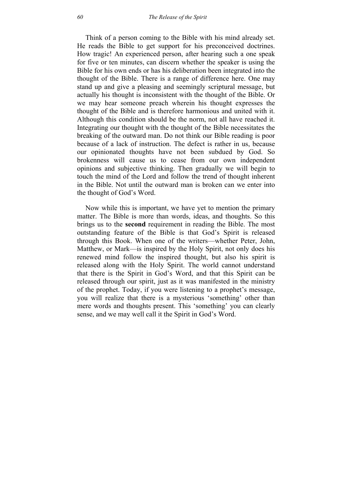Think of a person coming to the Bible with his mind already set. He reads the Bible to get support for his preconceived doctrines. How tragic! An experienced person, after hearing such a one speak for five or ten minutes, can discern whether the speaker is using the Bible for his own ends or has his deliberation been integrated into the thought of the Bible. There is a range of difference here. One may stand up and give a pleasing and seemingly scriptural message, but actually his thought is inconsistent with the thought of the Bible. Or we may hear someone preach wherein his thought expresses the thought of the Bible and is therefore harmonious and united with it. Although this condition should be the norm, not all have reached it. Integrating our thought with the thought of the Bible necessitates the breaking of the outward man. Do not think our Bible reading is poor because of a lack of instruction. The defect is rather in us, because our opinionated thoughts have not been subdued by God. So brokenness will cause us to cease from our own independent opinions and subjective thinking. Then gradually we will begin to touch the mind of the Lord and follow the trend of thought inherent in the Bible. Not until the outward man is broken can we enter into the thought of God's Word.

Now while this is important, we have yet to mention the primary matter. The Bible is more than words, ideas, and thoughts. So this brings us to the **second** requirement in reading the Bible. The most outstanding feature of the Bible is that God's Spirit is released through this Book. When one of the writers—whether Peter, John, Matthew, or Mark—is inspired by the Holy Spirit, not only does his renewed mind follow the inspired thought, but also his spirit is released along with the Holy Spirit. The world cannot understand that there is the Spirit in God's Word, and that this Spirit can be released through our spirit, just as it was manifested in the ministry of the prophet. Today, if you were listening to a prophet's message, you will realize that there is a mysterious 'something' other than mere words and thoughts present. This 'something' you can clearly sense, and we may well call it the Spirit in God's Word.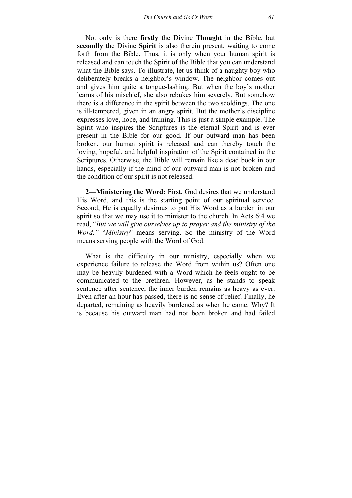Not only is there **firstly** the Divine **Thought** in the Bible, but **secondly** the Divine **Spirit** is also therein present, waiting to come forth from the Bible. Thus, it is only when your human spirit is released and can touch the Spirit of the Bible that you can understand what the Bible says. To illustrate, let us think of a naughty boy who deliberately breaks a neighbor's window. The neighbor comes out and gives him quite a tongue-lashing. But when the boy's mother learns of his mischief, she also rebukes him severely. But somehow there is a difference in the spirit between the two scoldings. The one is ill-tempered, given in an angry spirit. But the mother's discipline expresses love, hope, and training. This is just a simple example. The Spirit who inspires the Scriptures is the eternal Spirit and is ever present in the Bible for our good. If our outward man has been broken, our human spirit is released and can thereby touch the loving, hopeful, and helpful inspiration of the Spirit contained in the Scriptures. Otherwise, the Bible will remain like a dead book in our hands, especially if the mind of our outward man is not broken and the condition of our spirit is not released.

**2—Ministering the Word:** First, God desires that we understand His Word, and this is the starting point of our spiritual service. Second; He is equally desirous to put His Word as a burden in our spirit so that we may use it to minister to the church. In Acts 6:4 we read, "*But we will give ourselves up to prayer and the ministry of the Word."* "*Ministry*" means serving. So the ministry of the Word means serving people with the Word of God.

What is the difficulty in our ministry, especially when we experience failure to release the Word from within us? Often one may be heavily burdened with a Word which he feels ought to be communicated to the brethren. However, as he stands to speak sentence after sentence, the inner burden remains as heavy as ever. Even after an hour has passed, there is no sense of relief. Finally, he departed, remaining as heavily burdened as when he came. Why? It is because his outward man had not been broken and had failed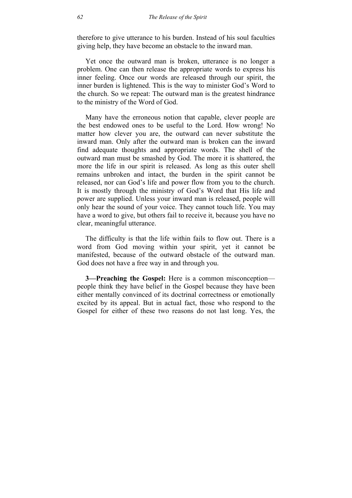therefore to give utterance to his burden. Instead of his soul faculties giving help, they have become an obstacle to the inward man.

Yet once the outward man is broken, utterance is no longer a problem. One can then release the appropriate words to express his inner feeling. Once our words are released through our spirit, the inner burden is lightened. This is the way to minister God's Word to the church. So we repeat: The outward man is the greatest hindrance to the ministry of the Word of God.

Many have the erroneous notion that capable, clever people are the best endowed ones to be useful to the Lord. How wrong! No matter how clever you are, the outward can never substitute the inward man. Only after the outward man is broken can the inward find adequate thoughts and appropriate words. The shell of the outward man must be smashed by God. The more it is shattered, the more the life in our spirit is released. As long as this outer shell remains unbroken and intact, the burden in the spirit cannot be released, nor can God's life and power flow from you to the church. It is mostly through the ministry of God's Word that His life and power are supplied. Unless your inward man is released, people will only hear the sound of your voice. They cannot touch life. You may have a word to give, but others fail to receive it, because you have no clear, meaningful utterance.

The difficulty is that the life within fails to flow out. There is a word from God moving within your spirit, yet it cannot be manifested, because of the outward obstacle of the outward man. God does not have a free way in and through you.

**3—Preaching the Gospel:** Here is a common misconception people think they have belief in the Gospel because they have been either mentally convinced of its doctrinal correctness or emotionally excited by its appeal. But in actual fact, those who respond to the Gospel for either of these two reasons do not last long. Yes, the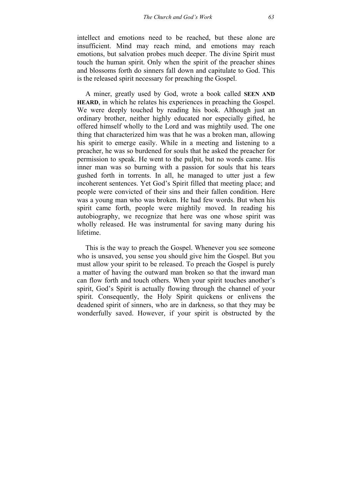intellect and emotions need to be reached, but these alone are insufficient. Mind may reach mind, and emotions may reach emotions, but salvation probes much deeper. The divine Spirit must touch the human spirit. Only when the spirit of the preacher shines and blossoms forth do sinners fall down and capitulate to God. This is the released spirit necessary for preaching the Gospel.

A miner, greatly used by God, wrote a book called **SEEN AND HEARD**, in which he relates his experiences in preaching the Gospel. We were deeply touched by reading his book. Although just an ordinary brother, neither highly educated nor especially gifted, he offered himself wholly to the Lord and was mightily used. The one thing that characterized him was that he was a broken man, allowing his spirit to emerge easily. While in a meeting and listening to a preacher, he was so burdened for souls that he asked the preacher for permission to speak. He went to the pulpit, but no words came. His inner man was so burning with a passion for souls that his tears gushed forth in torrents. In all, he managed to utter just a few incoherent sentences. Yet God's Spirit filled that meeting place; and people were convicted of their sins and their fallen condition. Here was a young man who was broken. He had few words. But when his spirit came forth, people were mightily moved. In reading his autobiography, we recognize that here was one whose spirit was wholly released. He was instrumental for saving many during his lifetime.

This is the way to preach the Gospel. Whenever you see someone who is unsaved, you sense you should give him the Gospel. But you must allow your spirit to be released. To preach the Gospel is purely a matter of having the outward man broken so that the inward man can flow forth and touch others. When your spirit touches another's spirit, God's Spirit is actually flowing through the channel of your spirit. Consequently, the Holy Spirit quickens or enlivens the deadened spirit of sinners, who are in darkness, so that they may be wonderfully saved. However, if your spirit is obstructed by the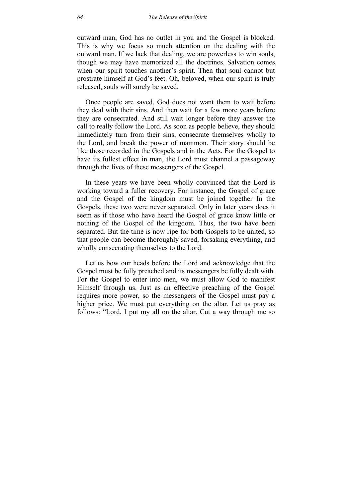outward man, God has no outlet in you and the Gospel is blocked. This is why we focus so much attention on the dealing with the outward man. If we lack that dealing, we are powerless to win souls, though we may have memorized all the doctrines. Salvation comes when our spirit touches another's spirit. Then that soul cannot but prostrate himself at God's feet. Oh, beloved, when our spirit is truly released, souls will surely be saved.

Once people are saved, God does not want them to wait before they deal with their sins. And then wait for a few more years before they are consecrated. And still wait longer before they answer the call to really follow the Lord. As soon as people believe, they should immediately turn from their sins, consecrate themselves wholly to the Lord, and break the power of mammon. Their story should be like those recorded in the Gospels and in the Acts. For the Gospel to have its fullest effect in man, the Lord must channel a passageway through the lives of these messengers of the Gospel.

In these years we have been wholly convinced that the Lord is working toward a fuller recovery. For instance, the Gospel of grace and the Gospel of the kingdom must be joined together In the Gospels, these two were never separated. Only in later years does it seem as if those who have heard the Gospel of grace know little or nothing of the Gospel of the kingdom. Thus, the two have been separated. But the time is now ripe for both Gospels to be united, so that people can become thoroughly saved, forsaking everything, and wholly consecrating themselves to the Lord.

Let us bow our heads before the Lord and acknowledge that the Gospel must be fully preached and its messengers be fully dealt with. For the Gospel to enter into men, we must allow God to manifest Himself through us. Just as an effective preaching of the Gospel requires more power, so the messengers of the Gospel must pay a higher price. We must put everything on the altar. Let us pray as follows: "Lord, I put my all on the altar. Cut a way through me so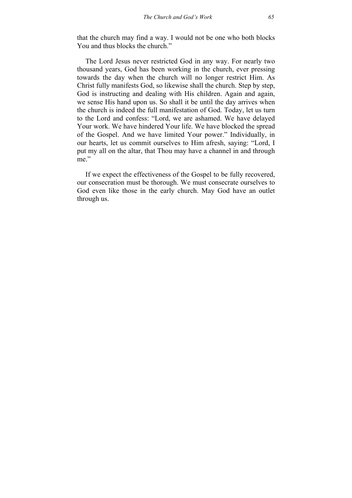that the church may find a way. I would not be one who both blocks You and thus blocks the church."

The Lord Jesus never restricted God in any way. For nearly two thousand years, God has been working in the church, ever pressing towards the day when the church will no longer restrict Him. As Christ fully manifests God, so likewise shall the church. Step by step, God is instructing and dealing with His children. Again and again, we sense His hand upon us. So shall it be until the day arrives when the church is indeed the full manifestation of God. Today, let us turn to the Lord and confess: "Lord, we are ashamed. We have delayed Your work. We have hindered Your life. We have blocked the spread of the Gospel. And we have limited Your power." Individually, in our hearts, let us commit ourselves to Him afresh, saying: "Lord, I put my all on the altar, that Thou may have a channel in and through me."

If we expect the effectiveness of the Gospel to be fully recovered, our consecration must be thorough. We must consecrate ourselves to God even like those in the early church. May God have an outlet through us.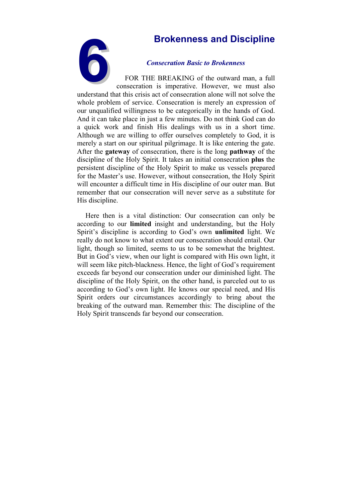

# *Consecration Basic to Brokenness*

**6Brokenness and Discipline**<br> **6Brokenness**<br> **6Brokenness**<br> **6Brokenness**<br> **6Brokenness**<br> **6Brokenness**<br> **6Brokenness**<br> **6Brokenness**<br> **6Brokenness**<br> **6Brokenness**<br> **6Brokenness**<br> **6Brokenness**<br> **6Brokenness**<br> **6Brokenness** FOR THE BREAKING of the outward man, a full consecration is imperative. However, we must also understand that this crisis act of consecration alone will not solve the whole problem of service. Consecration is merely an expression of our unqualified willingness to be categorically in the hands of God. And it can take place in just a few minutes. Do not think God can do a quick work and finish His dealings with us in a short time. Although we are willing to offer ourselves completely to God, it is merely a start on our spiritual pilgrimage. It is like entering the gate. After the **gateway** of consecration, there is the long **pathway** of the discipline of the Holy Spirit. It takes an initial consecration **plus** the persistent discipline of the Holy Spirit to make us vessels prepared for the Master's use. However, without consecration, the Holy Spirit will encounter a difficult time in His discipline of our outer man. But remember that our consecration will never serve as a substitute for His discipline.

Here then is a vital distinction: Our consecration can only be according to our **limited** insight and understanding, but the Holy Spirit's discipline is according to God's own **unlimited** light. We really do not know to what extent our consecration should entail. Our light, though so limited, seems to us to be somewhat the brightest. But in God's view, when our light is compared with His own light, it will seem like pitch-blackness. Hence, the light of God's requirement exceeds far beyond our consecration under our diminished light. The discipline of the Holy Spirit, on the other hand, is parceled out to us according to God's own light. He knows our special need, and His Spirit orders our circumstances accordingly to bring about the breaking of the outward man. Remember this: The discipline of the Holy Spirit transcends far beyond our consecration.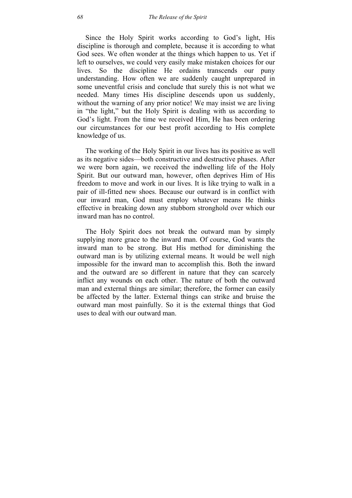Since the Holy Spirit works according to God's light, His discipline is thorough and complete, because it is according to what God sees. We often wonder at the things which happen to us. Yet if left to ourselves, we could very easily make mistaken choices for our lives. So the discipline He ordains transcends our puny understanding. How often we are suddenly caught unprepared in some uneventful crisis and conclude that surely this is not what we needed. Many times His discipline descends upon us suddenly, without the warning of any prior notice! We may insist we are living in "the light," but the Holy Spirit is dealing with us according to God's light. From the time we received Him, He has been ordering our circumstances for our best profit according to His complete knowledge of us.

The working of the Holy Spirit in our lives has its positive as well as its negative sides—both constructive and destructive phases. After we were born again, we received the indwelling life of the Holy Spirit. But our outward man, however, often deprives Him of His freedom to move and work in our lives. It is like trying to walk in a pair of ill-fitted new shoes. Because our outward is in conflict with our inward man, God must employ whatever means He thinks effective in breaking down any stubborn stronghold over which our inward man has no control.

The Holy Spirit does not break the outward man by simply supplying more grace to the inward man. Of course, God wants the inward man to be strong. But His method for diminishing the outward man is by utilizing external means. It would be well nigh impossible for the inward man to accomplish this. Both the inward and the outward are so different in nature that they can scarcely inflict any wounds on each other. The nature of both the outward man and external things are similar; therefore, the former can easily be affected by the latter. External things can strike and bruise the outward man most painfully. So it is the external things that God uses to deal with our outward man.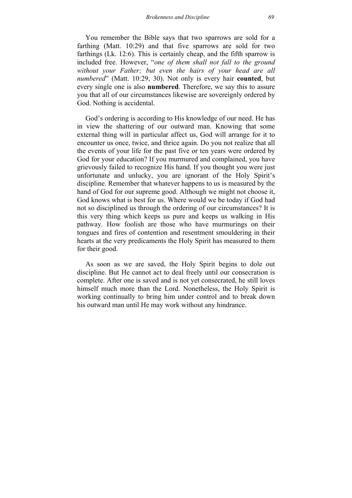You remember the Bible says that two sparrows are sold for a farthing (Matt. 10:29) and that five sparrows are sold for two farthings (Lk. 12:6). This is certainly cheap, and the fifth sparrow is included free. However, "*one of them shall not fall to the ground without your Father; but even the hairs of your head are all numbered*" (Matt. 10:29, 30). Not only is every hair **counted**, but every single one is also **numbered**. Therefore, we say this to assure you that all of our circumstances likewise are sovereignly ordered by God. Nothing is accidental.

God's ordering is according to His knowledge of our need. He has in view the shattering of our outward man. Knowing that some external thing will in particular affect us, God will arrange for it to encounter us once, twice, and thrice again. Do you not realize that all the events of your life for the past five or ten years were ordered by God for your education? If you murmured and complained, you have grievously failed to recognize His hand. If you thought you were just unfortunate and unlucky, you are ignorant of the Holy Spirit's discipline. Remember that whatever happens to us is measured by the hand of God for our supreme good. Although we might not choose it, God knows what is best for us. Where would we be today if God had not so disciplined us through the ordering of our circumstances? It is this very thing which keeps us pure and keeps us walking in His pathway. How foolish are those who have murmurings on their tongues and fires of contention and resentment smouldering in their hearts at the very predicaments the Holy Spirit has measured to them for their good.

As soon as we are saved, the Holy Spirit begins to dole out discipline. But He cannot act to deal freely until our consecration is complete. After one is saved and is not yet consecrated, he still loves himself much more than the Lord. Nonetheless, the Holy Spirit is working continually to bring him under control and to break down his outward man until He may work without any hindrance.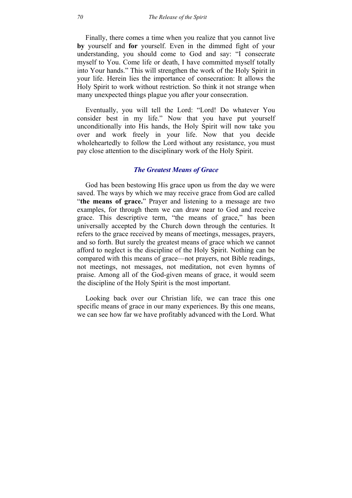Finally, there comes a time when you realize that you cannot live **by** yourself and **for** yourself. Even in the dimmed fight of your understanding, you should come to God and say: "I consecrate myself to You. Come life or death, I have committed myself totally into Your hands." This will strengthen the work of the Holy Spirit in your life. Herein lies the importance of consecration: It allows the Holy Spirit to work without restriction. So think it not strange when many unexpected things plague you after your consecration.

Eventually, you will tell the Lord: "Lord! Do whatever You consider best in my life." Now that you have put yourself unconditionally into His hands, the Holy Spirit will now take you over and work freely in your life. Now that you decide wholeheartedly to follow the Lord without any resistance, you must pay close attention to the disciplinary work of the Holy Spirit.

#### *The Greatest Means of Grace*

God has been bestowing His grace upon us from the day we were saved. The ways by which we may receive grace from God are called "**the means of grace.**" Prayer and listening to a message are two examples, for through them we can draw near to God and receive grace. This descriptive term, "the means of grace," has been universally accepted by the Church down through the centuries. It refers to the grace received by means of meetings, messages, prayers, and so forth. But surely the greatest means of grace which we cannot afford to neglect is the discipline of the Holy Spirit. Nothing can be compared with this means of grace—not prayers, not Bible readings, not meetings, not messages, not meditation, not even hymns of praise. Among all of the God-given means of grace, it would seem the discipline of the Holy Spirit is the most important.

Looking back over our Christian life, we can trace this one specific means of grace in our many experiences. By this one means, we can see how far we have profitably advanced with the Lord. What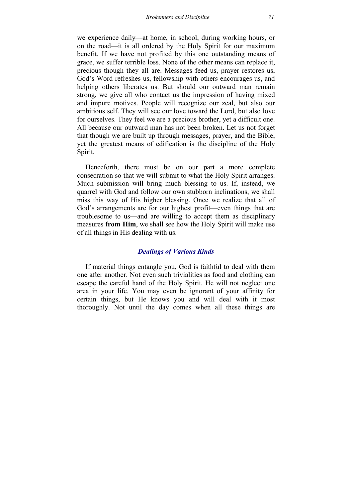we experience daily—at home, in school, during working hours, or on the road—it is all ordered by the Holy Spirit for our maximum benefit. If we have not profited by this one outstanding means of grace, we suffer terrible loss. None of the other means can replace it, precious though they all are. Messages feed us, prayer restores us, God's Word refreshes us, fellowship with others encourages us, and helping others liberates us. But should our outward man remain strong, we give all who contact us the impression of having mixed and impure motives. People will recognize our zeal, but also our ambitious self. They will see our love toward the Lord, but also love for ourselves. They feel we are a precious brother, yet a difficult one. All because our outward man has not been broken. Let us not forget that though we are built up through messages, prayer, and the Bible, yet the greatest means of edification is the discipline of the Holy Spirit.

Henceforth, there must be on our part a more complete consecration so that we will submit to what the Holy Spirit arranges. Much submission will bring much blessing to us. If, instead, we quarrel with God and follow our own stubborn inclinations, we shall miss this way of His higher blessing. Once we realize that all of God's arrangements are for our highest profit—even things that are troublesome to us—and are willing to accept them as disciplinary measures **from Him**, we shall see how the Holy Spirit will make use of all things in His dealing with us.

#### *Dealings of Various Kinds*

If material things entangle you, God is faithful to deal with them one after another. Not even such trivialities as food and clothing can escape the careful hand of the Holy Spirit. He will not neglect one area in your life. You may even be ignorant of your affinity for certain things, but He knows you and will deal with it most thoroughly. Not until the day comes when all these things are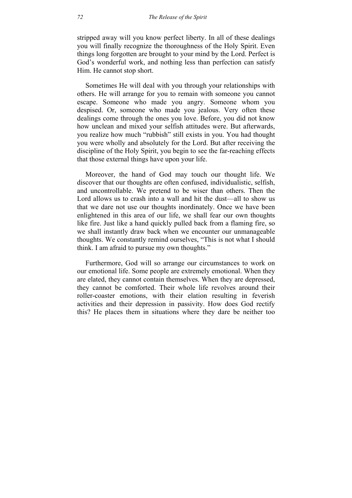stripped away will you know perfect liberty. In all of these dealings you will finally recognize the thoroughness of the Holy Spirit. Even things long forgotten are brought to your mind by the Lord. Perfect is God's wonderful work, and nothing less than perfection can satisfy Him. He cannot stop short.

Sometimes He will deal with you through your relationships with others. He will arrange for you to remain with someone you cannot escape. Someone who made you angry. Someone whom you despised. Or, someone who made you jealous. Very often these dealings come through the ones you love. Before, you did not know how unclean and mixed your selfish attitudes were. But afterwards, you realize how much "rubbish" still exists in you. You had thought you were wholly and absolutely for the Lord. But after receiving the discipline of the Holy Spirit, you begin to see the far-reaching effects that those external things have upon your life.

Moreover, the hand of God may touch our thought life. We discover that our thoughts are often confused, individualistic, selfish, and uncontrollable. We pretend to be wiser than others. Then the Lord allows us to crash into a wall and hit the dust—all to show us that we dare not use our thoughts inordinately. Once we have been enlightened in this area of our life, we shall fear our own thoughts like fire. Just like a hand quickly pulled back from a flaming fire, so we shall instantly draw back when we encounter our unmanageable thoughts. We constantly remind ourselves, "This is not what I should think. I am afraid to pursue my own thoughts."

Furthermore, God will so arrange our circumstances to work on our emotional life. Some people are extremely emotional. When they are elated, they cannot contain themselves. When they are depressed, they cannot be comforted. Their whole life revolves around their roller-coaster emotions, with their elation resulting in feverish activities and their depression in passivity. How does God rectify this? He places them in situations where they dare be neither too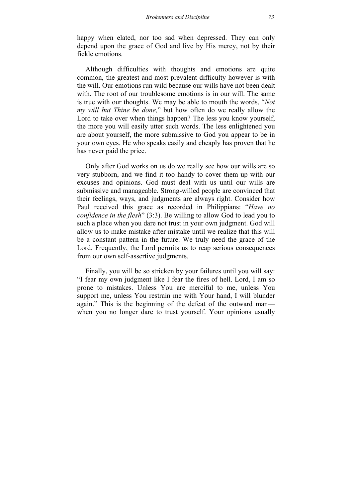happy when elated, nor too sad when depressed. They can only depend upon the grace of God and live by His mercy, not by their fickle emotions.

Although difficulties with thoughts and emotions are quite common, the greatest and most prevalent difficulty however is with the will. Our emotions run wild because our wills have not been dealt with. The root of our troublesome emotions is in our will. The same is true with our thoughts. We may be able to mouth the words, "*Not my will but Thine be done,*" but how often do we really allow the Lord to take over when things happen? The less you know yourself, the more you will easily utter such words. The less enlightened you are about yourself, the more submissive to God you appear to be in your own eyes. He who speaks easily and cheaply has proven that he has never paid the price.

Only after God works on us do we really see how our wills are so very stubborn, and we find it too handy to cover them up with our excuses and opinions. God must deal with us until our wills are submissive and manageable. Strong-willed people are convinced that their feelings, ways, and judgments are always right. Consider how Paul received this grace as recorded in Philippians: "*Have no confidence in the flesh*" (3:3). Be willing to allow God to lead you to such a place when you dare not trust in your own judgment. God will allow us to make mistake after mistake until we realize that this will be a constant pattern in the future. We truly need the grace of the Lord. Frequently, the Lord permits us to reap serious consequences from our own self-assertive judgments.

Finally, you will be so stricken by your failures until you will say: "I fear my own judgment like I fear the fires of hell. Lord, I am so prone to mistakes. Unless You are merciful to me, unless You support me, unless You restrain me with Your hand, I will blunder again." This is the beginning of the defeat of the outward man when you no longer dare to trust yourself. Your opinions usually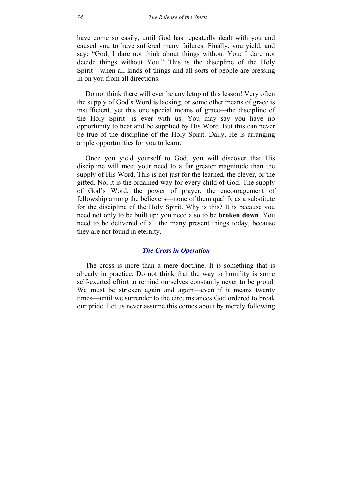have come so easily, until God has repeatedly dealt with you and caused you to have suffered many failures. Finally, you yield, and say: "God, I dare not think about things without You; I dare not decide things without You." This is the discipline of the Holy Spirit—when all kinds of things and all sorts of people are pressing in on you from all directions.

Do not think there will ever be any letup of this lesson! Very often the supply of God's Word is lacking, or some other means of grace is insufficient, yet this one special means of grace—the discipline of the Holy Spirit—is ever with us. You may say you have no opportunity to hear and be supplied by His Word. But this can never be true of the discipline of the Holy Spirit. Daily, He is arranging ample opportunities for you to learn.

Once you yield yourself to God, you will discover that His discipline will meet your need to a far greater magnitude than the supply of His Word. This is not just for the learned, the clever, or the gifted. No, it is the ordained way for every child of God. The supply of God's Word, the power of prayer, the encouragement of fellowship among the believers—none of them qualify as a substitute for the discipline of the Holy Spirit. Why is this? It is because you need not only to be built up; you need also to be **broken down**. You need to be delivered of all the many present things today, because they are not found in eternity.

### *The Cross in Operation*

The cross is more than a mere doctrine. It is something that is already in practice. Do not think that the way to humility is some self-exerted effort to remind ourselves constantly never to be proud. We must be stricken again and again—even if it means twenty times—until we surrender to the circumstances God ordered to break our pride. Let us never assume this comes about by merely following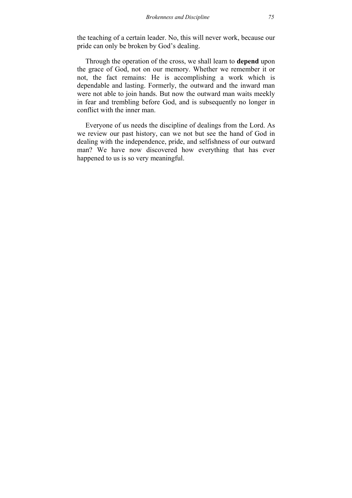the teaching of a certain leader. No, this will never work, because our pride can only be broken by God's dealing.

Through the operation of the cross, we shall learn to **depend** upon the grace of God, not on our memory. Whether we remember it or not, the fact remains: He is accomplishing a work which is dependable and lasting. Formerly, the outward and the inward man were not able to join hands. But now the outward man waits meekly in fear and trembling before God, and is subsequently no longer in conflict with the inner man.

Everyone of us needs the discipline of dealings from the Lord. As we review our past history, can we not but see the hand of God in dealing with the independence, pride, and selfishness of our outward man? We have now discovered how everything that has ever happened to us is so very meaningful.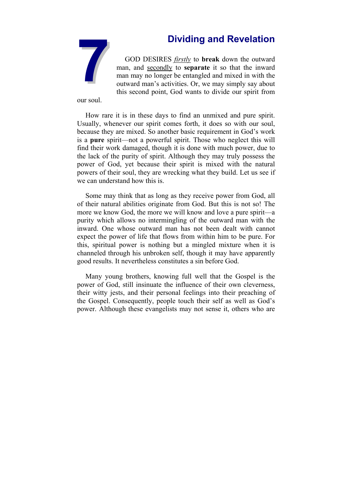

**12Dividing and Revelation**<br> **7** GOD DESIRES <u>firstly</u> to break down the outward<br>
man, and <u>secondly</u> to **separate** it so that the inward<br>
man may no longer be entangled and mixed in with the<br>
outward man's activities. Or, GOD DESIRES *firstly* to **break** down the outward man, and secondly to **separate** it so that the inward man may no longer be entangled and mixed in with the outward man's activities. Or, we may simply say about this second point, God wants to divide our spirit from

our soul.

How rare it is in these days to find an unmixed and pure spirit. Usually, whenever our spirit comes forth, it does so with our soul, because they are mixed. So another basic requirement in God's work is a **pure** spirit—not a powerful spirit. Those who neglect this will find their work damaged, though it is done with much power, due to the lack of the purity of spirit. Although they may truly possess the power of God, yet because their spirit is mixed with the natural powers of their soul, they are wrecking what they build. Let us see if we can understand how this is.

Some may think that as long as they receive power from God, all of their natural abilities originate from God. But this is not so! The more we know God, the more we will know and love a pure spirit—a purity which allows no intermingling of the outward man with the inward. One whose outward man has not been dealt with cannot expect the power of life that flows from within him to be pure. For this, spiritual power is nothing but a mingled mixture when it is channeled through his unbroken self, though it may have apparently good results. It nevertheless constitutes a sin before God.

Many young brothers, knowing full well that the Gospel is the power of God, still insinuate the influence of their own cleverness, their witty jests, and their personal feelings into their preaching of the Gospel. Consequently, people touch their self as well as God's power. Although these evangelists may not sense it, others who are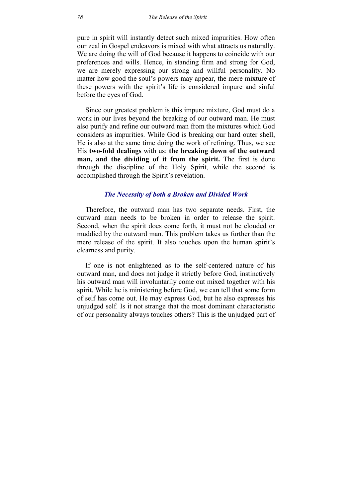pure in spirit will instantly detect such mixed impurities. How often our zeal in Gospel endeavors is mixed with what attracts us naturally. We are doing the will of God because it happens to coincide with our preferences and wills. Hence, in standing firm and strong for God, we are merely expressing our strong and willful personality. No matter how good the soul's powers may appear, the mere mixture of these powers with the spirit's life is considered impure and sinful before the eyes of God.

Since our greatest problem is this impure mixture, God must do a work in our lives beyond the breaking of our outward man. He must also purify and refine our outward man from the mixtures which God considers as impurities. While God is breaking our hard outer shell, He is also at the same time doing the work of refining. Thus, we see His **two-fold dealings** with us: **the breaking down of the outward man, and the dividing of it from the spirit.** The first is done through the discipline of the Holy Spirit, while the second is accomplished through the Spirit's revelation.

### *The Necessity of both a Broken and Divided Work*

Therefore, the outward man has two separate needs. First, the outward man needs to be broken in order to release the spirit. Second, when the spirit does come forth, it must not be clouded or muddied by the outward man. This problem takes us further than the mere release of the spirit. It also touches upon the human spirit's clearness and purity.

If one is not enlightened as to the self-centered nature of his outward man, and does not judge it strictly before God, instinctively his outward man will involuntarily come out mixed together with his spirit. While he is ministering before God, we can tell that some form of self has come out. He may express God, but he also expresses his unjudged self. Is it not strange that the most dominant characteristic of our personality always touches others? This is the unjudged part of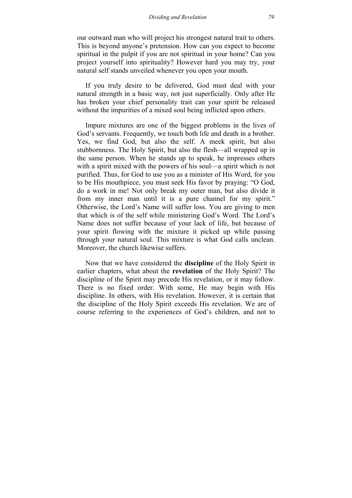our outward man who will project his strongest natural trait to others. This is beyond anyone's pretension. How can you expect to become spiritual in the pulpit if you are not spiritual in your home? Can you project yourself into spirituality? However hard you may try, your natural self stands unveiled whenever you open your mouth.

If you truly desire to be delivered, God must deal with your natural strength in a basic way, not just superficially. Only after He has broken your chief personality trait can your spirit be released without the impurities of a mixed soul being inflicted upon others.

Impure mixtures are one of the biggest problems in the lives of God's servants. Frequently, we touch both life and death in a brother. Yes, we find God, but also the self. A meek spirit, but also stubbornness. The Holy Spirit, but also the flesh—all wrapped up in the same person. When he stands up to speak, he impresses others with a spirit mixed with the powers of his soul—a spirit which is not purified. Thus, for God to use you as a minister of His Word, for you to be His mouthpiece, you must seek His favor by praying: "O God, do a work in me! Not only break my outer man, but also divide it from my inner man until it is a pure channel for my spirit." Otherwise, the Lord's Name will suffer loss. You are giving to men that which is of the self while ministering God's Word. The Lord's Name does not suffer because of your lack of life, but because of your spirit flowing with the mixture it picked up while passing through your natural soul. This mixture is what God calls unclean. Moreover, the church likewise suffers.

Now that we have considered the **discipline** of the Holy Spirit in earlier chapters, what about the **revelation** of the Holy Spirit? The discipline of the Spirit may precede His revelation, or it may follow. There is no fixed order. With some, He may begin with His discipline. In others, with His revelation. However, it is certain that the discipline of the Holy Spirit exceeds His revelation. We are of course referring to the experiences of God's children, and not to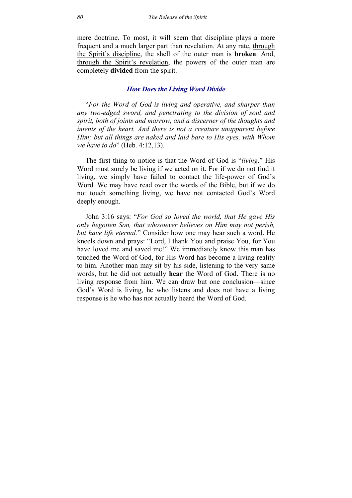mere doctrine. To most, it will seem that discipline plays a more frequent and a much larger part than revelation. At any rate, through the Spirit's discipline, the shell of the outer man is **broken**. And, through the Spirit's revelation, the powers of the outer man are completely **divided** from the spirit.

### *How Does the Living Word Divide*

"*For the Word of God is living and operative, and sharper than any two-edged sword, and penetrating to the division of soul and spirit, both of joints and marrow, and a discerner of the thoughts and intents of the heart. And there is not a creature unapparent before Him; but all things are naked and laid bare to His eyes, with Whom we have to do*" (Heb. 4:12,13).

The first thing to notice is that the Word of God is "*living*." His Word must surely be living if we acted on it. For if we do not find it living, we simply have failed to contact the life-power of God's Word. We may have read over the words of the Bible, but if we do not touch something living, we have not contacted God's Word deeply enough.

John 3:16 says: "*For God so loved the world, that He gave His only begotten Son, that whosoever believes on Him may not perish, but have life eternal.*" Consider how one may hear such a word. He kneels down and prays: "Lord, I thank You and praise You, for You have loved me and saved me!" We immediately know this man has touched the Word of God, for His Word has become a living reality to him. Another man may sit by his side, listening to the very same words, but he did not actually **hear** the Word of God. There is no living response from him. We can draw but one conclusion—since God's Word is living, he who listens and does not have a living response is he who has not actually heard the Word of God.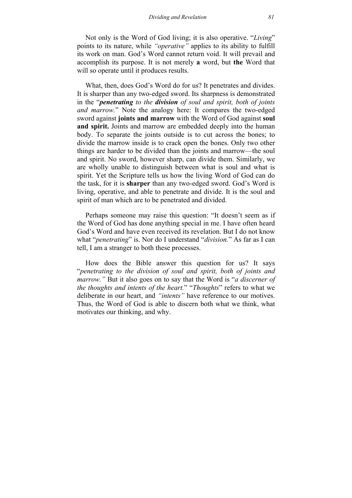Not only is the Word of God living; it is also operative. "*Living*" points to its nature, while *"operative"* applies to its ability to fulfill its work on man. God's Word cannot return void. It will prevail and accomplish its purpose. It is not merely **a** word, but **the** Word that will so operate until it produces results.

What, then, does God's Word do for us? It penetrates and divides. It is sharper than any two-edged sword. Its sharpness is demonstrated in the "*penetrating to the division of soul and spirit, both of joints and marrow.*" Note the analogy here: It compares the two-edged sword against **joints and marrow** with the Word of God against **soul and spirit.** Joints and marrow are embedded deeply into the human body. To separate the joints outside is to cut across the bones; to divide the marrow inside is to crack open the bones. Only two other things are harder to be divided than the joints and marrow—the soul and spirit. No sword, however sharp, can divide them. Similarly, we are wholly unable to distinguish between what is soul and what is spirit. Yet the Scripture tells us how the living Word of God can do the task, for it is **sharper** than any two-edged sword. God's Word is living, operative, and able to penetrate and divide. It is the soul and spirit of man which are to be penetrated and divided.

Perhaps someone may raise this question: "It doesn't seem as if the Word of God has done anything special in me. I have often heard God's Word and have even received its revelation. But I do not know what "*penetrating*" is. Nor do I understand "*division.*" As far as I can tell, I am a stranger to both these processes.

How does the Bible answer this question for us? It says "*penetrating to the division of soul and spirit, both of joints and marrow."* But it also goes on to say that the Word is "*a discerner of the thoughts and intents of the heart.*" "*Thoughts*" refers to what we deliberate in our heart, and *"intents"* have reference to our motives. Thus, the Word of God is able to discern both what we think, what motivates our thinking, and why.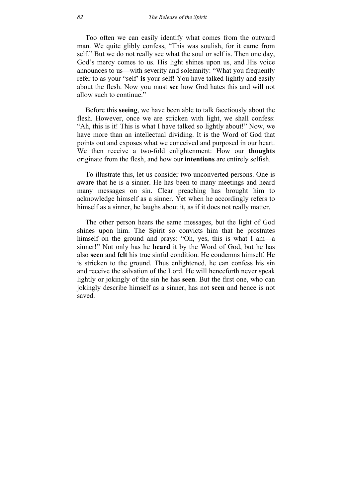Too often we can easily identify what comes from the outward man. We quite glibly confess, "This was soulish, for it came from self." But we do not really see what the soul or self is. Then one day, God's mercy comes to us. His light shines upon us, and His voice announces to us—with severity and solemnity: "What you frequently refer to as your "self' **is** your self! You have talked lightly and easily about the flesh. Now you must **see** how God hates this and will not allow such to continue."

Before this **seeing**, we have been able to talk facetiously about the flesh. However, once we are stricken with light, we shall confess: "Ah, this is it! This is what I have talked so lightly about!" Now, we have more than an intellectual dividing. It is the Word of God that points out and exposes what we conceived and purposed in our heart. We then receive a two-fold enlightenment: How our **thoughts** originate from the flesh, and how our **intentions** are entirely selfish.

To illustrate this, let us consider two unconverted persons. One is aware that he is a sinner. He has been to many meetings and heard many messages on sin. Clear preaching has brought him to acknowledge himself as a sinner. Yet when he accordingly refers to himself as a sinner, he laughs about it, as if it does not really matter.

The other person hears the same messages, but the light of God shines upon him. The Spirit so convicts him that he prostrates himself on the ground and prays: "Oh, yes, this is what I am—a sinner!" Not only has he **heard** it by the Word of God, but he has also **seen** and **felt** his true sinful condition. He condemns himself. He is stricken to the ground. Thus enlightened, he can confess his sin and receive the salvation of the Lord. He will henceforth never speak lightly or jokingly of the sin he has **seen**. But the first one, who can jokingly describe himself as a sinner, has not **seen** and hence is not saved.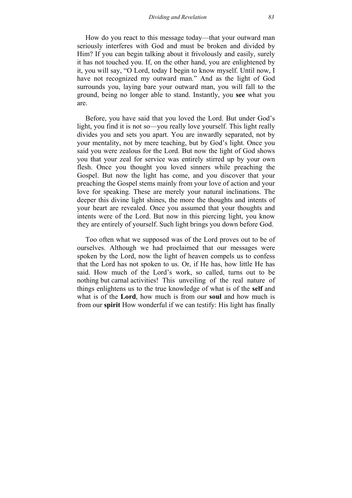How do you react to this message today—that your outward man seriously interferes with God and must be broken and divided by Him? If you can begin talking about it frivolously and easily, surely it has not touched you. If, on the other hand, you are enlightened by it, you will say, "O Lord, today I begin to know myself. Until now, I have not recognized my outward man." And as the light of God surrounds you, laying bare your outward man, you will fall to the ground, being no longer able to stand. Instantly, you **see** what you are.

Before, you have said that you loved the Lord. But under God's light, you find it is not so—you really love yourself. This light really divides you and sets you apart. You are inwardly separated, not by your mentality, not by mere teaching, but by God's light. Once you said you were zealous for the Lord. But now the light of God shows you that your zeal for service was entirely stirred up by your own flesh. Once you thought you loved sinners while preaching the Gospel. But now the light has come, and you discover that your preaching the Gospel stems mainly from your love of action and your love for speaking. These are merely your natural inclinations. The deeper this divine light shines, the more the thoughts and intents of your heart are revealed. Once you assumed that your thoughts and intents were of the Lord. But now in this piercing light, you know they are entirely of yourself. Such light brings you down before God.

Too often what we supposed was of the Lord proves out to be of ourselves. Although we had proclaimed that our messages were spoken by the Lord, now the light of heaven compels us to confess that the Lord has not spoken to us. Or, if He has, how little He has said. How much of the Lord's work, so called, turns out to be nothing but carnal activities! This unveiling of the real nature of things enlightens us to the true knowledge of what is of the **self** and what is of the **Lord**, how much is from our **soul** and how much is from our **spirit** How wonderful if we can testify: His light has finally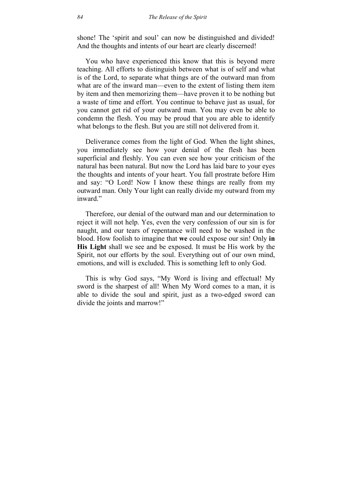shone! The 'spirit and soul' can now be distinguished and divided! And the thoughts and intents of our heart are clearly discerned!

You who have experienced this know that this is beyond mere teaching. All efforts to distinguish between what is of self and what is of the Lord, to separate what things are of the outward man from what are of the inward man—even to the extent of listing them item by item and then memorizing them—have proven it to be nothing but a waste of time and effort. You continue to behave just as usual, for you cannot get rid of your outward man. You may even be able to condemn the flesh. You may be proud that you are able to identify what belongs to the flesh. But you are still not delivered from it.

Deliverance comes from the light of God. When the light shines, you immediately see how your denial of the flesh has been superficial and fleshly. You can even see how your criticism of the natural has been natural. But now the Lord has laid bare to your eyes the thoughts and intents of your heart. You fall prostrate before Him and say: "O Lord! Now I know these things are really from my outward man. Only Your light can really divide my outward from my inward"

Therefore, our denial of the outward man and our determination to reject it will not help. Yes, even the very confession of our sin is for naught, and our tears of repentance will need to be washed in the blood. How foolish to imagine that **we** could expose our sin! Only **in His Light** shall we see and be exposed. It must be His work by the Spirit, not our efforts by the soul. Everything out of our own mind, emotions, and will is excluded. This is something left to only God.

This is why God says, "My Word is living and effectual! My sword is the sharpest of all! When My Word comes to a man, it is able to divide the soul and spirit, just as a two-edged sword can divide the joints and marrow!"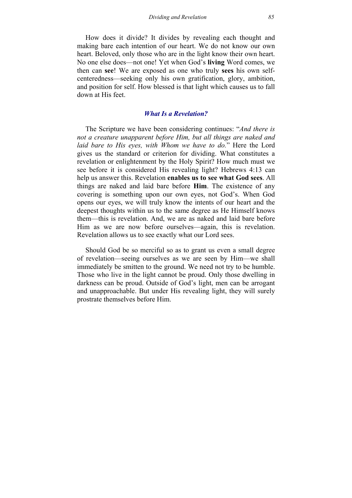How does it divide? It divides by revealing each thought and making bare each intention of our heart. We do not know our own heart. Beloved, only those who are in the light know their own heart. No one else does—not one! Yet when God's **living** Word comes, we then can **see**! We are exposed as one who truly **sees** his own selfcenteredness—seeking only his own gratification, glory, ambition, and position for self. How blessed is that light which causes us to fall down at His feet.

### *What Is a Revelation?*

The Scripture we have been considering continues: "*And there is not a creature unapparent before Him, but all things are naked and laid bare to His eyes, with Whom we have to do.*" Here the Lord gives us the standard or criterion for dividing. What constitutes a revelation or enlightenment by the Holy Spirit? How much must we see before it is considered His revealing light? Hebrews 4:13 can help us answer this. Revelation **enables us to see what God sees**. All things are naked and laid bare before **Him**. The existence of any covering is something upon our own eyes, not God's. When God opens our eyes, we will truly know the intents of our heart and the deepest thoughts within us to the same degree as He Himself knows them—this is revelation. And, we are as naked and laid bare before Him as we are now before ourselves—again, this is revelation. Revelation allows us to see exactly what our Lord sees.

Should God be so merciful so as to grant us even a small degree of revelation—seeing ourselves as we are seen by Him—we shall immediately be smitten to the ground. We need not try to be humble. Those who live in the light cannot be proud. Only those dwelling in darkness can be proud. Outside of God's light, men can be arrogant and unapproachable. But under His revealing light, they will surely prostrate themselves before Him.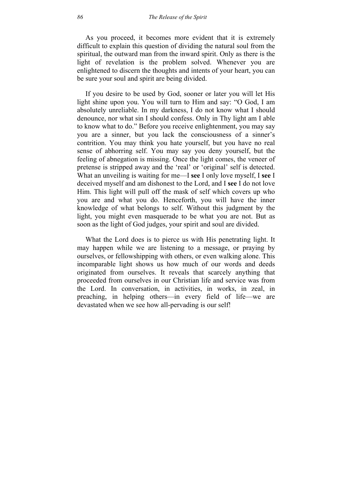As you proceed, it becomes more evident that it is extremely difficult to explain this question of dividing the natural soul from the spiritual, the outward man from the inward spirit. Only as there is the light of revelation is the problem solved. Whenever you are enlightened to discern the thoughts and intents of your heart, you can be sure your soul and spirit are being divided.

If you desire to be used by God, sooner or later you will let His light shine upon you. You will turn to Him and say: "O God, I am absolutely unreliable. In my darkness, I do not know what I should denounce, nor what sin I should confess. Only in Thy light am I able to know what to do." Before you receive enlightenment, you may say you are a sinner, but you lack the consciousness of a sinner's contrition. You may think you hate yourself, but you have no real sense of abhorring self. You may say you deny yourself, but the feeling of abnegation is missing. Once the light comes, the veneer of pretense is stripped away and the 'real' or 'original' self is detected. What an unveiling is waiting for me—I **see** I only love myself, I **see** I deceived myself and am dishonest to the Lord, and I **see** I do not love Him. This light will pull off the mask of self which covers up who you are and what you do. Henceforth, you will have the inner knowledge of what belongs to self. Without this judgment by the light, you might even masquerade to be what you are not. But as soon as the light of God judges, your spirit and soul are divided.

What the Lord does is to pierce us with His penetrating light. It may happen while we are listening to a message, or praying by ourselves, or fellowshipping with others, or even walking alone. This incomparable light shows us how much of our words and deeds originated from ourselves. It reveals that scarcely anything that proceeded from ourselves in our Christian life and service was from the Lord. In conversation, in activities, in works, in zeal, in preaching, in helping others—in every field of life—we are devastated when we see how all-pervading is our self!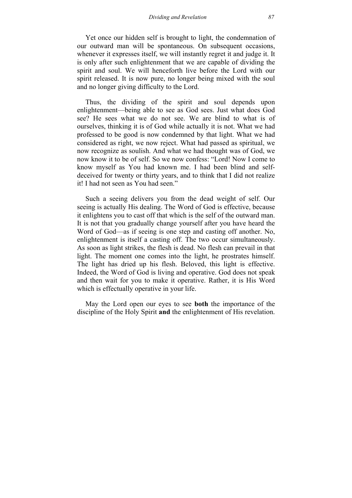Yet once our hidden self is brought to light, the condemnation of our outward man will be spontaneous. On subsequent occasions, whenever it expresses itself, we will instantly regret it and judge it. It is only after such enlightenment that we are capable of dividing the spirit and soul. We will henceforth live before the Lord with our spirit released. It is now pure, no longer being mixed with the soul and no longer giving difficulty to the Lord.

Thus, the dividing of the spirit and soul depends upon enlightenment—being able to see as God sees. Just what does God see? He sees what we do not see. We are blind to what is of ourselves, thinking it is of God while actually it is not. What we had professed to be good is now condemned by that light. What we had considered as right, we now reject. What had passed as spiritual, we now recognize as soulish. And what we had thought was of God, we now know it to be of self. So we now confess: "Lord! Now I come to know myself as You had known me. I had been blind and selfdeceived for twenty or thirty years, and to think that I did not realize it! I had not seen as You had seen."

Such a seeing delivers you from the dead weight of self. Our seeing is actually His dealing. The Word of God is effective, because it enlightens you to cast off that which is the self of the outward man. It is not that you gradually change yourself after you have heard the Word of God—as if seeing is one step and casting off another. No, enlightenment is itself a casting off. The two occur simultaneously. As soon as light strikes, the flesh is dead. No flesh can prevail in that light. The moment one comes into the light, he prostrates himself. The light has dried up his flesh. Beloved, this light is effective. Indeed, the Word of God is living and operative. God does not speak and then wait for you to make it operative. Rather, it is His Word which is effectually operative in your life.

May the Lord open our eyes to see **both** the importance of the discipline of the Holy Spirit **and** the enlightenment of His revelation.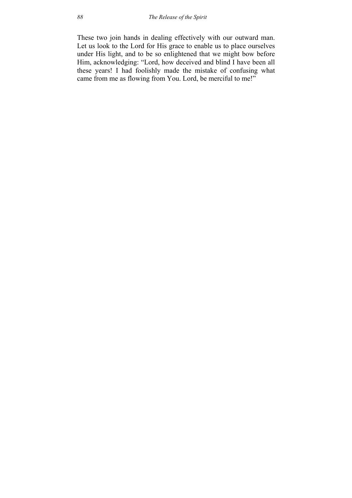These two join hands in dealing effectively with our outward man. Let us look to the Lord for His grace to enable us to place ourselves under His light, and to be so enlightened that we might bow before Him, acknowledging: "Lord, how deceived and blind I have been all these years! I had foolishly made the mistake of confusing what came from me as flowing from You. Lord, be merciful to me!"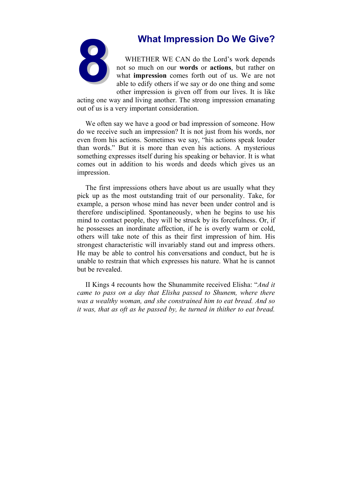

**8WHETHER WE CAN do the Lord's work depends<br>
28 and so much on our words or actions, but rather on<br>
what impression comes forth out of us. We are not<br>
able to edify others if we say or do one thing and some<br>
other impressi** WHETHER WE CAN do the Lord's work depends not so much on our **words** or **actions**, but rather on what **impression** comes forth out of us. We are not able to edify others if we say or do one thing and some other impression is given off from our lives. It is like

acting one way and living another. The strong impression emanating out of us is a very important consideration.

We often say we have a good or bad impression of someone. How do we receive such an impression? It is not just from his words, nor even from his actions. Sometimes we say, "his actions speak louder than words." But it is more than even his actions. A mysterious something expresses itself during his speaking or behavior. It is what comes out in addition to his words and deeds which gives us an impression.

The first impressions others have about us are usually what they pick up as the most outstanding trait of our personality. Take, for example, a person whose mind has never been under control and is therefore undisciplined. Spontaneously, when he begins to use his mind to contact people, they will be struck by its forcefulness. Or, if he possesses an inordinate affection, if he is overly warm or cold, others will take note of this as their first impression of him. His strongest characteristic will invariably stand out and impress others. He may be able to control his conversations and conduct, but he is unable to restrain that which expresses his nature. What he is cannot but be revealed.

II Kings 4 recounts how the Shunammite received Elisha: "*And it came to pass on a day that Elisha passed to Shunem, where there was a wealthy woman, and she constrained him to eat bread. And so it was, that as oft as he passed by, he turned in thither to eat bread.*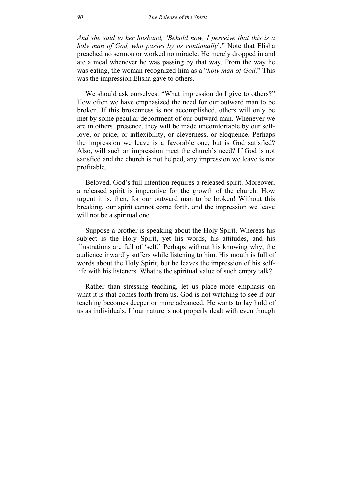*And she said to her husband, 'Behold now, I perceive that this is a holy man of God, who passes by us continually*'." Note that Elisha preached no sermon or worked no miracle. He merely dropped in and ate a meal whenever he was passing by that way. From the way he was eating, the woman recognized him as a "*holy man of God*." This was the impression Elisha gave to others.

We should ask ourselves: "What impression do I give to others?" How often we have emphasized the need for our outward man to be broken. If this brokenness is not accomplished, others will only be met by some peculiar deportment of our outward man. Whenever we are in others' presence, they will be made uncomfortable by our selflove, or pride, or inflexibility, or cleverness, or eloquence. Perhaps the impression we leave is a favorable one, but is God satisfied? Also, will such an impression meet the church's need? If God is not satisfied and the church is not helped, any impression we leave is not profitable.

Beloved, God's full intention requires a released spirit. Moreover, a released spirit is imperative for the growth of the church. How urgent it is, then, for our outward man to be broken! Without this breaking, our spirit cannot come forth, and the impression we leave will not be a spiritual one.

Suppose a brother is speaking about the Holy Spirit. Whereas his subject is the Holy Spirit, yet his words, his attitudes, and his illustrations are full of 'self.' Perhaps without his knowing why, the audience inwardly suffers while listening to him. His mouth is full of words about the Holy Spirit, but he leaves the impression of his selflife with his listeners. What is the spiritual value of such empty talk?

Rather than stressing teaching, let us place more emphasis on what it is that comes forth from us. God is not watching to see if our teaching becomes deeper or more advanced. He wants to lay hold of us as individuals. If our nature is not properly dealt with even though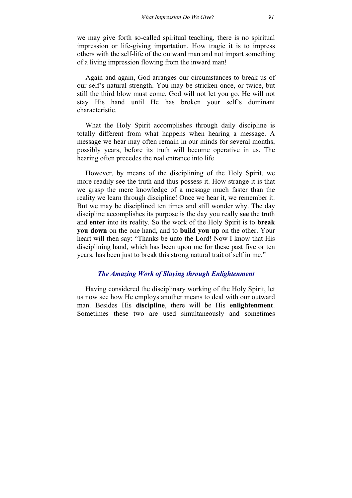we may give forth so-called spiritual teaching, there is no spiritual impression or life-giving impartation. How tragic it is to impress others with the self-life of the outward man and not impart something of a living impression flowing from the inward man!

Again and again, God arranges our circumstances to break us of our self's natural strength. You may be stricken once, or twice, but still the third blow must come. God will not let you go. He will not stay His hand until He has broken your self's dominant characteristic.

What the Holy Spirit accomplishes through daily discipline is totally different from what happens when hearing a message. A message we hear may often remain in our minds for several months, possibly years, before its truth will become operative in us. The hearing often precedes the real entrance into life.

However, by means of the disciplining of the Holy Spirit, we more readily see the truth and thus possess it. How strange it is that we grasp the mere knowledge of a message much faster than the reality we learn through discipline! Once we hear it, we remember it. But we may be disciplined ten times and still wonder why. The day discipline accomplishes its purpose is the day you really **see** the truth and **enter** into its reality. So the work of the Holy Spirit is to **break you down** on the one hand, and to **build you up** on the other. Your heart will then say: "Thanks be unto the Lord! Now I know that His disciplining hand, which has been upon me for these past five or ten years, has been just to break this strong natural trait of self in me."

## *The Amazing Work of Slaying through Enlightenment*

Having considered the disciplinary working of the Holy Spirit, let us now see how He employs another means to deal with our outward man. Besides His **discipline**, there will be His **enlightenment**. Sometimes these two are used simultaneously and sometimes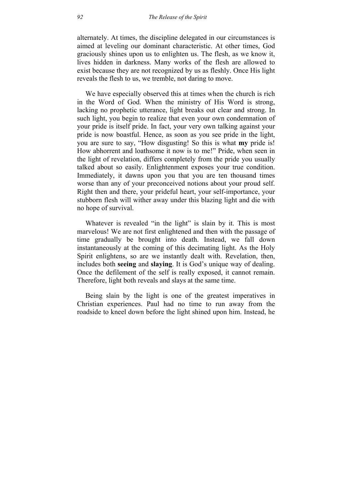alternately. At times, the discipline delegated in our circumstances is aimed at leveling our dominant characteristic. At other times, God graciously shines upon us to enlighten us. The flesh, as we know it, lives hidden in darkness. Many works of the flesh are allowed to exist because they are not recognized by us as fleshly. Once His light reveals the flesh to us, we tremble, not daring to move.

We have especially observed this at times when the church is rich in the Word of God. When the ministry of His Word is strong, lacking no prophetic utterance, light breaks out clear and strong. In such light, you begin to realize that even your own condemnation of your pride is itself pride. In fact, your very own talking against your pride is now boastful. Hence, as soon as you see pride in the light, you are sure to say, "How disgusting! So this is what **my** pride is! How abhorrent and loathsome it now is to me!" Pride, when seen in the light of revelation, differs completely from the pride you usually talked about so easily. Enlightenment exposes your true condition. Immediately, it dawns upon you that you are ten thousand times worse than any of your preconceived notions about your proud self. Right then and there, your prideful heart, your self-importance, your stubborn flesh will wither away under this blazing light and die with no hope of survival.

Whatever is revealed "in the light" is slain by it. This is most marvelous! We are not first enlightened and then with the passage of time gradually be brought into death. Instead, we fall down instantaneously at the coming of this decimating light. As the Holy Spirit enlightens, so are we instantly dealt with. Revelation, then, includes both **seeing** and **slaying**. It is God's unique way of dealing. Once the defilement of the self is really exposed, it cannot remain. Therefore, light both reveals and slays at the same time.

Being slain by the light is one of the greatest imperatives in Christian experiences. Paul had no time to run away from the roadside to kneel down before the light shined upon him. Instead, he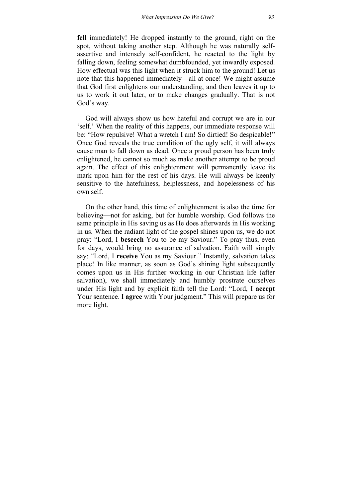**fell** immediately! He dropped instantly to the ground, right on the spot, without taking another step. Although he was naturally selfassertive and intensely self-confident, he reacted to the light by falling down, feeling somewhat dumbfounded, yet inwardly exposed. How effectual was this light when it struck him to the ground! Let us note that this happened immediately—all at once! We might assume that God first enlightens our understanding, and then leaves it up to us to work it out later, or to make changes gradually. That is not God's way.

God will always show us how hateful and corrupt we are in our 'self.' When the reality of this happens, our immediate response will be: "How repulsive! What a wretch I am! So dirtied! So despicable!" Once God reveals the true condition of the ugly self, it will always cause man to fall down as dead. Once a proud person has been truly enlightened, he cannot so much as make another attempt to be proud again. The effect of this enlightenment will permanently leave its mark upon him for the rest of his days. He will always be keenly sensitive to the hatefulness, helplessness, and hopelessness of his own self.

On the other hand, this time of enlightenment is also the time for believing—not for asking, but for humble worship. God follows the same principle in His saving us as He does afterwards in His working in us. When the radiant light of the gospel shines upon us, we do not pray: "Lord, I **beseech** You to be my Saviour." To pray thus, even for days, would bring no assurance of salvation. Faith will simply say: "Lord, I **receive** You as my Saviour." Instantly, salvation takes place! In like manner, as soon as God's shining light subsequently comes upon us in His further working in our Christian life (after salvation), we shall immediately and humbly prostrate ourselves under His light and by explicit faith tell the Lord: "Lord, I **accept** Your sentence. I **agree** with Your judgment." This will prepare us for more light.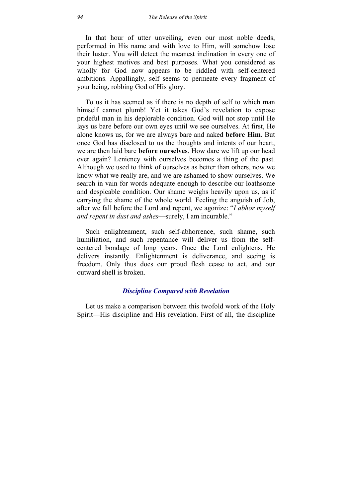In that hour of utter unveiling, even our most noble deeds, performed in His name and with love to Him, will somehow lose their luster. You will detect the meanest inclination in every one of your highest motives and best purposes. What you considered as wholly for God now appears to be riddled with self-centered ambitions. Appallingly, self seems to permeate every fragment of your being, robbing God of His glory.

To us it has seemed as if there is no depth of self to which man himself cannot plumb! Yet it takes God's revelation to expose prideful man in his deplorable condition. God will not stop until He lays us bare before our own eyes until we see ourselves. At first, He alone knows us, for we are always bare and naked **before Him**. But once God has disclosed to us the thoughts and intents of our heart, we are then laid bare **before ourselves**. How dare we lift up our head ever again? Leniency with ourselves becomes a thing of the past. Although we used to think of ourselves as better than others, now we know what we really are, and we are ashamed to show ourselves. We search in vain for words adequate enough to describe our loathsome and despicable condition. Our shame weighs heavily upon us, as if carrying the shame of the whole world. Feeling the anguish of Job, after we fall before the Lord and repent, we agonize: "*I abhor myself and repent in dust and ashes*—surely, I am incurable."

Such enlightenment, such self-abhorrence, such shame, such humiliation, and such repentance will deliver us from the selfcentered bondage of long years. Once the Lord enlightens, He delivers instantly. Enlightenment is deliverance, and seeing is freedom. Only thus does our proud flesh cease to act, and our outward shell is broken.

## *Discipline Compared with Revelation*

Let us make a comparison between this twofold work of the Holy Spirit—His discipline and His revelation. First of all, the discipline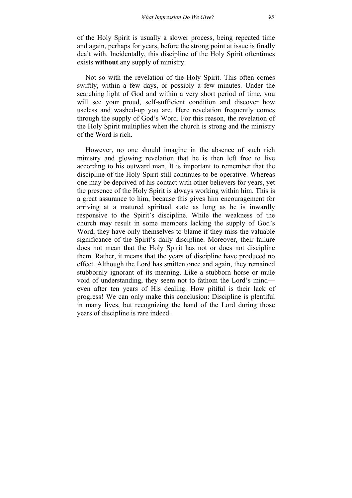of the Holy Spirit is usually a slower process, being repeated time and again, perhaps for years, before the strong point at issue is finally dealt with. Incidentally, this discipline of the Holy Spirit oftentimes exists **without** any supply of ministry.

Not so with the revelation of the Holy Spirit. This often comes swiftly, within a few days, or possibly a few minutes. Under the searching light of God and within a very short period of time, you will see your proud, self-sufficient condition and discover how useless and washed-up you are. Here revelation frequently comes through the supply of God's Word. For this reason, the revelation of the Holy Spirit multiplies when the church is strong and the ministry of the Word is rich.

However, no one should imagine in the absence of such rich ministry and glowing revelation that he is then left free to live according to his outward man. It is important to remember that the discipline of the Holy Spirit still continues to be operative. Whereas one may be deprived of his contact with other believers for years, yet the presence of the Holy Spirit is always working within him. This is a great assurance to him, because this gives him encouragement for arriving at a matured spiritual state as long as he is inwardly responsive to the Spirit's discipline. While the weakness of the church may result in some members lacking the supply of God's Word, they have only themselves to blame if they miss the valuable significance of the Spirit's daily discipline. Moreover, their failure does not mean that the Holy Spirit has not or does not discipline them. Rather, it means that the years of discipline have produced no effect. Although the Lord has smitten once and again, they remained stubbornly ignorant of its meaning. Like a stubborn horse or mule void of understanding, they seem not to fathom the Lord's mind even after ten years of His dealing. How pitiful is their lack of progress! We can only make this conclusion: Discipline is plentiful in many lives, but recognizing the hand of the Lord during those years of discipline is rare indeed.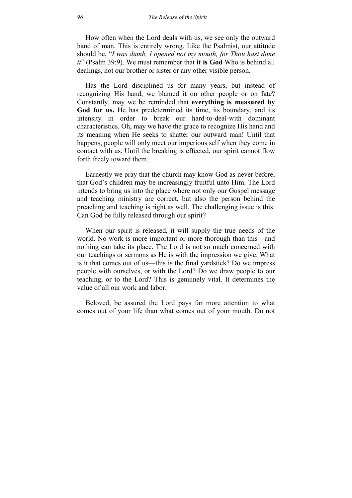How often when the Lord deals with us, we see only the outward hand of man. This is entirely wrong. Like the Psalmist, our attitude should be, "*I was dumb, I opened not my mouth, for Thou hast done it*" (Psalm 39:9). We must remember that **it is God** Who is behind all dealings, not our brother or sister or any other visible person.

Has the Lord disciplined us for many years, but instead of recognizing His hand, we blamed it on other people or on fate? Constantly, may we be reminded that **everything is measured by God for us.** He has predetermined its time, its boundary, and its intensity in order to break our hard-to-deal-with dominant characteristics. Oh, may we have the grace to recognize His hand and its meaning when He seeks to shatter our outward man! Until that happens, people will only meet our imperious self when they come in contact with us. Until the breaking is effected, our spirit cannot flow forth freely toward them.

Earnestly we pray that the church may know God as never before, that God's children may be increasingly fruitful unto Him. The Lord intends to bring us into the place where not only our Gospel message and teaching ministry are correct, but also the person behind the preaching and teaching is right as well. The challenging issue is this: Can God be fully released through our spirit?

When our spirit is released, it will supply the true needs of the world. No work is more important or more thorough than this—and nothing can take its place. The Lord is not so much concerned with our teachings or sermons as He is with the impression we give. What is it that comes out of us—this is the final yardstick? Do we impress people with ourselves, or with the Lord? Do we draw people to our teaching, or to the Lord? This is genuinely vital. It determines the value of all our work and labor.

Beloved, be assured the Lord pays far more attention to what comes out of your life than what comes out of your mouth. Do not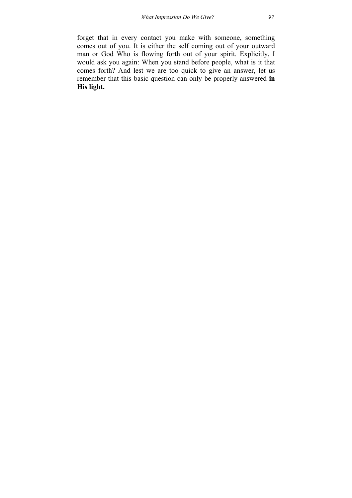forget that in every contact you make with someone, something comes out of you. It is either the self coming out of your outward man or God Who is flowing forth out of your spirit. Explicitly, I would ask you again: When you stand before people, what is it that comes forth? And lest we are too quick to give an answer, let us remember that this basic question can only be properly answered **in His light.**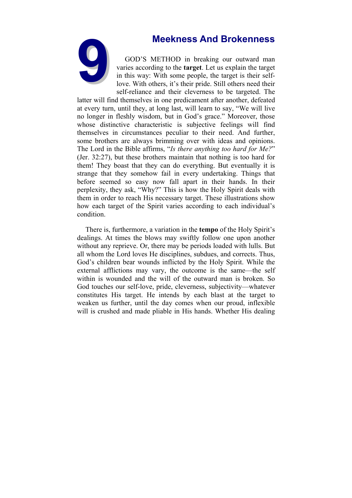

**9Meekness And Brokenness**<br>
9Meekness And Brokenness<br>
9Meetness according to the target. Let us explain the target<br>
in this way: With some people, the target is their self-<br>
love. With others, it's their pride. Still other GOD'S METHOD in breaking our outward man varies according to the **target**. Let us explain the target in this way: With some people, the target is their selflove. With others, it's their pride. Still others need their self-reliance and their cleverness to be targeted. The

latter will find themselves in one predicament after another, defeated at every turn, until they, at long last, will learn to say, "We will live no longer in fleshly wisdom, but in God's grace." Moreover, those whose distinctive characteristic is subjective feelings will find themselves in circumstances peculiar to their need. And further, some brothers are always brimming over with ideas and opinions. The Lord in the Bible affirms, "*Is there anything too hard for Me?*" (Jer. 32:27), but these brothers maintain that nothing is too hard for them! They boast that they can do everything. But eventually it is strange that they somehow fail in every undertaking. Things that before seemed so easy now fall apart in their hands. In their perplexity, they ask, "Why?" This is how the Holy Spirit deals with them in order to reach His necessary target. These illustrations show how each target of the Spirit varies according to each individual's condition.

There is, furthermore, a variation in the **tempo** of the Holy Spirit's dealings. At times the blows may swiftly follow one upon another without any reprieve. Or, there may be periods loaded with lulls. But all whom the Lord loves He disciplines, subdues, and corrects. Thus, God's children bear wounds inflicted by the Holy Spirit. While the external afflictions may vary, the outcome is the same—the self within is wounded and the will of the outward man is broken. So God touches our self-love, pride, cleverness, subjectivity—whatever constitutes His target. He intends by each blast at the target to weaken us further, until the day comes when our proud, inflexible will is crushed and made pliable in His hands. Whether His dealing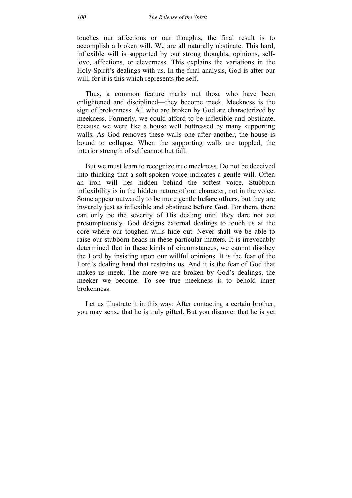touches our affections or our thoughts, the final result is to accomplish a broken will. We are all naturally obstinate. This hard, inflexible will is supported by our strong thoughts, opinions, selflove, affections, or cleverness. This explains the variations in the Holy Spirit's dealings with us. In the final analysis, God is after our will, for it is this which represents the self.

Thus, a common feature marks out those who have been enlightened and disciplined—they become meek. Meekness is the sign of brokenness. All who are broken by God are characterized by meekness. Formerly, we could afford to be inflexible and obstinate, because we were like a house well buttressed by many supporting walls. As God removes these walls one after another, the house is bound to collapse. When the supporting walls are toppled, the interior strength of self cannot but fall.

But we must learn to recognize true meekness. Do not be deceived into thinking that a soft-spoken voice indicates a gentle will. Often an iron will lies hidden behind the softest voice. Stubborn inflexibility is in the hidden nature of our character, not in the voice. Some appear outwardly to be more gentle **before others**, but they are inwardly just as inflexible and obstinate **before God**. For them, there can only be the severity of His dealing until they dare not act presumptuously. God designs external dealings to touch us at the core where our toughen wills hide out. Never shall we be able to raise our stubborn heads in these particular matters. It is irrevocably determined that in these kinds of circumstances, we cannot disobey the Lord by insisting upon our willful opinions. It is the fear of the Lord's dealing hand that restrains us. And it is the fear of God that makes us meek. The more we are broken by God's dealings, the meeker we become. To see true meekness is to behold inner brokenness.

Let us illustrate it in this way: After contacting a certain brother, you may sense that he is truly gifted. But you discover that he is yet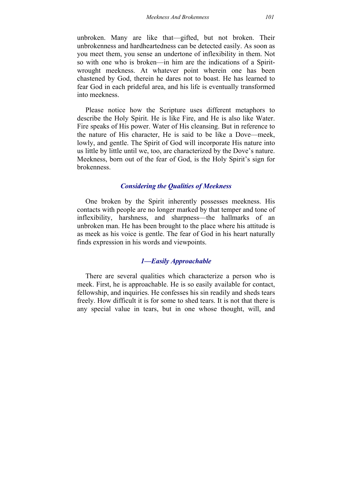unbroken. Many are like that—gifted, but not broken. Their unbrokenness and hardheartedness can be detected easily. As soon as you meet them, you sense an undertone of inflexibility in them. Not so with one who is broken—in him are the indications of a Spiritwrought meekness. At whatever point wherein one has been chastened by God, therein he dares not to boast. He has learned to fear God in each prideful area, and his life is eventually transformed into meekness.

Please notice how the Scripture uses different metaphors to describe the Holy Spirit. He is like Fire, and He is also like Water. Fire speaks of His power. Water of His cleansing. But in reference to the nature of His character, He is said to be like a Dove—meek, lowly, and gentle. The Spirit of God will incorporate His nature into us little by little until we, too, are characterized by the Dove's nature. Meekness, born out of the fear of God, is the Holy Spirit's sign for brokenness.

### *Considering the Qualities of Meekness*

One broken by the Spirit inherently possesses meekness. His contacts with people are no longer marked by that temper and tone of inflexibility, harshness, and sharpness—the hallmarks of an unbroken man. He has been brought to the place where his attitude is as meek as his voice is gentle. The fear of God in his heart naturally finds expression in his words and viewpoints.

### *1—Easily Approachable*

There are several qualities which characterize a person who is meek. First, he is approachable. He is so easily available for contact, fellowship, and inquiries. He confesses his sin readily and sheds tears freely. How difficult it is for some to shed tears. It is not that there is any special value in tears, but in one whose thought, will, and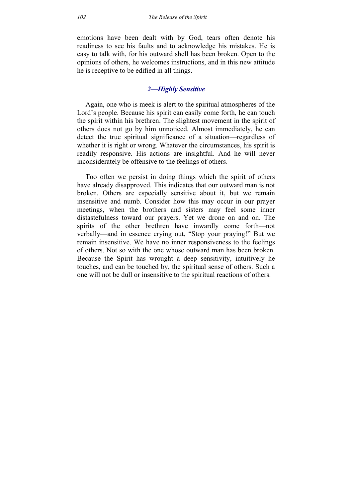emotions have been dealt with by God, tears often denote his readiness to see his faults and to acknowledge his mistakes. He is easy to talk with, for his outward shell has been broken. Open to the opinions of others, he welcomes instructions, and in this new attitude he is receptive to be edified in all things.

# *2—Highly Sensitive*

Again, one who is meek is alert to the spiritual atmospheres of the Lord's people. Because his spirit can easily come forth, he can touch the spirit within his brethren. The slightest movement in the spirit of others does not go by him unnoticed. Almost immediately, he can detect the true spiritual significance of a situation—regardless of whether it is right or wrong. Whatever the circumstances, his spirit is readily responsive. His actions are insightful. And he will never inconsiderately be offensive to the feelings of others.

Too often we persist in doing things which the spirit of others have already disapproved. This indicates that our outward man is not broken. Others are especially sensitive about it, but we remain insensitive and numb. Consider how this may occur in our prayer meetings, when the brothers and sisters may feel some inner distastefulness toward our prayers. Yet we drone on and on. The spirits of the other brethren have inwardly come forth—not verbally—and in essence crying out, "Stop your praying!" But we remain insensitive. We have no inner responsiveness to the feelings of others. Not so with the one whose outward man has been broken. Because the Spirit has wrought a deep sensitivity, intuitively he touches, and can be touched by, the spiritual sense of others. Such a one will not be dull or insensitive to the spiritual reactions of others.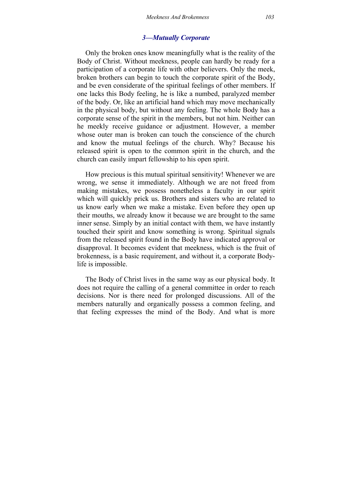## *3—Mutually Corporate*

Only the broken ones know meaningfully what is the reality of the Body of Christ. Without meekness, people can hardly be ready for a participation of a corporate life with other believers. Only the meek, broken brothers can begin to touch the corporate spirit of the Body, and be even considerate of the spiritual feelings of other members. If one lacks this Body feeling, he is like a numbed, paralyzed member of the body. Or, like an artificial hand which may move mechanically in the physical body, but without any feeling. The whole Body has a corporate sense of the spirit in the members, but not him. Neither can he meekly receive guidance or adjustment. However, a member whose outer man is broken can touch the conscience of the church and know the mutual feelings of the church. Why? Because his released spirit is open to the common spirit in the church, and the church can easily impart fellowship to his open spirit.

How precious is this mutual spiritual sensitivity! Whenever we are wrong, we sense it immediately. Although we are not freed from making mistakes, we possess nonetheless a faculty in our spirit which will quickly prick us. Brothers and sisters who are related to us know early when we make a mistake. Even before they open up their mouths, we already know it because we are brought to the same inner sense. Simply by an initial contact with them, we have instantly touched their spirit and know something is wrong. Spiritual signals from the released spirit found in the Body have indicated approval or disapproval. It becomes evident that meekness, which is the fruit of brokenness, is a basic requirement, and without it, a corporate Bodylife is impossible.

The Body of Christ lives in the same way as our physical body. It does not require the calling of a general committee in order to reach decisions. Nor is there need for prolonged discussions. All of the members naturally and organically possess a common feeling, and that feeling expresses the mind of the Body. And what is more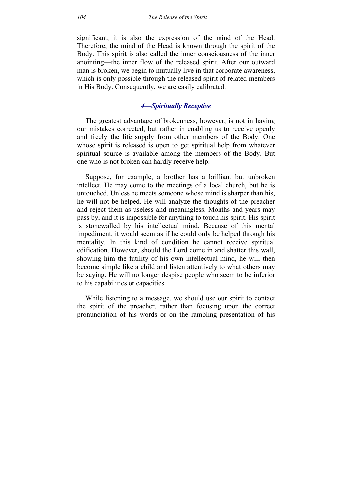significant, it is also the expression of the mind of the Head. Therefore, the mind of the Head is known through the spirit of the Body. This spirit is also called the inner consciousness of the inner anointing—the inner flow of the released spirit. After our outward man is broken, we begin to mutually live in that corporate awareness, which is only possible through the released spirit of related members in His Body. Consequently, we are easily calibrated.

# *4—Spiritually Receptive*

The greatest advantage of brokenness, however, is not in having our mistakes corrected, but rather in enabling us to receive openly and freely the life supply from other members of the Body. One whose spirit is released is open to get spiritual help from whatever spiritual source is available among the members of the Body. But one who is not broken can hardly receive help.

Suppose, for example, a brother has a brilliant but unbroken intellect. He may come to the meetings of a local church, but he is untouched. Unless he meets someone whose mind is sharper than his, he will not be helped. He will analyze the thoughts of the preacher and reject them as useless and meaningless. Months and years may pass by, and it is impossible for anything to touch his spirit. His spirit is stonewalled by his intellectual mind. Because of this mental impediment, it would seem as if he could only be helped through his mentality. In this kind of condition he cannot receive spiritual edification. However, should the Lord come in and shatter this wall, showing him the futility of his own intellectual mind, he will then become simple like a child and listen attentively to what others may be saying. He will no longer despise people who seem to be inferior to his capabilities or capacities.

While listening to a message, we should use our spirit to contact the spirit of the preacher, rather than focusing upon the correct pronunciation of his words or on the rambling presentation of his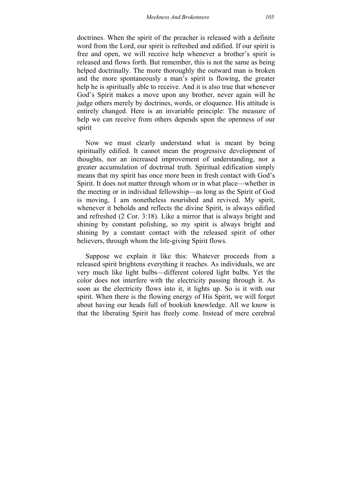doctrines. When the spirit of the preacher is released with a definite word from the Lord, our spirit is refreshed and edified. If our spirit is free and open, we will receive help whenever a brother's spirit is released and flows forth. But remember, this is not the same as being helped doctrinally. The more thoroughly the outward man is broken and the more spontaneously a man's spirit is flowing, the greater help he is spiritually able to receive. And it is also true that whenever God's Spirit makes a move upon any brother, never again will he judge others merely by doctrines, words, or eloquence. His attitude is entirely changed. Here is an invariable principle: The measure of help we can receive from others depends upon the openness of our spirit

Now we must clearly understand what is meant by being spiritually edified. It cannot mean the progressive development of thoughts, nor an increased improvement of understanding, nor a greater accumulation of doctrinal truth. Spiritual edification simply means that my spirit has once more been in fresh contact with God's Spirit. It does not matter through whom or in what place—whether in the meeting or in individual fellowship—as long as the Spirit of God is moving, I am nonetheless nourished and revived. My spirit, whenever it beholds and reflects the divine Spirit, is always edified and refreshed (2 Cor. 3:18). Like a mirror that is always bright and shining by constant polishing, so my spirit is always bright and shining by a constant contact with the released spirit of other believers, through whom the life-giving Spirit flows.

Suppose we explain it like this: Whatever proceeds from a released spirit brightens everything it reaches. As individuals, we are very much like light bulbs—different colored light bulbs. Yet the color does not interfere with the electricity passing through it. As soon as the electricity flows into it, it lights up. So is it with our spirit. When there is the flowing energy of His Spirit, we will forget about having our heads full of bookish knowledge. All we know is that the liberating Spirit has freely come. Instead of mere cerebral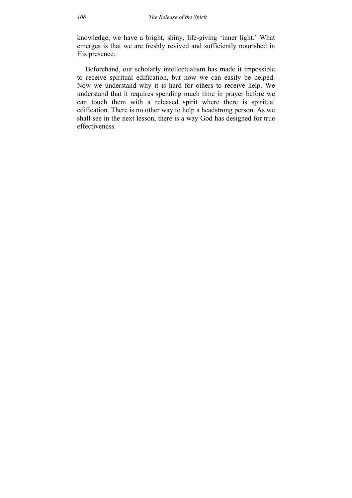knowledge, we have a bright, shiny, life-giving 'inner light.' What emerges is that we are freshly revived and sufficiently nourished in His presence.

Beforehand, our scholarly intellectualism has made it impossible to receive spiritual edification, but now we can easily be helped. Now we understand why it is hard for others to receive help. We understand that it requires spending much time in prayer before we can touch them with a released spirit where there is spiritual edification. There is no other way to help a headstrong person. As we shall see in the next lesson, there is a way God has designed for true effectiveness.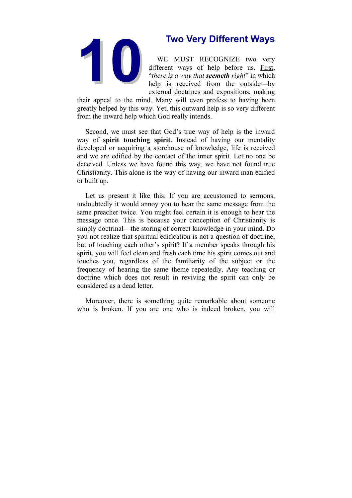**10Two Very Different Ways**<br>WE MUST RECOGNIZE two very different ways of help before us. <u>First,</u><br>"there is a way that **seemeth** right" in which help is received from the outside—by external doctrines and expositions makin WE MUST RECOGNIZE two very different ways of help before us. First, "*there is a way that seemeth right*" in which help is received from the outside—by external doctrines and expositions, making

their appeal to the mind. Many will even profess to having been greatly helped by this way. Yet, this outward help is so very different from the inward help which God really intends.

Second, we must see that God's true way of help is the inward way of **spirit touching spirit**. Instead of having our mentality developed or acquiring a storehouse of knowledge, life is received and we are edified by the contact of the inner spirit. Let no one be deceived. Unless we have found this way, we have not found true Christianity. This alone is the way of having our inward man edified or built up.

Let us present it like this: If you are accustomed to sermons, undoubtedly it would annoy you to hear the same message from the same preacher twice. You might feel certain it is enough to hear the message once. This is because your conception of Christianity is simply doctrinal—the storing of correct knowledge in your mind. Do you not realize that spiritual edification is not a question of doctrine, but of touching each other's spirit? If a member speaks through his spirit, you will feel clean and fresh each time his spirit comes out and touches you, regardless of the familiarity of the subject or the frequency of hearing the same theme repeatedly. Any teaching or doctrine which does not result in reviving the spirit can only be considered as a dead letter.

Moreover, there is something quite remarkable about someone who is broken. If you are one who is indeed broken, you will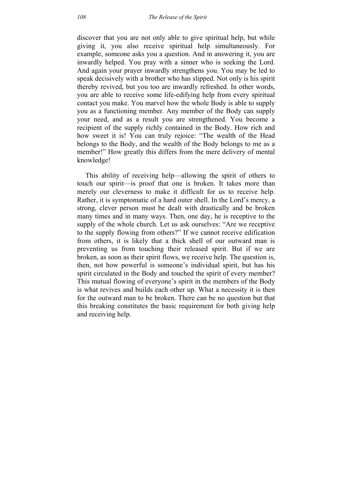discover that you are not only able to give spiritual help, but while giving it, you also receive spiritual help simultaneously. For example, someone asks you a question. And in answering it, you are inwardly helped. You pray with a sinner who is seeking the Lord. And again your prayer inwardly strengthens you. You may be led to speak decisively with a brother who has slipped. Not only is his spirit thereby revived, but you too are inwardly refreshed. In other words, you are able to receive some life-edifying help from every spiritual contact you make. You marvel how the whole Body is able to supply you as a functioning member. Any member of the Body can supply your need, and as a result you are strengthened. You become a recipient of the supply richly contained in the Body. How rich and how sweet it is! You can truly rejoice: "The wealth of the Head belongs to the Body, and the wealth of the Body belongs to me as a member!" How greatly this differs from the mere delivery of mental knowledge!

This ability of receiving help—allowing the spirit of others to touch our spirit—is proof that one is broken. It takes more than merely our cleverness to make it difficult for us to receive help. Rather, it is symptomatic of a hard outer shell. In the Lord's mercy, a strong, clever person must be dealt with drastically and be broken many times and in many ways. Then, one day, he is receptive to the supply of the whole church. Let us ask ourselves: "Are we receptive to the supply flowing from others?" If we cannot receive edification from others, it is likely that a thick shell of our outward man is preventing us from touching their released spirit. But if we are broken, as soon as their spirit flows, we receive help. The question is, then, not how powerful is someone's individual spirit, but has his spirit circulated in the Body and touched the spirit of every member? This mutual flowing of everyone's spirit in the members of the Body is what revives and builds each other up. What a necessity it is then for the outward man to be broken. There can be no question but that this breaking constitutes the basic requirement for both giving help and receiving help.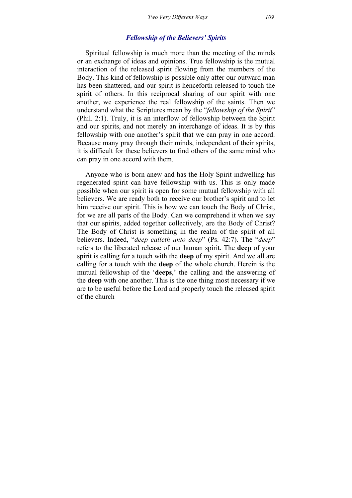#### *Fellowship of the Believers' Spirits*

Spiritual fellowship is much more than the meeting of the minds or an exchange of ideas and opinions. True fellowship is the mutual interaction of the released spirit flowing from the members of the Body. This kind of fellowship is possible only after our outward man has been shattered, and our spirit is henceforth released to touch the spirit of others. In this reciprocal sharing of our spirit with one another, we experience the real fellowship of the saints. Then we understand what the Scriptures mean by the "*fellowship of the Spirit*" (Phil. 2:1). Truly, it is an interflow of fellowship between the Spirit and our spirits, and not merely an interchange of ideas. It is by this fellowship with one another's spirit that we can pray in one accord. Because many pray through their minds, independent of their spirits, it is difficult for these believers to find others of the same mind who can pray in one accord with them.

Anyone who is born anew and has the Holy Spirit indwelling his regenerated spirit can have fellowship with us. This is only made possible when our spirit is open for some mutual fellowship with all believers. We are ready both to receive our brother's spirit and to let him receive our spirit. This is how we can touch the Body of Christ, for we are all parts of the Body. Can we comprehend it when we say that our spirits, added together collectively, are the Body of Christ? The Body of Christ is something in the realm of the spirit of all believers. Indeed, "*deep calleth unto deep*" (Ps. 42:7). The "*deep*" refers to the liberated release of our human spirit. The **deep** of your spirit is calling for a touch with the **deep** of my spirit. And we all are calling for a touch with the **deep** of the whole church. Herein is the mutual fellowship of the '**deeps**,' the calling and the answering of the **deep** with one another. This is the one thing most necessary if we are to be useful before the Lord and properly touch the released spirit of the church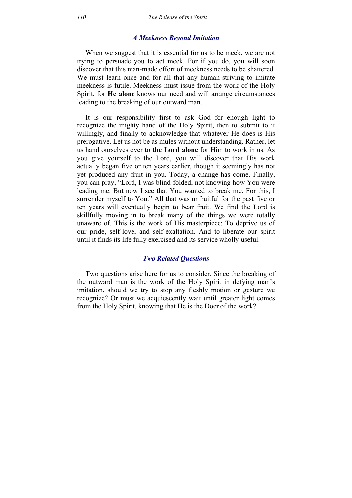#### *A Meekness Beyond Imitation*

When we suggest that it is essential for us to be meek, we are not trying to persuade you to act meek. For if you do, you will soon discover that this man-made effort of meekness needs to be shattered. We must learn once and for all that any human striving to imitate meekness is futile. Meekness must issue from the work of the Holy Spirit, for **He alone** knows our need and will arrange circumstances leading to the breaking of our outward man.

It is our responsibility first to ask God for enough light to recognize the mighty hand of the Holy Spirit, then to submit to it willingly, and finally to acknowledge that whatever He does is His prerogative. Let us not be as mules without understanding. Rather, let us hand ourselves over to **the Lord alone** for Him to work in us. As you give yourself to the Lord, you will discover that His work actually began five or ten years earlier, though it seemingly has not yet produced any fruit in you. Today, a change has come. Finally, you can pray, "Lord, I was blind-folded, not knowing how You were leading me. But now I see that You wanted to break me. For this, I surrender myself to You." All that was unfruitful for the past five or ten years will eventually begin to bear fruit. We find the Lord is skillfully moving in to break many of the things we were totally unaware of. This is the work of His masterpiece: To deprive us of our pride, self-love, and self-exaltation. And to liberate our spirit until it finds its life fully exercised and its service wholly useful.

#### *Two Related Questions*

Two questions arise here for us to consider. Since the breaking of the outward man is the work of the Holy Spirit in defying man's imitation, should we try to stop any fleshly motion or gesture we recognize? Or must we acquiescently wait until greater light comes from the Holy Spirit, knowing that He is the Doer of the work?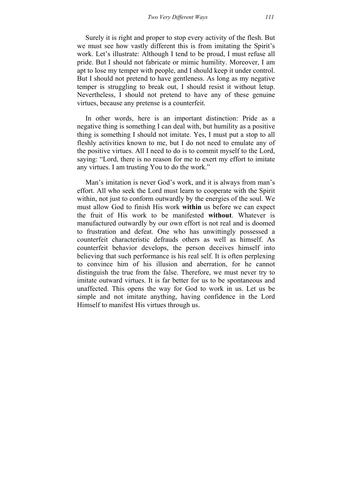Surely it is right and proper to stop every activity of the flesh. But we must see how vastly different this is from imitating the Spirit's work. Let's illustrate: Although I tend to be proud, I must refuse all pride. But I should not fabricate or mimic humility. Moreover, I am apt to lose my temper with people, and I should keep it under control. But I should not pretend to have gentleness. As long as my negative temper is struggling to break out, I should resist it without letup. Nevertheless, I should not pretend to have any of these genuine virtues, because any pretense is a counterfeit.

In other words, here is an important distinction: Pride as a negative thing is something I can deal with, but humility as a positive thing is something I should not imitate. Yes, I must put a stop to all fleshly activities known to me, but I do not need to emulate any of the positive virtues. All I need to do is to commit myself to the Lord, saying: "Lord, there is no reason for me to exert my effort to imitate any virtues. I am trusting You to do the work."

Man's imitation is never God's work, and it is always from man's effort. All who seek the Lord must learn to cooperate with the Spirit within, not just to conform outwardly by the energies of the soul. We must allow God to finish His work **within** us before we can expect the fruit of His work to be manifested **without**. Whatever is manufactured outwardly by our own effort is not real and is doomed to frustration and defeat. One who has unwittingly possessed a counterfeit characteristic defrauds others as well as himself. As counterfeit behavior develops, the person deceives himself into believing that such performance is his real self. It is often perplexing to convince him of his illusion and aberration, for he cannot distinguish the true from the false. Therefore, we must never try to imitate outward virtues. It is far better for us to be spontaneous and unaffected. This opens the way for God to work in us. Let us be simple and not imitate anything, having confidence in the Lord Himself to manifest His virtues through us.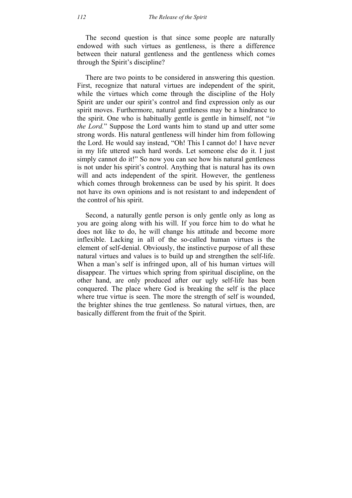The second question is that since some people are naturally endowed with such virtues as gentleness, is there a difference between their natural gentleness and the gentleness which comes through the Spirit's discipline?

There are two points to be considered in answering this question. First, recognize that natural virtues are independent of the spirit, while the virtues which come through the discipline of the Holy Spirit are under our spirit's control and find expression only as our spirit moves. Furthermore, natural gentleness may be a hindrance to the spirit. One who is habitually gentle is gentle in himself, not "*in the Lord.*" Suppose the Lord wants him to stand up and utter some strong words. His natural gentleness will hinder him from following the Lord. He would say instead, "Oh! This I cannot do! I have never in my life uttered such hard words. Let someone else do it. I just simply cannot do it!" So now you can see how his natural gentleness is not under his spirit's control. Anything that is natural has its own will and acts independent of the spirit. However, the gentleness which comes through brokenness can be used by his spirit. It does not have its own opinions and is not resistant to and independent of the control of his spirit.

Second, a naturally gentle person is only gentle only as long as you are going along with his will. If you force him to do what he does not like to do, he will change his attitude and become more inflexible. Lacking in all of the so-called human virtues is the element of self-denial. Obviously, the instinctive purpose of all these natural virtues and values is to build up and strengthen the self-life. When a man's self is infringed upon, all of his human virtues will disappear. The virtues which spring from spiritual discipline, on the other hand, are only produced after our ugly self-life has been conquered. The place where God is breaking the self is the place where true virtue is seen. The more the strength of self is wounded, the brighter shines the true gentleness. So natural virtues, then, are basically different from the fruit of the Spirit.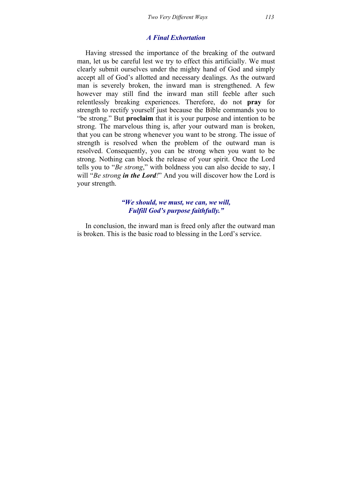#### *A Final Exhortation*

Having stressed the importance of the breaking of the outward man, let us be careful lest we try to effect this artificially. We must clearly submit ourselves under the mighty hand of God and simply accept all of God's allotted and necessary dealings. As the outward man is severely broken, the inward man is strengthened. A few however may still find the inward man still feeble after such relentlessly breaking experiences. Therefore, do not **pray** for strength to rectify yourself just because the Bible commands you to "be strong." But **proclaim** that it is your purpose and intention to be strong. The marvelous thing is, after your outward man is broken, that you can be strong whenever you want to be strong. The issue of strength is resolved when the problem of the outward man is resolved. Consequently, you can be strong when you want to be strong. Nothing can block the release of your spirit. Once the Lord tells you to "*Be strong*," with boldness you can also decide to say, I will "*Be strong in the Lord!*" And you will discover how the Lord is your strength.

## *"We should, we must, we can, we will, Fulfill God's purpose faithfully."*

In conclusion, the inward man is freed only after the outward man is broken. This is the basic road to blessing in the Lord's service.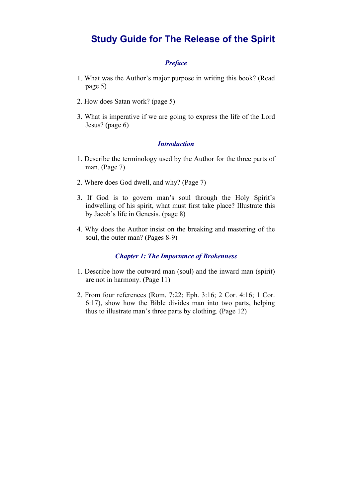# **Study Guide for The Release of the Spirit**

## *Preface*

- 1. What was the Author's major purpose in writing this book? (Read page 5)
- 2. How does Satan work? (page 5)
- 3. What is imperative if we are going to express the life of the Lord Jesus? (page 6)

#### *Introduction*

- 1. Describe the terminology used by the Author for the three parts of man. (Page 7)
- 2. Where does God dwell, and why? (Page 7)
- 3. If God is to govern man's soul through the Holy Spirit's indwelling of his spirit, what must first take place? Illustrate this by Jacob's life in Genesis. (page 8)
- 4. Why does the Author insist on the breaking and mastering of the soul, the outer man? (Pages 8-9)

#### *Chapter 1: The Importance of Brokenness*

- 1. Describe how the outward man (soul) and the inward man (spirit) are not in harmony. (Page 11)
- 2. From four references (Rom. 7:22; Eph. 3:16; 2 Cor. 4:16; 1 Cor. 6:17), show how the Bible divides man into two parts, helping thus to illustrate man's three parts by clothing. (Page 12)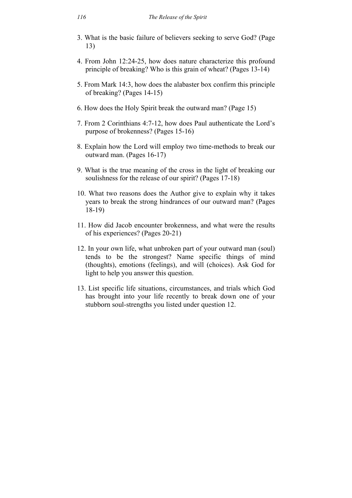- 3. What is the basic failure of believers seeking to serve God? (Page 13)
- 4. From John 12:24-25, how does nature characterize this profound principle of breaking? Who is this grain of wheat? (Pages 13-14)
- 5. From Mark 14:3, how does the alabaster box confirm this principle of breaking? (Pages 14-15)
- 6. How does the Holy Spirit break the outward man? (Page 15)
- 7. From 2 Corinthians 4:7-12, how does Paul authenticate the Lord's purpose of brokenness? (Pages 15-16)
- 8. Explain how the Lord will employ two time-methods to break our outward man. (Pages 16-17)
- 9. What is the true meaning of the cross in the light of breaking our soulishness for the release of our spirit? (Pages 17-18)
- 10. What two reasons does the Author give to explain why it takes years to break the strong hindrances of our outward man? (Pages 18-19)
- 11. How did Jacob encounter brokenness, and what were the results of his experiences? (Pages 20-21)
- 12. In your own life, what unbroken part of your outward man (soul) tends to be the strongest? Name specific things of mind (thoughts), emotions (feelings), and will (choices). Ask God for light to help you answer this question.
- 13. List specific life situations, circumstances, and trials which God has brought into your life recently to break down one of your stubborn soul-strengths you listed under question 12.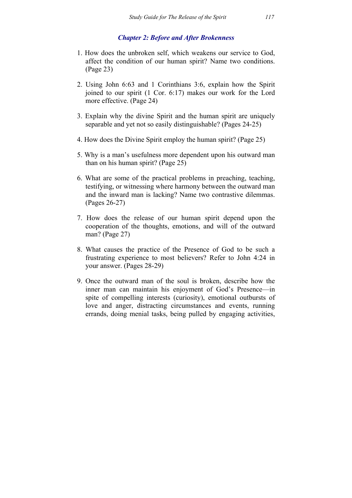## *Chapter 2: Before and After Brokenness*

- 1. How does the unbroken self, which weakens our service to God, affect the condition of our human spirit? Name two conditions. (Page 23)
- 2. Using John 6:63 and 1 Corinthians 3:6, explain how the Spirit joined to our spirit (1 Cor. 6:17) makes our work for the Lord more effective. (Page 24)
- 3. Explain why the divine Spirit and the human spirit are uniquely separable and yet not so easily distinguishable? (Pages 24-25)
- 4. How does the Divine Spirit employ the human spirit? (Page 25)
- 5. Why is a man's usefulness more dependent upon his outward man than on his human spirit? (Page 25)
- 6. What are some of the practical problems in preaching, teaching, testifying, or witnessing where harmony between the outward man and the inward man is lacking? Name two contrastive dilemmas. (Pages 26-27)
- 7. How does the release of our human spirit depend upon the cooperation of the thoughts, emotions, and will of the outward man? (Page 27)
- 8. What causes the practice of the Presence of God to be such a frustrating experience to most believers? Refer to John 4:24 in your answer. (Pages 28-29)
- 9. Once the outward man of the soul is broken, describe how the inner man can maintain his enjoyment of God's Presence—in spite of compelling interests (curiosity), emotional outbursts of love and anger, distracting circumstances and events, running errands, doing menial tasks, being pulled by engaging activities,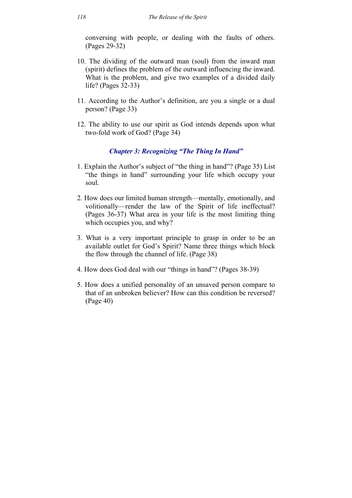conversing with people, or dealing with the faults of others. (Pages 29-32)

- 10. The dividing of the outward man (soul) from the inward man (spirit) defines the problem of the outward influencing the inward. What is the problem, and give two examples of a divided daily life? (Pages 32-33)
- 11. According to the Author's definition, are you a single or a dual person? (Page 33)
- 12. The ability to use our spirit as God intends depends upon what two-fold work of God? (Page 34)

# *Chapter 3: Recognizing "The Thing In Hand"*

- 1. Explain the Author's subject of "the thing in hand"? (Page 35) List "the things in hand" surrounding your life which occupy your soul.
- 2. How does our limited human strength—mentally, emotionally, and volitionally—render the law of the Spirit of life ineffectual? (Pages 36-37) What area in your life is the most limiting thing which occupies you, and why?
- 3. What is a very important principle to grasp in order to be an available outlet for God's Spirit? Name three things which block the flow through the channel of life. (Page 38)
- 4. How does God deal with our "things in hand"? (Pages 38-39)
- 5. How does a unified personality of an unsaved person compare to that of an unbroken believer? How can this condition be reversed? (Page 40)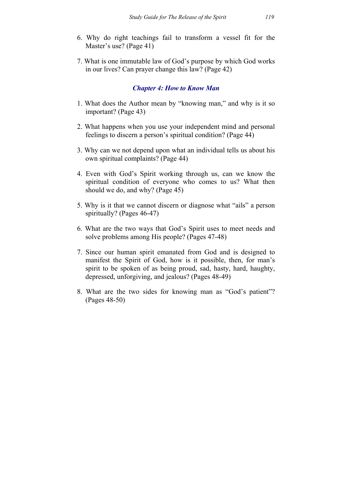- 6. Why do right teachings fail to transform a vessel fit for the Master's use? (Page 41)
- 7. What is one immutable law of God's purpose by which God works in our lives? Can prayer change this law? (Page 42)

## *Chapter 4: How to Know Man*

- 1. What does the Author mean by "knowing man," and why is it so important? (Page 43)
- 2. What happens when you use your independent mind and personal feelings to discern a person's spiritual condition? (Page 44)
- 3. Why can we not depend upon what an individual tells us about his own spiritual complaints? (Page 44)
- 4. Even with God's Spirit working through us, can we know the spiritual condition of everyone who comes to us? What then should we do, and why? (Page 45)
- 5. Why is it that we cannot discern or diagnose what "ails" a person spiritually? (Pages 46-47)
- 6. What are the two ways that God's Spirit uses to meet needs and solve problems among His people? (Pages 47-48)
- 7. Since our human spirit emanated from God and is designed to manifest the Spirit of God, how is it possible, then, for man's spirit to be spoken of as being proud, sad, hasty, hard, haughty, depressed, unforgiving, and jealous? (Pages 48-49)
- 8. What are the two sides for knowing man as "God's patient"? (Pages 48-50)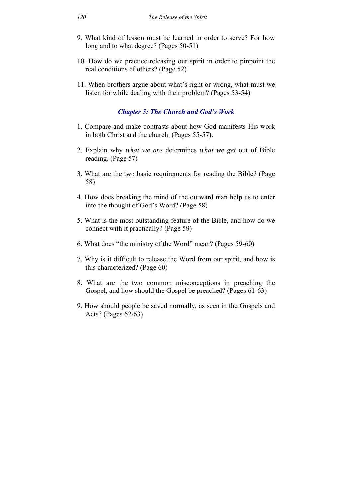- 9. What kind of lesson must be learned in order to serve? For how long and to what degree? (Pages 50-51)
- 10. How do we practice releasing our spirit in order to pinpoint the real conditions of others? (Page 52)
- 11. When brothers argue about what's right or wrong, what must we listen for while dealing with their problem? (Pages 53-54)

# *Chapter 5: The Church and God's Work*

- 1. Compare and make contrasts about how God manifests His work in both Christ and the church. (Pages 55-57).
- 2. Explain why *what we are* determines *what we get* out of Bible reading. (Page 57)
- 3. What are the two basic requirements for reading the Bible? (Page 58)
- 4. How does breaking the mind of the outward man help us to enter into the thought of God's Word? (Page 58)
- 5. What is the most outstanding feature of the Bible, and how do we connect with it practically? (Page 59)
- 6. What does "the ministry of the Word" mean? (Pages 59-60)
- 7. Why is it difficult to release the Word from our spirit, and how is this characterized? (Page 60)
- 8. What are the two common misconceptions in preaching the Gospel, and how should the Gospel be preached? (Pages 61-63)
- 9. How should people be saved normally, as seen in the Gospels and Acts? (Pages 62-63)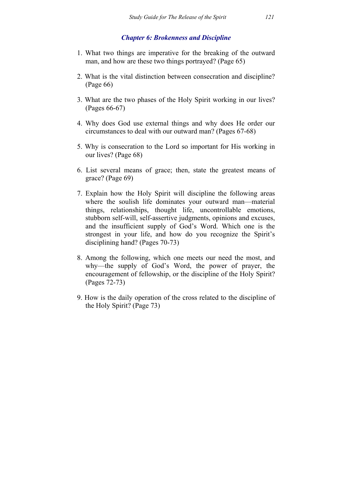## *Chapter 6: Brokenness and Discipline*

- 1. What two things are imperative for the breaking of the outward man, and how are these two things portrayed? (Page 65)
- 2. What is the vital distinction between consecration and discipline? (Page 66)
- 3. What are the two phases of the Holy Spirit working in our lives? (Pages 66-67)
- 4. Why does God use external things and why does He order our circumstances to deal with our outward man? (Pages 67-68)
- 5. Why is consecration to the Lord so important for His working in our lives? (Page 68)
- 6. List several means of grace; then, state the greatest means of grace? (Page 69)
- 7. Explain how the Holy Spirit will discipline the following areas where the soulish life dominates your outward man—material things, relationships, thought life, uncontrollable emotions, stubborn self-will, self-assertive judgments, opinions and excuses, and the insufficient supply of God's Word. Which one is the strongest in your life, and how do you recognize the Spirit's disciplining hand? (Pages 70-73)
- 8. Among the following, which one meets our need the most, and why—the supply of God's Word, the power of prayer, the encouragement of fellowship, or the discipline of the Holy Spirit? (Pages 72-73)
- 9. How is the daily operation of the cross related to the discipline of the Holy Spirit? (Page 73)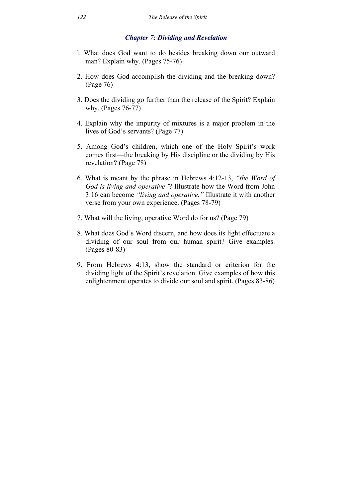# *Chapter 7: Dividing and Revelation*

- l. What does God want to do besides breaking down our outward man? Explain why. (Pages 75-76)
- 2. How does God accomplish the dividing and the breaking down? (Page 76)
- 3. Does the dividing go further than the release of the Spirit? Explain why. (Pages 76-77)
- 4. Explain why the impurity of mixtures is a major problem in the lives of God's servants? (Page 77)
- 5. Among God's children, which one of the Holy Spirit's work comes first—the breaking by His discipline or the dividing by His revelation? (Page 78)
- 6. What is meant by the phrase in Hebrews 4:12-13, *"the Word of God is living and operative"*? Illustrate how the Word from John 3:16 can become *"living and operative."* Illustrate it with another verse from your own experience. (Pages 78-79)
- 7. What will the living, operative Word do for us? (Page 79)
- 8. What does God's Word discern, and how does its light effectuate a dividing of our soul from our human spirit? Give examples. (Pages 80-83)
- 9. From Hebrews 4:13, show the standard or criterion for the dividing light of the Spirit's revelation. Give examples of how this enlightenment operates to divide our soul and spirit. (Pages 83-86)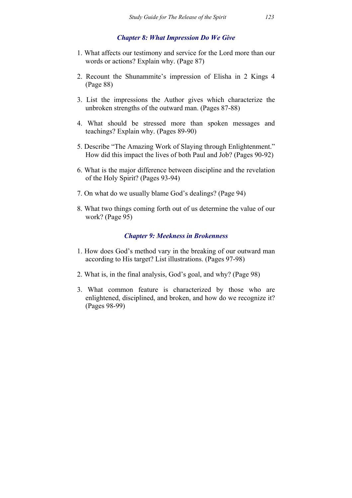## *Chapter 8: What Impression Do We Give*

- 1. What affects our testimony and service for the Lord more than our words or actions? Explain why. (Page 87)
- 2. Recount the Shunammite's impression of Elisha in 2 Kings 4 (Page 88)
- 3. List the impressions the Author gives which characterize the unbroken strengths of the outward man. (Pages 87-88)
- 4. What should be stressed more than spoken messages and teachings? Explain why. (Pages 89-90)
- 5. Describe "The Amazing Work of Slaying through Enlightenment." How did this impact the lives of both Paul and Job? (Pages 90-92)
- 6. What is the major difference between discipline and the revelation of the Holy Spirit? (Pages 93-94)
- 7. On what do we usually blame God's dealings? (Page 94)
- 8. What two things coming forth out of us determine the value of our work? (Page 95)

## *Chapter 9: Meekness in Brokenness*

- 1. How does God's method vary in the breaking of our outward man according to His target? List illustrations. (Pages 97-98)
- 2. What is, in the final analysis, God's goal, and why? (Page 98)
- 3. What common feature is characterized by those who are enlightened, disciplined, and broken, and how do we recognize it? (Pages 98-99)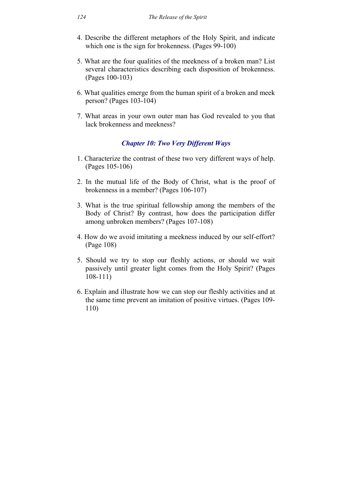- 4. Describe the different metaphors of the Holy Spirit, and indicate which one is the sign for brokenness. (Pages 99-100)
- 5. What are the four qualities of the meekness of a broken man? List several characteristics describing each disposition of brokenness. (Pages 100-103)
- 6. What qualities emerge from the human spirit of a broken and meek person? (Pages 103-104)
- 7. What areas in your own outer man has God revealed to you that lack brokenness and meekness?

# *Chapter 10: Two Very Different Ways*

- 1. Characterize the contrast of these two very different ways of help. (Pages 105-106)
- 2. In the mutual life of the Body of Christ, what is the proof of brokenness in a member? (Pages 106-107)
- 3. What is the true spiritual fellowship among the members of the Body of Christ? By contrast, how does the participation differ among unbroken members? (Pages 107-108)
- 4. How do we avoid imitating a meekness induced by our self-effort? (Page 108)
- 5. Should we try to stop our fleshly actions, or should we wait passively until greater light comes from the Holy Spirit? (Pages 108-111)
- 6. Explain and illustrate how we can stop our fleshly activities and at the same time prevent an imitation of positive virtues. (Pages 109- 110)